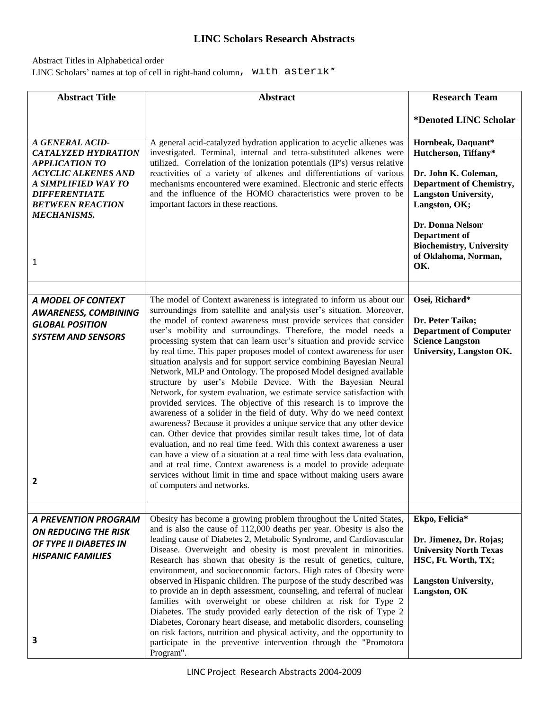## **LINC Scholars Research Abstracts**

## Abstract Titles in Alphabetical order

LINC Scholars' names at top of cell in right-hand column, with asterik\*

| <b>Abstract Title</b>                                                                                                                                                                                     | <b>Abstract</b>                                                                                                                                                                                                                                                                                                                                                                                                                                                                                                                                                                                                                                                                                                                                                                                                                                                                                                                                                                                                                                                                                                                                                                                                                                                                                                                                            | <b>Research Team</b>                                                                                                                                                                                                                                          |
|-----------------------------------------------------------------------------------------------------------------------------------------------------------------------------------------------------------|------------------------------------------------------------------------------------------------------------------------------------------------------------------------------------------------------------------------------------------------------------------------------------------------------------------------------------------------------------------------------------------------------------------------------------------------------------------------------------------------------------------------------------------------------------------------------------------------------------------------------------------------------------------------------------------------------------------------------------------------------------------------------------------------------------------------------------------------------------------------------------------------------------------------------------------------------------------------------------------------------------------------------------------------------------------------------------------------------------------------------------------------------------------------------------------------------------------------------------------------------------------------------------------------------------------------------------------------------------|---------------------------------------------------------------------------------------------------------------------------------------------------------------------------------------------------------------------------------------------------------------|
|                                                                                                                                                                                                           |                                                                                                                                                                                                                                                                                                                                                                                                                                                                                                                                                                                                                                                                                                                                                                                                                                                                                                                                                                                                                                                                                                                                                                                                                                                                                                                                                            | *Denoted LINC Scholar                                                                                                                                                                                                                                         |
| A GENERAL ACID-<br><b>CATALYZED HYDRATION</b><br><b>APPLICATION TO</b><br><b>ACYCLIC ALKENES AND</b><br>A SIMPLIFIED WAY TO<br><b>DIFFERENTIATE</b><br><b>BETWEEN REACTION</b><br><b>MECHANISMS.</b><br>1 | A general acid-catalyzed hydration application to acyclic alkenes was<br>investigated. Terminal, internal and tetra-substituted alkenes were<br>utilized. Correlation of the ionization potentials (IP's) versus relative<br>reactivities of a variety of alkenes and differentiations of various<br>mechanisms encountered were examined. Electronic and steric effects<br>and the influence of the HOMO characteristics were proven to be<br>important factors in these reactions.                                                                                                                                                                                                                                                                                                                                                                                                                                                                                                                                                                                                                                                                                                                                                                                                                                                                       | Hornbeak, Daquant*<br>Hutcherson, Tiffany*<br>Dr. John K. Coleman,<br><b>Department of Chemistry,</b><br><b>Langston University,</b><br>Langston, OK;<br>Dr. Donna Nelson'<br>Department of<br><b>Biochemistry, University</b><br>of Oklahoma, Norman,<br>OK. |
|                                                                                                                                                                                                           |                                                                                                                                                                                                                                                                                                                                                                                                                                                                                                                                                                                                                                                                                                                                                                                                                                                                                                                                                                                                                                                                                                                                                                                                                                                                                                                                                            |                                                                                                                                                                                                                                                               |
| A MODEL OF CONTEXT<br><b>AWARENESS, COMBINING</b><br><b>GLOBAL POSITION</b><br><b>SYSTEM AND SENSORS</b><br>2                                                                                             | The model of Context awareness is integrated to inform us about our<br>surroundings from satellite and analysis user's situation. Moreover,<br>the model of context awareness must provide services that consider<br>user's mobility and surroundings. Therefore, the model needs a<br>processing system that can learn user's situation and provide service<br>by real time. This paper proposes model of context awareness for user<br>situation analysis and for support service combining Bayesian Neural<br>Network, MLP and Ontology. The proposed Model designed available<br>structure by user's Mobile Device. With the Bayesian Neural<br>Network, for system evaluation, we estimate service satisfaction with<br>provided services. The objective of this research is to improve the<br>awareness of a solider in the field of duty. Why do we need context<br>awareness? Because it provides a unique service that any other device<br>can. Other device that provides similar result takes time, lot of data<br>evaluation, and no real time feed. With this context awareness a user<br>can have a view of a situation at a real time with less data evaluation,<br>and at real time. Context awareness is a model to provide adequate<br>services without limit in time and space without making users aware<br>of computers and networks. | Osei, Richard*<br>Dr. Peter Taiko;<br><b>Department of Computer</b><br><b>Science Langston</b><br><b>University, Langston OK.</b>                                                                                                                             |
|                                                                                                                                                                                                           |                                                                                                                                                                                                                                                                                                                                                                                                                                                                                                                                                                                                                                                                                                                                                                                                                                                                                                                                                                                                                                                                                                                                                                                                                                                                                                                                                            |                                                                                                                                                                                                                                                               |
| <b>A PREVENTION PROGRAM</b><br>ON REDUCING THE RISK<br>OF TYPE II DIABETES IN<br><b>HISPANIC FAMILIES</b><br>З                                                                                            | Obesity has become a growing problem throughout the United States,<br>and is also the cause of 112,000 deaths per year. Obesity is also the<br>leading cause of Diabetes 2, Metabolic Syndrome, and Cardiovascular<br>Disease. Overweight and obesity is most prevalent in minorities.<br>Research has shown that obesity is the result of genetics, culture,<br>environment, and socioeconomic factors. High rates of Obesity were<br>observed in Hispanic children. The purpose of the study described was<br>to provide an in depth assessment, counseling, and referral of nuclear<br>families with overweight or obese children at risk for Type 2<br>Diabetes. The study provided early detection of the risk of Type 2<br>Diabetes, Coronary heart disease, and metabolic disorders, counseling<br>on risk factors, nutrition and physical activity, and the opportunity to<br>participate in the preventive intervention through the "Promotora                                                                                                                                                                                                                                                                                                                                                                                                    | Ekpo, Felicia*<br>Dr. Jimenez, Dr. Rojas;<br><b>University North Texas</b><br>HSC, Ft. Worth, TX;<br><b>Langston University,</b><br>Langston, OK                                                                                                              |
|                                                                                                                                                                                                           | Program".                                                                                                                                                                                                                                                                                                                                                                                                                                                                                                                                                                                                                                                                                                                                                                                                                                                                                                                                                                                                                                                                                                                                                                                                                                                                                                                                                  |                                                                                                                                                                                                                                                               |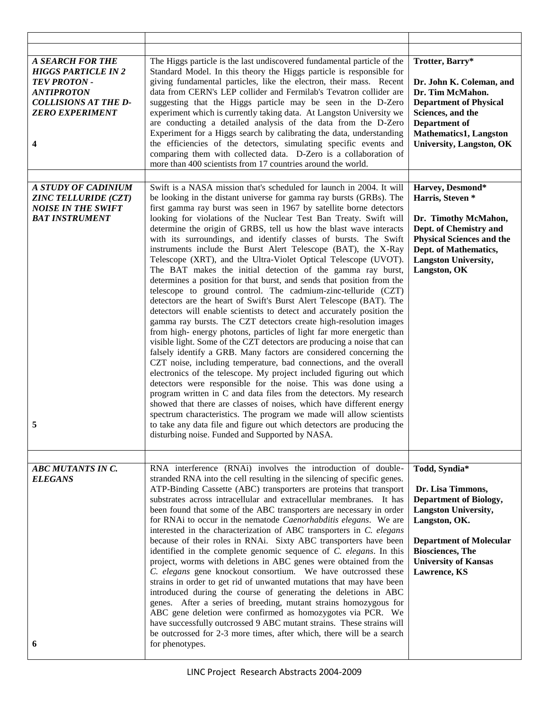| <b>A SEARCH FOR THE</b><br><b>HIGGS PARTICLE IN 2</b><br><b>TEV PROTON -</b><br><b>ANTIPROTON</b><br><b>COLLISIONS AT THE D-</b><br><b>ZERO EXPERIMENT</b><br>4 | The Higgs particle is the last undiscovered fundamental particle of the<br>Standard Model. In this theory the Higgs particle is responsible for<br>giving fundamental particles, like the electron, their mass. Recent<br>data from CERN's LEP collider and Fermilab's Tevatron collider are<br>suggesting that the Higgs particle may be seen in the D-Zero<br>experiment which is currently taking data. At Langston University we<br>are conducting a detailed analysis of the data from the D-Zero<br>Experiment for a Higgs search by calibrating the data, understanding<br>the efficiencies of the detectors, simulating specific events and<br>comparing them with collected data. D-Zero is a collaboration of<br>more than 400 scientists from 17 countries around the world.                                                                                                                                                                                                                                                                                                                                                                                                                                                                                                                                                                                                                                                                                                                                                                                                                                                                                                                                                                                                             | Trotter, Barry*<br>Dr. John K. Coleman, and<br>Dr. Tim McMahon.<br><b>Department of Physical</b><br>Sciences, and the<br>Department of<br>Mathematics1, Langston<br><b>University, Langston, OK</b>                              |
|-----------------------------------------------------------------------------------------------------------------------------------------------------------------|-----------------------------------------------------------------------------------------------------------------------------------------------------------------------------------------------------------------------------------------------------------------------------------------------------------------------------------------------------------------------------------------------------------------------------------------------------------------------------------------------------------------------------------------------------------------------------------------------------------------------------------------------------------------------------------------------------------------------------------------------------------------------------------------------------------------------------------------------------------------------------------------------------------------------------------------------------------------------------------------------------------------------------------------------------------------------------------------------------------------------------------------------------------------------------------------------------------------------------------------------------------------------------------------------------------------------------------------------------------------------------------------------------------------------------------------------------------------------------------------------------------------------------------------------------------------------------------------------------------------------------------------------------------------------------------------------------------------------------------------------------------------------------------------------------|----------------------------------------------------------------------------------------------------------------------------------------------------------------------------------------------------------------------------------|
|                                                                                                                                                                 |                                                                                                                                                                                                                                                                                                                                                                                                                                                                                                                                                                                                                                                                                                                                                                                                                                                                                                                                                                                                                                                                                                                                                                                                                                                                                                                                                                                                                                                                                                                                                                                                                                                                                                                                                                                                     |                                                                                                                                                                                                                                  |
| A STUDY OF CADINIUM<br><b>ZINC TELLURIDE (CZT)</b><br><b>NOISE IN THE SWIFT</b><br><b>BAT INSTRUMENT</b><br>5                                                   | Swift is a NASA mission that's scheduled for launch in 2004. It will<br>be looking in the distant universe for gamma ray bursts (GRBs). The<br>first gamma ray burst was seen in 1967 by satellite borne detectors<br>looking for violations of the Nuclear Test Ban Treaty. Swift will<br>determine the origin of GRBS, tell us how the blast wave interacts<br>with its surroundings, and identify classes of bursts. The Swift<br>instruments include the Burst Alert Telescope (BAT), the X-Ray<br>Telescope (XRT), and the Ultra-Violet Optical Telescope (UVOT).<br>The BAT makes the initial detection of the gamma ray burst,<br>determines a position for that burst, and sends that position from the<br>telescope to ground control. The cadmium-zinc-telluride (CZT)<br>detectors are the heart of Swift's Burst Alert Telescope (BAT). The<br>detectors will enable scientists to detect and accurately position the<br>gamma ray bursts. The CZT detectors create high-resolution images<br>from high-energy photons, particles of light far more energetic than<br>visible light. Some of the CZT detectors are producing a noise that can<br>falsely identify a GRB. Many factors are considered concerning the<br>CZT noise, including temperature, bad connections, and the overall<br>electronics of the telescope. My project included figuring out which<br>detectors were responsible for the noise. This was done using a<br>program written in C and data files from the detectors. My research<br>showed that there are classes of noises, which have different energy<br>spectrum characteristics. The program we made will allow scientists<br>to take any data file and figure out which detectors are producing the<br>disturbing noise. Funded and Supported by NASA. | Harvey, Desmond*<br>Harris, Steven <sup>*</sup><br>Dr. Timothy McMahon,<br>Dept. of Chemistry and<br><b>Physical Sciences and the</b><br>Dept. of Mathematics,<br><b>Langston University,</b><br>Langston, OK                    |
| <b>ABC MUTANTS IN C.</b><br><b>ELEGANS</b><br>6                                                                                                                 | RNA interference (RNAi) involves the introduction of double-<br>stranded RNA into the cell resulting in the silencing of specific genes.<br>ATP-Binding Cassette (ABC) transporters are proteins that transport<br>substrates across intracellular and extracellular membranes. It has<br>been found that some of the ABC transporters are necessary in order<br>for RNAi to occur in the nematode Caenorhabditis elegans. We are<br>interested in the characterization of ABC transporters in C. elegans<br>because of their roles in RNAi. Sixty ABC transporters have been<br>identified in the complete genomic sequence of C. elegans. In this<br>project, worms with deletions in ABC genes were obtained from the<br>C. elegans gene knockout consortium. We have outcrossed these<br>strains in order to get rid of unwanted mutations that may have been<br>introduced during the course of generating the deletions in ABC<br>genes. After a series of breeding, mutant strains homozygous for<br>ABC gene deletion were confirmed as homozygotes via PCR. We<br>have successfully outcrossed 9 ABC mutant strains. These strains will<br>be outcrossed for 2-3 more times, after which, there will be a search<br>for phenotypes.                                                                                                                                                                                                                                                                                                                                                                                                                                                                                                                                                        | Todd, Syndia*<br>Dr. Lisa Timmons,<br><b>Department of Biology,</b><br><b>Langston University,</b><br>Langston, OK.<br><b>Department of Molecular</b><br><b>Biosciences</b> , The<br><b>University of Kansas</b><br>Lawrence, KS |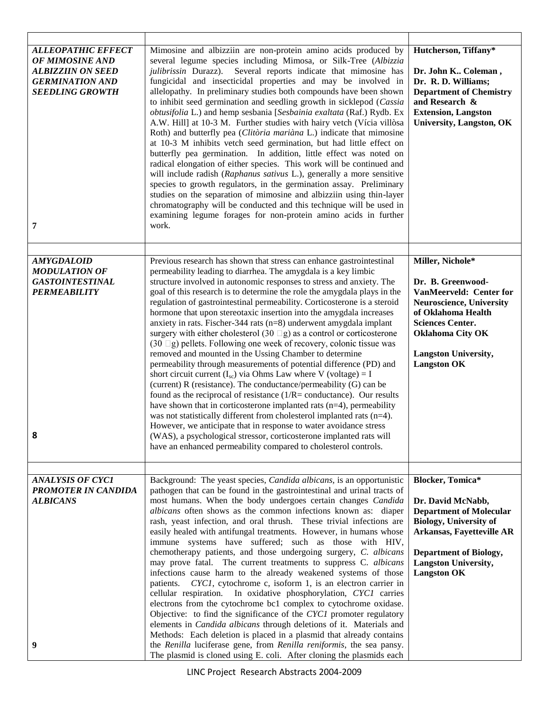| <b>ALLEOPATHIC EFFECT</b><br>OF MIMOSINE AND<br><b>ALBIZZIIN ON SEED</b><br><b>GERMINATION AND</b><br><b>SEEDLING GROWTH</b><br>7 | Mimosine and albizziin are non-protein amino acids produced by<br>several legume species including Mimosa, or Silk-Tree (Albizzia<br>julibrissin Durazz). Several reports indicate that mimosine has<br>fungicidal and insecticidal properties and may be involved in<br>allelopathy. In preliminary studies both compounds have been shown<br>to inhibit seed germination and seedling growth in sicklepod (Cassia<br>obtusifolia L.) and hemp sesbania [Sesbainia exaltata (Raf.) Rydb. Ex<br>A.W. Hill] at 10-3 M. Further studies with hairy vetch (Vícia villòsa<br>Roth) and butterfly pea (Clitòria mariàna L.) indicate that mimosine<br>at 10-3 M inhibits vetch seed germination, but had little effect on<br>butterfly pea germination. In addition, little effect was noted on<br>radical elongation of either species. This work will be continued and<br>will include radish (Raphanus sativus L.), generally a more sensitive<br>species to growth regulators, in the germination assay. Preliminary<br>studies on the separation of mimosine and albizziin using thin-layer<br>chromatography will be conducted and this technique will be used in<br>examining legume forages for non-protein amino acids in further<br>work.                                                                                                                                                                         | Hutcherson, Tiffany*<br>Dr. John K Coleman,<br>Dr. R. D. Williams;<br><b>Department of Chemistry</b><br>and Research &<br><b>Extension, Langston</b><br><b>University, Langston, OK</b>                                              |
|-----------------------------------------------------------------------------------------------------------------------------------|------------------------------------------------------------------------------------------------------------------------------------------------------------------------------------------------------------------------------------------------------------------------------------------------------------------------------------------------------------------------------------------------------------------------------------------------------------------------------------------------------------------------------------------------------------------------------------------------------------------------------------------------------------------------------------------------------------------------------------------------------------------------------------------------------------------------------------------------------------------------------------------------------------------------------------------------------------------------------------------------------------------------------------------------------------------------------------------------------------------------------------------------------------------------------------------------------------------------------------------------------------------------------------------------------------------------------------------------------------------------------------------------------------------------|--------------------------------------------------------------------------------------------------------------------------------------------------------------------------------------------------------------------------------------|
| <b>AMYGDALOID</b><br><b>MODULATION OF</b><br><b>GASTOINTESTINAL</b><br><b>PERMEABILITY</b><br>8                                   | Previous research has shown that stress can enhance gastrointestinal<br>permeability leading to diarrhea. The amygdala is a key limbic<br>structure involved in autonomic responses to stress and anxiety. The<br>goal of this research is to determine the role the amygdala plays in the<br>regulation of gastrointestinal permeability. Corticosterone is a steroid<br>hormone that upon stereotaxic insertion into the amygdala increases<br>anxiety in rats. Fischer-344 rats $(n=8)$ underwent amygdala implant<br>surgery with either cholesterol (30 $\Box$ g) as a control or corticosterone<br>$(30 \Box g)$ pellets. Following one week of recovery, colonic tissue was<br>removed and mounted in the Ussing Chamber to determine<br>permeability through measurements of potential difference (PD) and<br>short circuit current $(I_{sc})$ via Ohms Law where V (voltage) = I<br>(current) R (resistance). The conductance/permeability (G) can be<br>found as the reciprocal of resistance $(1/R = \text{conductance})$ . Our results<br>have shown that in corticosterone implanted rats $(n=4)$ , permeability<br>was not statistically different from cholesterol implanted rats (n=4).<br>However, we anticipate that in response to water avoidance stress<br>(WAS), a psychological stressor, corticosterone implanted rats will<br>have an enhanced permeability compared to cholesterol controls. | Miller, Nichole*<br>Dr. B. Greenwood-<br>VanMeerveld: Center for<br><b>Neuroscience, University</b><br>of Oklahoma Health<br><b>Sciences Center.</b><br><b>Oklahoma City OK</b><br><b>Langston University,</b><br><b>Langston OK</b> |
| <b>ANALYSIS OF CYC1</b><br><b>PROMOTER IN CANDIDA</b><br><b>ALBICANS</b><br>9                                                     | Background: The yeast species, <i>Candida albicans</i> , is an opportunistic<br>pathogen that can be found in the gastrointestinal and urinal tracts of<br>most humans. When the body undergoes certain changes Candida<br>albicans often shows as the common infections known as: diaper<br>rash, yeast infection, and oral thrush. These trivial infections are<br>easily healed with antifungal treatments. However, in humans whose<br>immune systems have suffered; such as those with HIV,<br>chemotherapy patients, and those undergoing surgery, C. albicans<br>may prove fatal. The current treatments to suppress C. albicans<br>infections cause harm to the already weakened systems of those<br>CYC1, cytochrome c, isoform 1, is an electron carrier in<br>patients.<br>cellular respiration. In oxidative phosphorylation, CYC1 carries<br>electrons from the cytochrome bc1 complex to cytochrome oxidase.<br>Objective: to find the significance of the CYC1 promoter regulatory<br>elements in Candida albicans through deletions of it. Materials and<br>Methods: Each deletion is placed in a plasmid that already contains<br>the Renilla luciferase gene, from Renilla reniformis, the sea pansy.<br>The plasmid is cloned using E. coli. After cloning the plasmids each                                                                                                                        | <b>Blocker, Tomica*</b><br>Dr. David McNabb,<br><b>Department of Molecular</b><br><b>Biology, University of</b><br>Arkansas, Fayetteville AR<br><b>Department of Biology,</b><br><b>Langston University,</b><br><b>Langston OK</b>   |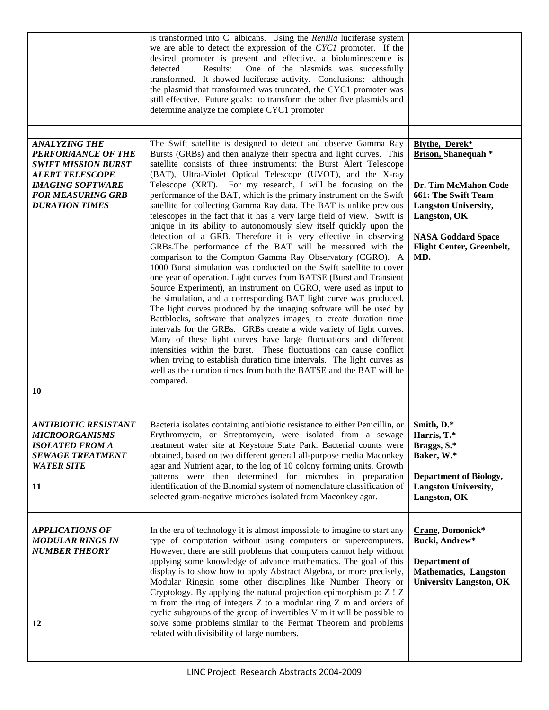|                                                                                                                                                                                                        | is transformed into C. albicans. Using the Renilla luciferase system<br>we are able to detect the expression of the CYC1 promoter. If the<br>desired promoter is present and effective, a bioluminescence is<br>detected.<br>Results:<br>One of the plasmids was successfully<br>transformed. It showed luciferase activity. Conclusions: although<br>the plasmid that transformed was truncated, the CYC1 promoter was<br>still effective. Future goals: to transform the other five plasmids and<br>determine analyze the complete CYC1 promoter                                                                                                                                                                                                                                                                                                                                                                                                                                                                                                                                                                                                                                                                                                                                                                                                                                                                                                                                                                                                                                                                                                       |                                                                                                                                                                                                                           |
|--------------------------------------------------------------------------------------------------------------------------------------------------------------------------------------------------------|----------------------------------------------------------------------------------------------------------------------------------------------------------------------------------------------------------------------------------------------------------------------------------------------------------------------------------------------------------------------------------------------------------------------------------------------------------------------------------------------------------------------------------------------------------------------------------------------------------------------------------------------------------------------------------------------------------------------------------------------------------------------------------------------------------------------------------------------------------------------------------------------------------------------------------------------------------------------------------------------------------------------------------------------------------------------------------------------------------------------------------------------------------------------------------------------------------------------------------------------------------------------------------------------------------------------------------------------------------------------------------------------------------------------------------------------------------------------------------------------------------------------------------------------------------------------------------------------------------------------------------------------------------|---------------------------------------------------------------------------------------------------------------------------------------------------------------------------------------------------------------------------|
| <b>ANALYZING THE</b><br><b>PERFORMANCE OF THE</b><br><b>SWIFT MISSION BURST</b><br><b>ALERT TELESCOPE</b><br><b>IMAGING SOFTWARE</b><br><b>FOR MEASURING GRB</b><br><b>DURATION TIMES</b><br><b>10</b> | The Swift satellite is designed to detect and observe Gamma Ray<br>Bursts (GRBs) and then analyze their spectra and light curves. This<br>satellite consists of three instruments: the Burst Alert Telescope<br>(BAT), Ultra-Violet Optical Telescope (UVOT), and the X-ray<br>Telescope (XRT). For my research, I will be focusing on the<br>performance of the BAT, which is the primary instrument on the Swift<br>satellite for collecting Gamma Ray data. The BAT is unlike previous<br>telescopes in the fact that it has a very large field of view. Swift is<br>unique in its ability to autonomously slew itself quickly upon the<br>detection of a GRB. Therefore it is very effective in observing<br>GRBs. The performance of the BAT will be measured with the<br>comparison to the Compton Gamma Ray Observatory (CGRO). A<br>1000 Burst simulation was conducted on the Swift satellite to cover<br>one year of operation. Light curves from BATSE (Burst and Transient<br>Source Experiment), an instrument on CGRO, were used as input to<br>the simulation, and a corresponding BAT light curve was produced.<br>The light curves produced by the imaging software will be used by<br>Battblocks, software that analyzes images, to create duration time<br>intervals for the GRBs. GRBs create a wide variety of light curves.<br>Many of these light curves have large fluctuations and different<br>intensities within the burst. These fluctuations can cause conflict<br>when trying to establish duration time intervals. The light curves as<br>well as the duration times from both the BATSE and the BAT will be<br>compared. | <b>Blythe, Derek*</b><br><b>Brison, Shanequah *</b><br>Dr. Tim McMahon Code<br><b>661: The Swift Team</b><br><b>Langston University,</b><br>Langston, OK<br><b>NASA Goddard Space</b><br>Flight Center, Greenbelt,<br>MD. |
| <b>ANTIBIOTIC RESISTANT</b><br><b>MICROORGANISMS</b><br><b>ISOLATED FROM A</b><br><b>SEWAGE TREATMENT</b><br><b>WATER SITE</b><br>11                                                                   | Bacteria isolates containing antibiotic resistance to either Penicillin, or<br>Erythromycin, or Streptomycin, were isolated from a sewage<br>treatment water site at Keystone State Park. Bacterial counts were<br>obtained, based on two different general all-purpose media Maconkey<br>agar and Nutrient agar, to the log of 10 colony forming units. Growth<br>patterns were then determined for microbes in preparation<br>identification of the Binomial system of nomenclature classification of<br>selected gram-negative microbes isolated from Maconkey agar.                                                                                                                                                                                                                                                                                                                                                                                                                                                                                                                                                                                                                                                                                                                                                                                                                                                                                                                                                                                                                                                                                  | Smith. D.*<br>Harris, T.*<br>Braggs, S.*<br>Baker, W.*<br><b>Department of Biology,</b><br><b>Langston University,</b><br>Langston, OK                                                                                    |
| <b>APPLICATIONS OF</b><br><b>MODULAR RINGS IN</b><br><b>NUMBER THEORY</b><br>12                                                                                                                        | In the era of technology it is almost impossible to imagine to start any<br>type of computation without using computers or supercomputers.<br>However, there are still problems that computers cannot help without<br>applying some knowledge of advance mathematics. The goal of this<br>display is to show how to apply Abstract Algebra, or more precisely,<br>Modular Ringsin some other disciplines like Number Theory or<br>Cryptology. By applying the natural projection epimorphism p: Z ! Z<br>m from the ring of integers Z to a modular ring Z m and orders of<br>cyclic subgroups of the group of invertibles V m it will be possible to<br>solve some problems similar to the Fermat Theorem and problems<br>related with divisibility of large numbers.                                                                                                                                                                                                                                                                                                                                                                                                                                                                                                                                                                                                                                                                                                                                                                                                                                                                                   | Crane, Domonick*<br>Bucki, Andrew*<br>Department of<br><b>Mathematics</b> , Langston<br><b>University Langston, OK</b>                                                                                                    |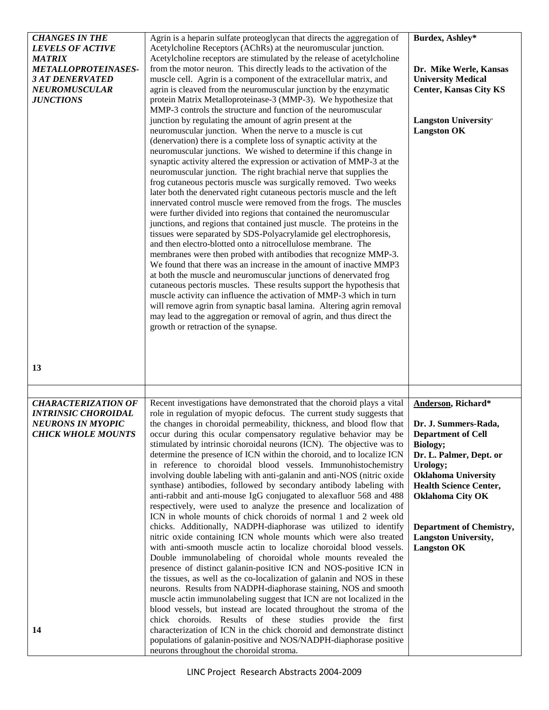| <b>CHANGES IN THE</b><br><b>LEVELS OF ACTIVE</b><br><b>MATRIX</b><br><b>METALLOPROTEINASES-</b><br><i><b>3 AT DENERVATED</b></i><br><b>NEUROMUSCULAR</b><br><b>JUNCTIONS</b> | Agrin is a heparin sulfate proteoglycan that directs the aggregation of<br>Acetylcholine Receptors (AChRs) at the neuromuscular junction.<br>Acetylcholine receptors are stimulated by the release of acetylcholine<br>from the motor neuron. This directly leads to the activation of the<br>muscle cell. Agrin is a component of the extracellular matrix, and<br>agrin is cleaved from the neuromuscular junction by the enzymatic<br>protein Matrix Metalloproteinase-3 (MMP-3). We hypothesize that<br>MMP-3 controls the structure and function of the neuromuscular<br>junction by regulating the amount of agrin present at the<br>neuromuscular junction. When the nerve to a muscle is cut<br>(denervation) there is a complete loss of synaptic activity at the<br>neuromuscular junctions. We wished to determine if this change in<br>synaptic activity altered the expression or activation of MMP-3 at the<br>neuromuscular junction. The right brachial nerve that supplies the<br>frog cutaneous pectoris muscle was surgically removed. Two weeks<br>later both the denervated right cutaneous pectoris muscle and the left<br>innervated control muscle were removed from the frogs. The muscles<br>were further divided into regions that contained the neuromuscular<br>junctions, and regions that contained just muscle. The proteins in the<br>tissues were separated by SDS-Polyacrylamide gel electrophoresis,<br>and then electro-blotted onto a nitrocellulose membrane. The<br>membranes were then probed with antibodies that recognize MMP-3.<br>We found that there was an increase in the amount of inactive MMP3<br>at both the muscle and neuromuscular junctions of denervated frog<br>cutaneous pectoris muscles. These results support the hypothesis that<br>muscle activity can influence the activation of MMP-3 which in turn<br>will remove agrin from synaptic basal lamina. Altering agrin removal<br>may lead to the aggregation or removal of agrin, and thus direct the<br>growth or retraction of the synapse. | Burdex, Ashley*<br>Dr. Mike Werle, Kansas<br><b>University Medical</b><br><b>Center, Kansas City KS</b><br><b>Langston University'</b><br><b>Langston OK</b>                                                                                                                                                 |
|------------------------------------------------------------------------------------------------------------------------------------------------------------------------------|-----------------------------------------------------------------------------------------------------------------------------------------------------------------------------------------------------------------------------------------------------------------------------------------------------------------------------------------------------------------------------------------------------------------------------------------------------------------------------------------------------------------------------------------------------------------------------------------------------------------------------------------------------------------------------------------------------------------------------------------------------------------------------------------------------------------------------------------------------------------------------------------------------------------------------------------------------------------------------------------------------------------------------------------------------------------------------------------------------------------------------------------------------------------------------------------------------------------------------------------------------------------------------------------------------------------------------------------------------------------------------------------------------------------------------------------------------------------------------------------------------------------------------------------------------------------------------------------------------------------------------------------------------------------------------------------------------------------------------------------------------------------------------------------------------------------------------------------------------------------------------------------------------------------------------------------------------------------------------------------------------------------------------------------------------------------|--------------------------------------------------------------------------------------------------------------------------------------------------------------------------------------------------------------------------------------------------------------------------------------------------------------|
| 13                                                                                                                                                                           |                                                                                                                                                                                                                                                                                                                                                                                                                                                                                                                                                                                                                                                                                                                                                                                                                                                                                                                                                                                                                                                                                                                                                                                                                                                                                                                                                                                                                                                                                                                                                                                                                                                                                                                                                                                                                                                                                                                                                                                                                                                                 |                                                                                                                                                                                                                                                                                                              |
| <b>CHARACTERIZATION OF</b><br><b>INTRINSIC CHOROIDAL</b><br><b>NEURONS IN MYOPIC</b><br><b>CHICK WHOLE MOUNTS</b><br>14                                                      | Recent investigations have demonstrated that the choroid plays a vital<br>role in regulation of myopic defocus. The current study suggests that<br>the changes in choroidal permeability, thickness, and blood flow that<br>occur during this ocular compensatory regulative behavior may be<br>stimulated by intrinsic choroidal neurons (ICN). The objective was to<br>determine the presence of ICN within the choroid, and to localize ICN<br>in reference to choroidal blood vessels. Immunohistochemistry<br>involving double labeling with anti-galanin and anti-NOS (nitric oxide<br>synthase) antibodies, followed by secondary antibody labeling with<br>anti-rabbit and anti-mouse IgG conjugated to alexafluor 568 and 488<br>respectively, were used to analyze the presence and localization of<br>ICN in whole mounts of chick choroids of normal 1 and 2 week old<br>chicks. Additionally, NADPH-diaphorase was utilized to identify<br>nitric oxide containing ICN whole mounts which were also treated<br>with anti-smooth muscle actin to localize choroidal blood vessels.<br>Double immunolabeling of choroidal whole mounts revealed the<br>presence of distinct galanin-positive ICN and NOS-positive ICN in<br>the tissues, as well as the co-localization of galanin and NOS in these<br>neurons. Results from NADPH-diaphorase staining, NOS and smooth<br>muscle actin immunolabeling suggest that ICN are not localized in the<br>blood vessels, but instead are located throughout the stroma of the<br>chick choroids. Results of these studies provide the first<br>characterization of ICN in the chick choroid and demonstrate distinct<br>populations of galanin-positive and NOS/NADPH-diaphorase positive<br>neurons throughout the choroidal stroma.                                                                                                                                                                                                                                                                       | Anderson, Richard*<br>Dr. J. Summers-Rada,<br><b>Department of Cell</b><br>Biology;<br>Dr. L. Palmer, Dept. or<br>Urology;<br><b>Oklahoma University</b><br><b>Health Science Center,</b><br><b>Oklahoma City OK</b><br><b>Department of Chemistry,</b><br><b>Langston University,</b><br><b>Langston OK</b> |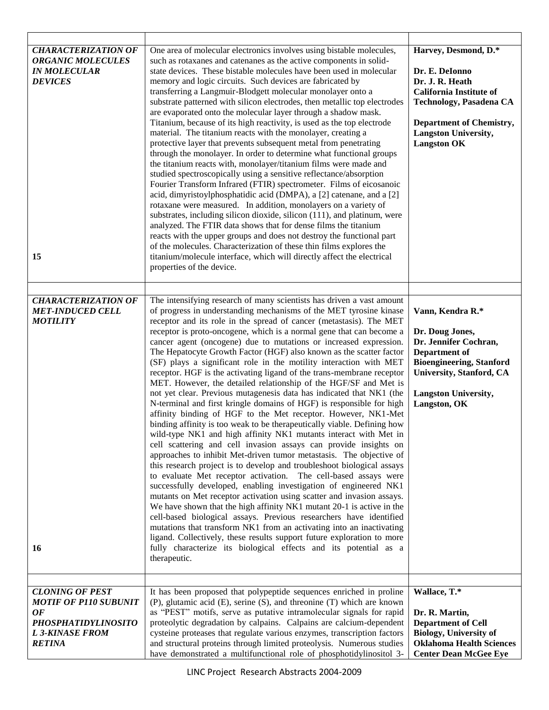| <b>CHARACTERIZATION OF</b><br><b>ORGANIC MOLECULES</b><br><b>IN MOLECULAR</b><br><b>DEVICES</b><br>15                                       | One area of molecular electronics involves using bistable molecules,<br>such as rotaxanes and catenanes as the active components in solid-<br>state devices. These bistable molecules have been used in molecular<br>memory and logic circuits. Such devices are fabricated by<br>transferring a Langmuir-Blodgett molecular monolayer onto a<br>substrate patterned with silicon electrodes, then metallic top electrodes<br>are evaporated onto the molecular layer through a shadow mask.<br>Titanium, because of its high reactivity, is used as the top electrode<br>material. The titanium reacts with the monolayer, creating a<br>protective layer that prevents subsequent metal from penetrating<br>through the monolayer. In order to determine what functional groups<br>the titanium reacts with, monolayer/titanium films were made and<br>studied spectroscopically using a sensitive reflectance/absorption<br>Fourier Transform Infrared (FTIR) spectrometer. Films of eicosanoic<br>acid, dimyristoylphosphatidic acid (DMPA), a [2] catenane, and a [2]<br>rotaxane were measured. In addition, monolayers on a variety of<br>substrates, including silicon dioxide, silicon (111), and platinum, were<br>analyzed. The FTIR data shows that for dense films the titanium<br>reacts with the upper groups and does not destroy the functional part<br>of the molecules. Characterization of these thin films explores the<br>titanium/molecule interface, which will directly affect the electrical<br>properties of the device.                                                                                                                                                                                                                                                                                                 | Harvey, Desmond, D.*<br>Dr. E. DeIonno<br>Dr. J. R. Heath<br><b>California Institute of</b><br><b>Technology, Pasadena CA</b><br><b>Department of Chemistry,</b><br><b>Langston University,</b><br><b>Langston OK</b> |
|---------------------------------------------------------------------------------------------------------------------------------------------|-----------------------------------------------------------------------------------------------------------------------------------------------------------------------------------------------------------------------------------------------------------------------------------------------------------------------------------------------------------------------------------------------------------------------------------------------------------------------------------------------------------------------------------------------------------------------------------------------------------------------------------------------------------------------------------------------------------------------------------------------------------------------------------------------------------------------------------------------------------------------------------------------------------------------------------------------------------------------------------------------------------------------------------------------------------------------------------------------------------------------------------------------------------------------------------------------------------------------------------------------------------------------------------------------------------------------------------------------------------------------------------------------------------------------------------------------------------------------------------------------------------------------------------------------------------------------------------------------------------------------------------------------------------------------------------------------------------------------------------------------------------------------------------------------------------------------------------------------------|-----------------------------------------------------------------------------------------------------------------------------------------------------------------------------------------------------------------------|
|                                                                                                                                             |                                                                                                                                                                                                                                                                                                                                                                                                                                                                                                                                                                                                                                                                                                                                                                                                                                                                                                                                                                                                                                                                                                                                                                                                                                                                                                                                                                                                                                                                                                                                                                                                                                                                                                                                                                                                                                                     |                                                                                                                                                                                                                       |
| <b>CHARACTERIZATION OF</b><br><b>MET-INDUCED CELL</b><br><b>MOTILITY</b><br>16                                                              | The intensifying research of many scientists has driven a vast amount<br>of progress in understanding mechanisms of the MET tyrosine kinase<br>receptor and its role in the spread of cancer (metastasis). The MET<br>receptor is proto-oncogene, which is a normal gene that can become a<br>cancer agent (oncogene) due to mutations or increased expression.<br>The Hepatocyte Growth Factor (HGF) also known as the scatter factor<br>(SF) plays a significant role in the motility interaction with MET<br>receptor. HGF is the activating ligand of the trans-membrane receptor<br>MET. However, the detailed relationship of the HGF/SF and Met is<br>not yet clear. Previous mutagenesis data has indicated that NK1 (the<br>N-terminal and first kringle domains of HGF) is responsible for high<br>affinity binding of HGF to the Met receptor. However, NK1-Met<br>binding affinity is too weak to be therapeutically viable. Defining how<br>wild-type NK1 and high affinity NK1 mutants interact with Met in<br>cell scattering and cell invasion assays can provide insights on<br>approaches to inhibit Met-driven tumor metastasis. The objective of<br>this research project is to develop and troubleshoot biological assays<br>to evaluate Met receptor activation. The cell-based assays were<br>successfully developed, enabling investigation of engineered NK1<br>mutants on Met receptor activation using scatter and invasion assays.<br>We have shown that the high affinity NK1 mutant 20-1 is active in the<br>cell-based biological assays. Previous researchers have identified<br>mutations that transform NK1 from an activating into an inactivating<br>ligand. Collectively, these results support future exploration to more<br>fully characterize its biological effects and its potential as a<br>therapeutic. | Vann, Kendra R.*<br>Dr. Doug Jones,<br>Dr. Jennifer Cochran,<br>Department of<br><b>Bioengineering, Stanford</b><br>University, Stanford, CA<br><b>Langston University,</b><br>Langston, OK                           |
|                                                                                                                                             |                                                                                                                                                                                                                                                                                                                                                                                                                                                                                                                                                                                                                                                                                                                                                                                                                                                                                                                                                                                                                                                                                                                                                                                                                                                                                                                                                                                                                                                                                                                                                                                                                                                                                                                                                                                                                                                     |                                                                                                                                                                                                                       |
| <b>CLONING OF PEST</b><br><b>MOTIF OF P110 SUBUNIT</b><br><b>OF</b><br><b>PHOSPHATIDYLINOSITO</b><br><b>L3-KINASE FROM</b><br><b>RETINA</b> | It has been proposed that polypeptide sequences enriched in proline<br>(P), glutamic acid (E), serine (S), and threonine (T) which are known<br>as "PEST" motifs, serve as putative intramolecular signals for rapid<br>proteolytic degradation by calpains. Calpains are calcium-dependent<br>cysteine proteases that regulate various enzymes, transcription factors<br>and structural proteins through limited proteolysis. Numerous studies<br>have demonstrated a multifunctional role of phosphotidylinositol 3-                                                                                                                                                                                                                                                                                                                                                                                                                                                                                                                                                                                                                                                                                                                                                                                                                                                                                                                                                                                                                                                                                                                                                                                                                                                                                                                              | Wallace, T.*<br>Dr. R. Martin,<br><b>Department of Cell</b><br><b>Biology, University of</b><br><b>Oklahoma Health Sciences</b><br><b>Center Dean McGee Eye</b>                                                       |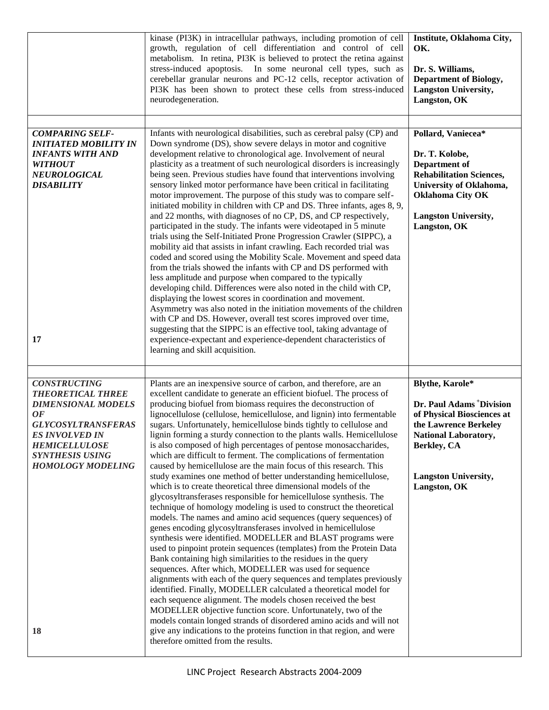|                                                                                                                                                                                                                                     | kinase (PI3K) in intracellular pathways, including promotion of cell<br>growth, regulation of cell differentiation and control of cell<br>metabolism. In retina, PI3K is believed to protect the retina against<br>stress-induced apoptosis. In some neuronal cell types, such as<br>cerebellar granular neurons and PC-12 cells, receptor activation of<br>PI3K has been shown to protect these cells from stress-induced<br>neurodegeneration.                                                                                                                                                                                                                                                                                                                                                                                                                                                                                                                                                                                                                                                                                                                                                                                                                                                                                                                                                                                                                                                                                                                                                                                                                                                                                                                                                                 | Institute, Oklahoma City,<br>OK.<br>Dr. S. Williams,<br><b>Department of Biology,</b><br><b>Langston University,</b><br>Langston, OK                                                                        |
|-------------------------------------------------------------------------------------------------------------------------------------------------------------------------------------------------------------------------------------|------------------------------------------------------------------------------------------------------------------------------------------------------------------------------------------------------------------------------------------------------------------------------------------------------------------------------------------------------------------------------------------------------------------------------------------------------------------------------------------------------------------------------------------------------------------------------------------------------------------------------------------------------------------------------------------------------------------------------------------------------------------------------------------------------------------------------------------------------------------------------------------------------------------------------------------------------------------------------------------------------------------------------------------------------------------------------------------------------------------------------------------------------------------------------------------------------------------------------------------------------------------------------------------------------------------------------------------------------------------------------------------------------------------------------------------------------------------------------------------------------------------------------------------------------------------------------------------------------------------------------------------------------------------------------------------------------------------------------------------------------------------------------------------------------------------|-------------------------------------------------------------------------------------------------------------------------------------------------------------------------------------------------------------|
| <b>COMPARING SELF-</b><br><b>INITIATED MOBILITY IN</b><br><b>INFANTS WITH AND</b><br><b>WITHOUT</b><br>NEUROLOGICAL<br><b>DISABILITY</b><br>17                                                                                      | Infants with neurological disabilities, such as cerebral palsy (CP) and<br>Down syndrome (DS), show severe delays in motor and cognitive<br>development relative to chronological age. Involvement of neural<br>plasticity as a treatment of such neurological disorders is increasingly<br>being seen. Previous studies have found that interventions involving<br>sensory linked motor performance have been critical in facilitating<br>motor improvement. The purpose of this study was to compare self-<br>initiated mobility in children with CP and DS. Three infants, ages 8, 9,<br>and 22 months, with diagnoses of no CP, DS, and CP respectively,<br>participated in the study. The infants were videotaped in 5 minute<br>trials using the Self-Initiated Prone Progression Crawler (SIPPC), a<br>mobility aid that assists in infant crawling. Each recorded trial was<br>coded and scored using the Mobility Scale. Movement and speed data<br>from the trials showed the infants with CP and DS performed with<br>less amplitude and purpose when compared to the typically<br>developing child. Differences were also noted in the child with CP,<br>displaying the lowest scores in coordination and movement.<br>Asymmetry was also noted in the initiation movements of the children<br>with CP and DS. However, overall test scores improved over time,<br>suggesting that the SIPPC is an effective tool, taking advantage of<br>experience-expectant and experience-dependent characteristics of<br>learning and skill acquisition.                                                                                                                                                                                                                                                        | Pollard, Vaniecea*<br>Dr. T. Kolobe,<br><b>Department of</b><br><b>Rehabilitation Sciences,</b><br>University of Oklahoma,<br><b>Oklahoma City OK</b><br><b>Langston University,</b><br>Langston, OK        |
| <b>CONSTRUCTING</b><br><b>THEORETICAL THREE</b><br><b>DIMENSIONAL MODELS</b><br><b>OF</b><br><b>GLYCOSYLTRANSFERAS</b><br><b>ES INVOLVED IN</b><br><b>HEMICELLULOSE</b><br><b>SYNTHESIS USING</b><br><b>HOMOLOGY MODELING</b><br>18 | Plants are an inexpensive source of carbon, and therefore, are an<br>excellent candidate to generate an efficient biofuel. The process of<br>producing biofuel from biomass requires the deconstruction of<br>lignocellulose (cellulose, hemicellulose, and lignin) into fermentable<br>sugars. Unfortunately, hemicellulose binds tightly to cellulose and<br>lignin forming a sturdy connection to the plants walls. Hemicellulose<br>is also composed of high percentages of pentose monosaccharides,<br>which are difficult to ferment. The complications of fermentation<br>caused by hemicellulose are the main focus of this research. This<br>study examines one method of better understanding hemicellulose,<br>which is to create theoretical three dimensional models of the<br>glycosyltransferases responsible for hemicellulose synthesis. The<br>technique of homology modeling is used to construct the theoretical<br>models. The names and amino acid sequences (query sequences) of<br>genes encoding glycosyltransferases involved in hemicellulose<br>synthesis were identified. MODELLER and BLAST programs were<br>used to pinpoint protein sequences (templates) from the Protein Data<br>Bank containing high similarities to the residues in the query<br>sequences. After which, MODELLER was used for sequence<br>alignments with each of the query sequences and templates previously<br>identified. Finally, MODELLER calculated a theoretical model for<br>each sequence alignment. The models chosen received the best<br>MODELLER objective function score. Unfortunately, two of the<br>models contain longed strands of disordered amino acids and will not<br>give any indications to the proteins function in that region, and were<br>therefore omitted from the results. | Blythe, Karole*<br>Dr. Paul Adams <sup>+</sup> Division<br>of Physical Biosciences at<br>the Lawrence Berkeley<br><b>National Laboratory,</b><br>Berkley, CA<br><b>Langston University,</b><br>Langston, OK |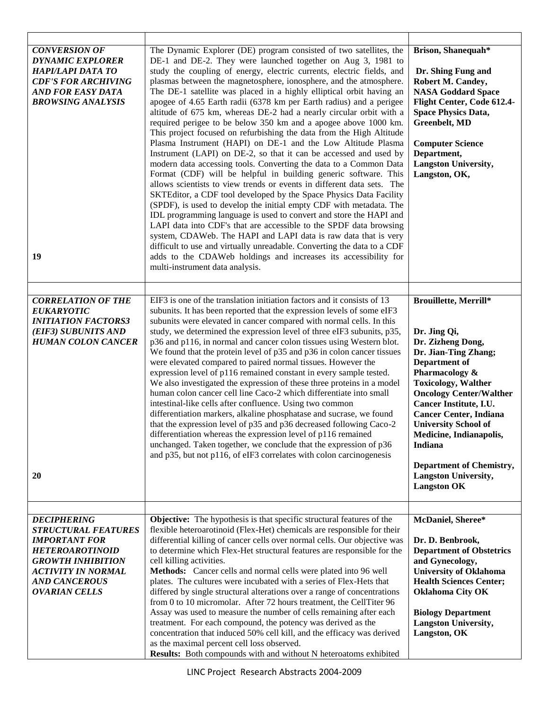| <b>CONVERSION OF</b><br><b>DYNAMIC EXPLORER</b><br>HAPI/LAPI DATA TO<br><b>CDF'S FOR ARCHIVING</b><br>AND FOR EASY DATA<br><b>BROWSING ANALYSIS</b><br>19                                            | The Dynamic Explorer (DE) program consisted of two satellites, the<br>DE-1 and DE-2. They were launched together on Aug 3, 1981 to<br>study the coupling of energy, electric currents, electric fields, and<br>plasmas between the magnetosphere, ionosphere, and the atmosphere.<br>The DE-1 satellite was placed in a highly elliptical orbit having an<br>apogee of 4.65 Earth radii (6378 km per Earth radius) and a perigee<br>altitude of 675 km, whereas DE-2 had a nearly circular orbit with a<br>required perigee to be below 350 km and a apogee above 1000 km.<br>This project focused on refurbishing the data from the High Altitude<br>Plasma Instrument (HAPI) on DE-1 and the Low Altitude Plasma<br>Instrument (LAPI) on DE-2, so that it can be accessed and used by<br>modern data accessing tools. Converting the data to a Common Data<br>Format (CDF) will be helpful in building generic software. This<br>allows scientists to view trends or events in different data sets. The<br>SKTEditor, a CDF tool developed by the Space Physics Data Facility<br>(SPDF), is used to develop the initial empty CDF with metadata. The<br>IDL programming language is used to convert and store the HAPI and<br>LAPI data into CDF's that are accessible to the SPDF data browsing<br>system, CDAWeb. The HAPI and LAPI data is raw data that is very<br>difficult to use and virtually unreadable. Converting the data to a CDF<br>adds to the CDAWeb holdings and increases its accessibility for<br>multi-instrument data analysis. | Brison, Shanequah*<br>Dr. Shing Fung and<br>Robert M. Candey,<br><b>NASA Goddard Space</b><br>Flight Center, Code 612.4-<br><b>Space Physics Data,</b><br>Greenbelt, MD<br><b>Computer Science</b><br>Department,<br><b>Langston University,</b><br>Langston, OK,                                                                                                                                             |
|------------------------------------------------------------------------------------------------------------------------------------------------------------------------------------------------------|--------------------------------------------------------------------------------------------------------------------------------------------------------------------------------------------------------------------------------------------------------------------------------------------------------------------------------------------------------------------------------------------------------------------------------------------------------------------------------------------------------------------------------------------------------------------------------------------------------------------------------------------------------------------------------------------------------------------------------------------------------------------------------------------------------------------------------------------------------------------------------------------------------------------------------------------------------------------------------------------------------------------------------------------------------------------------------------------------------------------------------------------------------------------------------------------------------------------------------------------------------------------------------------------------------------------------------------------------------------------------------------------------------------------------------------------------------------------------------------------------------------------------------------------------------|---------------------------------------------------------------------------------------------------------------------------------------------------------------------------------------------------------------------------------------------------------------------------------------------------------------------------------------------------------------------------------------------------------------|
| <b>CORRELATION OF THE</b><br><b>EUKARYOTIC</b><br><b>INITIATION FACTORS3</b><br>(EIF3) SUBUNITS AND<br><b>HUMAN COLON CANCER</b><br>20                                                               | EIF3 is one of the translation initiation factors and it consists of 13<br>subunits. It has been reported that the expression levels of some eIF3<br>subunits were elevated in cancer compared with normal cells. In this<br>study, we determined the expression level of three eIF3 subunits, p35,<br>p36 and p116, in normal and cancer colon tissues using Western blot.<br>We found that the protein level of p35 and p36 in colon cancer tissues<br>were elevated compared to paired normal tissues. However the<br>expression level of p116 remained constant in every sample tested.<br>We also investigated the expression of these three proteins in a model<br>human colon cancer cell line Caco-2 which differentiate into small<br>intestinal-like cells after confluence. Using two common<br>differentiation markers, alkaline phosphatase and sucrase, we found<br>that the expression level of p35 and p36 decreased following Caco-2<br>differentiation whereas the expression level of p116 remained<br>unchanged. Taken together, we conclude that the expression of p36<br>and p35, but not p116, of eIF3 correlates with colon carcinogenesis                                                                                                                                                                                                                                                                                                                                                                                     | <b>Brouillette, Merrill*</b><br>Dr. Jing Qi,<br>Dr. Zizheng Dong,<br>Dr. Jian-Ting Zhang;<br>Department of<br>Pharmacology &<br><b>Toxicology, Walther</b><br><b>Oncology Center/Walther</b><br>Cancer Institute, I.U.<br><b>Cancer Center, Indiana</b><br><b>University School of</b><br>Medicine, Indianapolis,<br>Indiana<br>Department of Chemistry,<br><b>Langston University,</b><br><b>Langston OK</b> |
| <b>DECIPHERING</b><br><b>STRUCTURAL FEATURES</b><br><b>IMPORTANT FOR</b><br><b>HETEROAROTINOID</b><br><b>GROWTH INHIBITION</b><br>ACTIVITY IN NORMAL<br><b>AND CANCEROUS</b><br><b>OVARIAN CELLS</b> | <b>Objective:</b> The hypothesis is that specific structural features of the<br>flexible heteroarotinoid (Flex-Het) chemicals are responsible for their<br>differential killing of cancer cells over normal cells. Our objective was<br>to determine which Flex-Het structural features are responsible for the<br>cell killing activities.<br>Methods: Cancer cells and normal cells were plated into 96 well<br>plates. The cultures were incubated with a series of Flex-Hets that<br>differed by single structural alterations over a range of concentrations<br>from 0 to 10 micromolar. After 72 hours treatment, the CellTiter 96<br>Assay was used to measure the number of cells remaining after each<br>treatment. For each compound, the potency was derived as the<br>concentration that induced 50% cell kill, and the efficacy was derived<br>as the maximal percent cell loss observed.<br>Results: Both compounds with and without N heteroatoms exhibited                                                                                                                                                                                                                                                                                                                                                                                                                                                                                                                                                                             | McDaniel, Sheree*<br>Dr. D. Benbrook,<br><b>Department of Obstetrics</b><br>and Gynecology,<br><b>University of Oklahoma</b><br><b>Health Sciences Center;</b><br><b>Oklahoma City OK</b><br><b>Biology Department</b><br><b>Langston University,</b><br>Langston, OK                                                                                                                                         |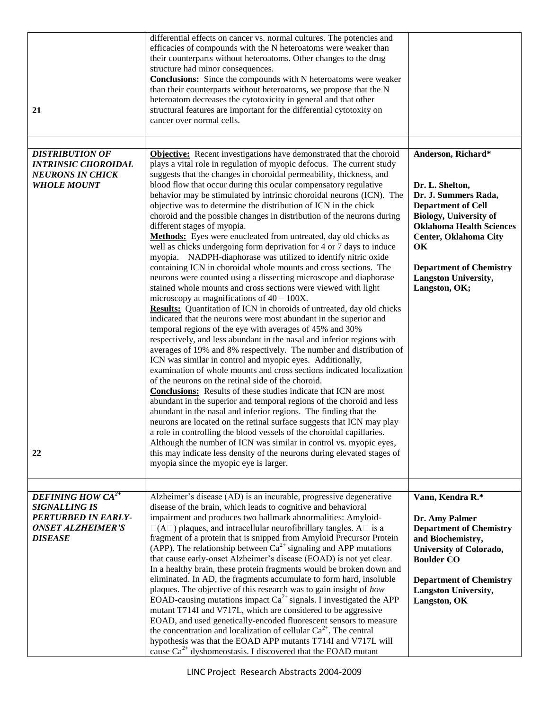| 21                                                                                                                               | differential effects on cancer vs. normal cultures. The potencies and<br>efficacies of compounds with the N heteroatoms were weaker than<br>their counterparts without heteroatoms. Other changes to the drug<br>structure had minor consequences.<br><b>Conclusions:</b> Since the compounds with N heteroatoms were weaker<br>than their counterparts without heteroatoms, we propose that the N<br>heteroatom decreases the cytotoxicity in general and that other<br>structural features are important for the differential cytotoxity on<br>cancer over normal cells.                                                                                                                                                                                                                                                                                                                                                                                                                                                                                                                                                                                                                                                                                                                                                                                                                                                                                                                                                                                                                                                                                                                                                                                                                                                                                                                                                                                          |                                                                                                                                                                                                                                                                                 |
|----------------------------------------------------------------------------------------------------------------------------------|---------------------------------------------------------------------------------------------------------------------------------------------------------------------------------------------------------------------------------------------------------------------------------------------------------------------------------------------------------------------------------------------------------------------------------------------------------------------------------------------------------------------------------------------------------------------------------------------------------------------------------------------------------------------------------------------------------------------------------------------------------------------------------------------------------------------------------------------------------------------------------------------------------------------------------------------------------------------------------------------------------------------------------------------------------------------------------------------------------------------------------------------------------------------------------------------------------------------------------------------------------------------------------------------------------------------------------------------------------------------------------------------------------------------------------------------------------------------------------------------------------------------------------------------------------------------------------------------------------------------------------------------------------------------------------------------------------------------------------------------------------------------------------------------------------------------------------------------------------------------------------------------------------------------------------------------------------------------|---------------------------------------------------------------------------------------------------------------------------------------------------------------------------------------------------------------------------------------------------------------------------------|
| <b>DISTRIBUTION OF</b><br><b>INTRINSIC CHOROIDAL</b><br><b>NEURONS IN CHICK</b><br><b>WHOLE MOUNT</b>                            | <b>Objective:</b> Recent investigations have demonstrated that the choroid<br>plays a vital role in regulation of myopic defocus. The current study<br>suggests that the changes in choroidal permeability, thickness, and<br>blood flow that occur during this ocular compensatory regulative<br>behavior may be stimulated by intrinsic choroidal neurons (ICN). The<br>objective was to determine the distribution of ICN in the chick<br>choroid and the possible changes in distribution of the neurons during<br>different stages of myopia.<br>Methods: Eyes were enucleated from untreated, day old chicks as<br>well as chicks undergoing form deprivation for 4 or 7 days to induce<br>myopia. NADPH-diaphorase was utilized to identify nitric oxide<br>containing ICN in choroidal whole mounts and cross sections. The<br>neurons were counted using a dissecting microscope and diaphorase<br>stained whole mounts and cross sections were viewed with light<br>microscopy at magnifications of $40 - 100X$ .<br><b>Results:</b> Quantitation of ICN in choroids of untreated, day old chicks<br>indicated that the neurons were most abundant in the superior and<br>temporal regions of the eye with averages of 45% and 30%<br>respectively, and less abundant in the nasal and inferior regions with<br>averages of 19% and 8% respectively. The number and distribution of<br>ICN was similar in control and myopic eyes. Additionally,<br>examination of whole mounts and cross sections indicated localization<br>of the neurons on the retinal side of the choroid.<br><b>Conclusions:</b> Results of these studies indicate that ICN are most<br>abundant in the superior and temporal regions of the choroid and less<br>abundant in the nasal and inferior regions. The finding that the<br>neurons are located on the retinal surface suggests that ICN may play<br>a role in controlling the blood vessels of the choroidal capillaries. | Anderson, Richard*<br>Dr. L. Shelton,<br>Dr. J. Summers Rada,<br><b>Department of Cell</b><br><b>Biology, University of</b><br><b>Oklahoma Health Sciences</b><br>Center, Oklahoma City<br>OK<br><b>Department of Chemistry</b><br><b>Langston University,</b><br>Langston, OK; |
| 22                                                                                                                               | Although the number of ICN was similar in control vs. myopic eyes,<br>this may indicate less density of the neurons during elevated stages of<br>myopia since the myopic eye is larger.                                                                                                                                                                                                                                                                                                                                                                                                                                                                                                                                                                                                                                                                                                                                                                                                                                                                                                                                                                                                                                                                                                                                                                                                                                                                                                                                                                                                                                                                                                                                                                                                                                                                                                                                                                             |                                                                                                                                                                                                                                                                                 |
|                                                                                                                                  |                                                                                                                                                                                                                                                                                                                                                                                                                                                                                                                                                                                                                                                                                                                                                                                                                                                                                                                                                                                                                                                                                                                                                                                                                                                                                                                                                                                                                                                                                                                                                                                                                                                                                                                                                                                                                                                                                                                                                                     |                                                                                                                                                                                                                                                                                 |
| <b>DEFINING HOW CA<sup>2+</sup></b><br><b>SIGNALLING IS</b><br>PERTURBED IN EARLY-<br><b>ONSET ALZHEIMER'S</b><br><b>DISEASE</b> | Alzheimer's disease (AD) is an incurable, progressive degenerative<br>disease of the brain, which leads to cognitive and behavioral<br>impairment and produces two hallmark abnormalities: Amyloid-<br>$\square$ (A $\square$ ) plaques, and intracellular neurofibrillary tangles. A $\square$ is a<br>fragment of a protein that is snipped from Amyloid Precursor Protein<br>(APP). The relationship between $Ca^{2+}$ signaling and APP mutations<br>that cause early-onset Alzheimer's disease (EOAD) is not yet clear.<br>In a healthy brain, these protein fragments would be broken down and<br>eliminated. In AD, the fragments accumulate to form hard, insoluble<br>plaques. The objective of this research was to gain insight of how<br>EOAD-causing mutations impact $Ca^{2+}$ signals. I investigated the APP<br>mutant T714I and V717L, which are considered to be aggressive<br>EOAD, and used genetically-encoded fluorescent sensors to measure<br>the concentration and localization of cellular $Ca^{2+}$ . The central<br>hypothesis was that the EOAD APP mutants T714I and V717L will<br>cause $Ca^{2+}$ dyshomeostasis. I discovered that the EOAD mutant                                                                                                                                                                                                                                                                                                                                                                                                                                                                                                                                                                                                                                                                                                                                                                                  | Vann, Kendra R.*<br>Dr. Amy Palmer<br><b>Department of Chemistry</b><br>and Biochemistry,<br>University of Colorado,<br><b>Boulder CO</b><br><b>Department of Chemistry</b><br><b>Langston University,</b><br>Langston, OK                                                      |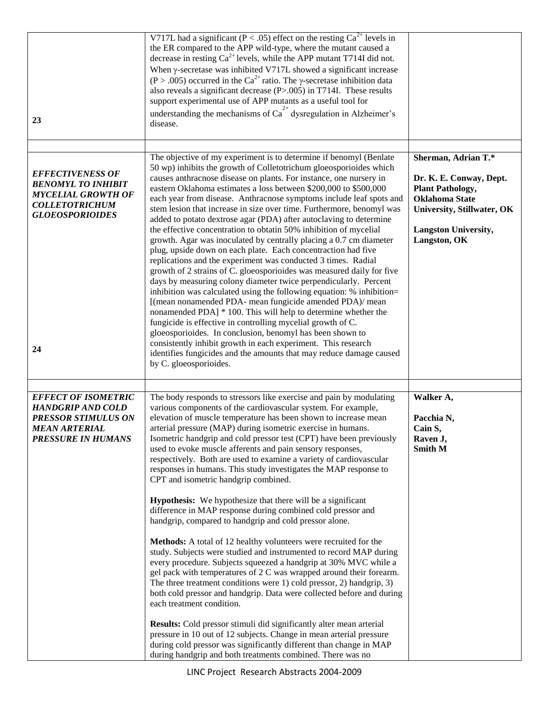| 23                                                                                                                                         | V717L had a significant ( $P < .05$ ) effect on the resting $Ca^{2+}$ levels in<br>the ER compared to the APP wild-type, where the mutant caused a<br>decrease in resting $Ca^{2+}$ levels, while the APP mutant T714I did not.<br>When y-secretase was inhibited V717L showed a significant increase<br>(P > .005) occurred in the Ca <sup>2+</sup> ratio. The $\gamma$ -secretase inhibition data<br>also reveals a significant decrease $(P > .005)$ in T714I. These results<br>support experimental use of APP mutants as a useful tool for<br>understanding the mechanisms of $Ca2+$ dysregulation in Alzheimer's<br>disease.                                                                                                                                                                                                                                                                                                                                                                                                                                                                                                                                                                                                                                                                                                                                                                                                      |                                                                                                                                                                                 |
|--------------------------------------------------------------------------------------------------------------------------------------------|-----------------------------------------------------------------------------------------------------------------------------------------------------------------------------------------------------------------------------------------------------------------------------------------------------------------------------------------------------------------------------------------------------------------------------------------------------------------------------------------------------------------------------------------------------------------------------------------------------------------------------------------------------------------------------------------------------------------------------------------------------------------------------------------------------------------------------------------------------------------------------------------------------------------------------------------------------------------------------------------------------------------------------------------------------------------------------------------------------------------------------------------------------------------------------------------------------------------------------------------------------------------------------------------------------------------------------------------------------------------------------------------------------------------------------------------|---------------------------------------------------------------------------------------------------------------------------------------------------------------------------------|
|                                                                                                                                            |                                                                                                                                                                                                                                                                                                                                                                                                                                                                                                                                                                                                                                                                                                                                                                                                                                                                                                                                                                                                                                                                                                                                                                                                                                                                                                                                                                                                                                         |                                                                                                                                                                                 |
| <b>EFFECTIVENESS OF</b><br><b>BENOMYL TO INHIBIT</b><br><b>MYCELIAL GROWTH OF</b><br><b>COLLETOTRICHUM</b><br><b>GLOEOSPORIOIDES</b><br>24 | The objective of my experiment is to determine if benomyl (Benlate<br>50 wp) inhibits the growth of Colletotrichum gloeosporioides which<br>causes anthracnose disease on plants. For instance, one nursery in<br>eastern Oklahoma estimates a loss between \$200,000 to \$500,000<br>each year from disease. Anthracnose symptoms include leaf spots and<br>stem lesion that increase in size over time. Furthermore, benomyl was<br>added to potato dextrose agar (PDA) after autoclaving to determine<br>the effective concentration to obtatin 50% inhibition of mycelial<br>growth. Agar was inoculated by centrally placing a 0.7 cm diameter<br>plug, upside down on each plate. Each concentraction had five<br>replications and the experiment was conducted 3 times. Radial<br>growth of 2 strains of C. gloeosporioides was measured daily for five<br>days by measuring colony diameter twice perpendicularly. Percent<br>inhibition was calculated using the following equation: % inhibition=<br>[(mean nonamended PDA- mean fungicide amended PDA)/ mean<br>nonamended PDA] * 100. This will help to determine whether the<br>fungicide is effective in controlling mycelial growth of C.<br>gloeosporioides. In conclusion, benomyl has been shown to<br>consistently inhibit growth in each experiment. This research<br>identifies fungicides and the amounts that may reduce damage caused<br>by C. gloeosporioides. | Sherman, Adrian T.*<br>Dr. K. E. Conway, Dept.<br><b>Plant Pathology,</b><br><b>Oklahoma State</b><br>University, Stillwater, OK<br><b>Langston University,</b><br>Langston, OK |
|                                                                                                                                            |                                                                                                                                                                                                                                                                                                                                                                                                                                                                                                                                                                                                                                                                                                                                                                                                                                                                                                                                                                                                                                                                                                                                                                                                                                                                                                                                                                                                                                         |                                                                                                                                                                                 |
| <b>EFFECT OF ISOMETRIC</b><br><b>HANDGRIP AND COLD</b><br><b>PRESSOR STIMULUS ON</b><br><b>MEAN ARTERIAL</b><br><b>PRESSURE IN HUMANS</b>  | The body responds to stressors like exercise and pain by modulating<br>various components of the cardiovascular system. For example,<br>elevation of muscle temperature has been shown to increase mean<br>arterial pressure (MAP) during isometric exercise in humans.<br>Isometric handgrip and cold pressor test (CPT) have been previously<br>used to evoke muscle afferents and pain sensory responses,<br>respectively. Both are used to examine a variety of cardiovascular<br>responses in humans. This study investigates the MAP response to<br>CPT and isometric handgrip combined.                                                                                                                                                                                                                                                                                                                                                                                                                                                                                                                                                                                                                                                                                                                                                                                                                                          | Walker A,<br>Pacchia N,<br>Cain S,<br>Raven J,<br><b>Smith M</b>                                                                                                                |
|                                                                                                                                            | <b>Hypothesis:</b> We hypothesize that there will be a significant<br>difference in MAP response during combined cold pressor and<br>handgrip, compared to handgrip and cold pressor alone.                                                                                                                                                                                                                                                                                                                                                                                                                                                                                                                                                                                                                                                                                                                                                                                                                                                                                                                                                                                                                                                                                                                                                                                                                                             |                                                                                                                                                                                 |
|                                                                                                                                            | Methods: A total of 12 healthy volunteers were recruited for the<br>study. Subjects were studied and instrumented to record MAP during<br>every procedure. Subjects squeezed a handgrip at 30% MVC while a<br>gel pack with temperatures of 2 C was wrapped around their forearm.<br>The three treatment conditions were 1) cold pressor, 2) handgrip, 3)<br>both cold pressor and handgrip. Data were collected before and during<br>each treatment condition.                                                                                                                                                                                                                                                                                                                                                                                                                                                                                                                                                                                                                                                                                                                                                                                                                                                                                                                                                                         |                                                                                                                                                                                 |
|                                                                                                                                            | <b>Results:</b> Cold pressor stimuli did significantly alter mean arterial<br>pressure in 10 out of 12 subjects. Change in mean arterial pressure<br>during cold pressor was significantly different than change in MAP<br>during handgrip and both treatments combined. There was no                                                                                                                                                                                                                                                                                                                                                                                                                                                                                                                                                                                                                                                                                                                                                                                                                                                                                                                                                                                                                                                                                                                                                   |                                                                                                                                                                                 |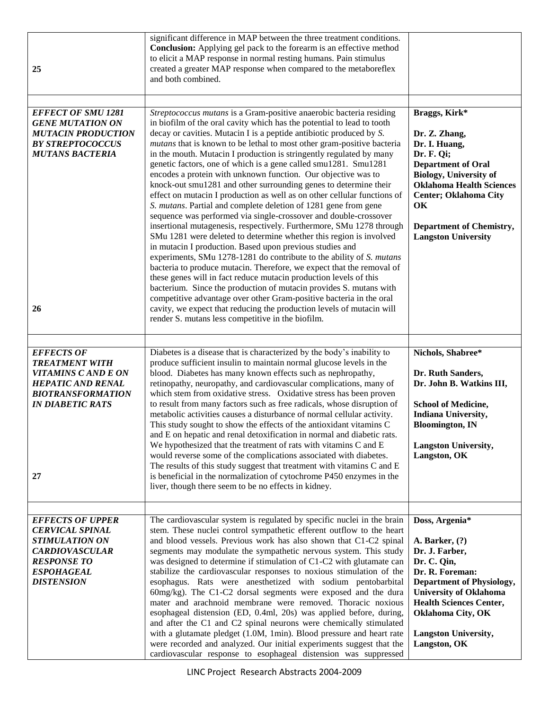| 25                                                                                                                                                                  | significant difference in MAP between the three treatment conditions.<br><b>Conclusion:</b> Applying gel pack to the forearm is an effective method<br>to elicit a MAP response in normal resting humans. Pain stimulus<br>created a greater MAP response when compared to the metaboreflex<br>and both combined.                                                                                                                                                                                                                                                                                                                                                                                                                                                                                                                                                                                                                                                                                                                                                                                                                                                                                                                                                                                                                                                                                                                                                                                           |                                                                                                                                                                                                                                                                          |
|---------------------------------------------------------------------------------------------------------------------------------------------------------------------|-------------------------------------------------------------------------------------------------------------------------------------------------------------------------------------------------------------------------------------------------------------------------------------------------------------------------------------------------------------------------------------------------------------------------------------------------------------------------------------------------------------------------------------------------------------------------------------------------------------------------------------------------------------------------------------------------------------------------------------------------------------------------------------------------------------------------------------------------------------------------------------------------------------------------------------------------------------------------------------------------------------------------------------------------------------------------------------------------------------------------------------------------------------------------------------------------------------------------------------------------------------------------------------------------------------------------------------------------------------------------------------------------------------------------------------------------------------------------------------------------------------|--------------------------------------------------------------------------------------------------------------------------------------------------------------------------------------------------------------------------------------------------------------------------|
| <b>EFFECT OF SMU 1281</b><br><b>GENE MUTATION ON</b><br><b>MUTACIN PRODUCTION</b><br><b>BY STREPTOCOCCUS</b><br><b>MUTANS BACTERIA</b><br>26                        | Streptococcus mutans is a Gram-positive anaerobic bacteria residing<br>in biofilm of the oral cavity which has the potential to lead to tooth<br>decay or cavities. Mutacin I is a peptide antibiotic produced by S.<br>mutans that is known to be lethal to most other gram-positive bacteria<br>in the mouth. Mutacin I production is stringently regulated by many<br>genetic factors, one of which is a gene called smu1281. Smu1281<br>encodes a protein with unknown function. Our objective was to<br>knock-out smu1281 and other surrounding genes to determine their<br>effect on mutacin I production as well as on other cellular functions of<br>S. mutans. Partial and complete deletion of 1281 gene from gene<br>sequence was performed via single-crossover and double-crossover<br>insertional mutagenesis, respectively. Furthermore, SMu 1278 through<br>SMu 1281 were deleted to determine whether this region is involved<br>in mutacin I production. Based upon previous studies and<br>experiments, SMu 1278-1281 do contribute to the ability of S. mutans<br>bacteria to produce mutacin. Therefore, we expect that the removal of<br>these genes will in fact reduce mutacin production levels of this<br>bacterium. Since the production of mutacin provides S. mutans with<br>competitive advantage over other Gram-positive bacteria in the oral<br>cavity, we expect that reducing the production levels of mutacin will<br>render S. mutans less competitive in the biofilm. | Braggs, Kirk*<br>Dr. Z. Zhang,<br>Dr. I. Huang,<br>Dr. F. Qi;<br><b>Department of Oral</b><br><b>Biology, University of</b><br><b>Oklahoma Health Sciences</b><br><b>Center; Oklahoma City</b><br>OK<br><b>Department of Chemistry,</b><br><b>Langston University</b>    |
| <b>EFFECTS OF</b><br><b>TREATMENT WITH</b><br><b>VITAMINS C AND E ON</b><br><b>HEPATIC AND RENAL</b><br><b>BIOTRANSFORMATION</b><br><b>IN DIABETIC RATS</b><br>27   | Diabetes is a disease that is characterized by the body's inability to<br>produce sufficient insulin to maintain normal glucose levels in the<br>blood. Diabetes has many known effects such as nephropathy,<br>retinopathy, neuropathy, and cardiovascular complications, many of<br>which stem from oxidative stress. Oxidative stress has been proven<br>to result from many factors such as free radicals, whose disruption of<br>metabolic activities causes a disturbance of normal cellular activity.<br>This study sought to show the effects of the antioxidant vitamins C<br>and E on hepatic and renal detoxification in normal and diabetic rats.<br>We hypothesized that the treatment of rats with vitamins C and E<br>would reverse some of the complications associated with diabetes.<br>The results of this study suggest that treatment with vitamins C and E<br>is beneficial in the normalization of cytochrome P450 enzymes in the<br>liver, though there seem to be no effects in kidney.                                                                                                                                                                                                                                                                                                                                                                                                                                                                                            | Nichols, Shabree*<br>Dr. Ruth Sanders,<br>Dr. John B. Watkins III,<br><b>School of Medicine,</b><br>Indiana University,<br><b>Bloomington</b> , IN<br><b>Langston University,</b><br>Langston, OK                                                                        |
| <b>EFFECTS OF UPPER</b><br><b>CERVICAL SPINAL</b><br><b>STIMULATION ON</b><br><b>CARDIOVASCULAR</b><br><b>RESPONSE TO</b><br><b>ESPOHAGEAL</b><br><b>DISTENSION</b> | The cardiovascular system is regulated by specific nuclei in the brain<br>stem. These nuclei control sympathetic efferent outflow to the heart<br>and blood vessels. Previous work has also shown that C1-C2 spinal<br>segments may modulate the sympathetic nervous system. This study<br>was designed to determine if stimulation of C1-C2 with glutamate can<br>stabilize the cardiovascular responses to noxious stimulation of the<br>esophagus. Rats were anesthetized with sodium pentobarbital<br>60mg/kg). The C1-C2 dorsal segments were exposed and the dura<br>mater and arachnoid membrane were removed. Thoracic noxious<br>esophageal distension (ED, 0.4ml, 20s) was applied before, during,<br>and after the C1 and C2 spinal neurons were chemically stimulated<br>with a glutamate pledget (1.0M, 1min). Blood pressure and heart rate<br>were recorded and analyzed. Our initial experiments suggest that the<br>cardiovascular response to esophageal distension was suppressed                                                                                                                                                                                                                                                                                                                                                                                                                                                                                                        | Doss, Argenia*<br>A. Barker, $(?)$<br>Dr. J. Farber,<br>Dr. C. Qin,<br>Dr. R. Foreman:<br><b>Department of Physiology,</b><br><b>University of Oklahoma</b><br><b>Health Sciences Center,</b><br><b>Oklahoma City, OK</b><br><b>Langston University,</b><br>Langston, OK |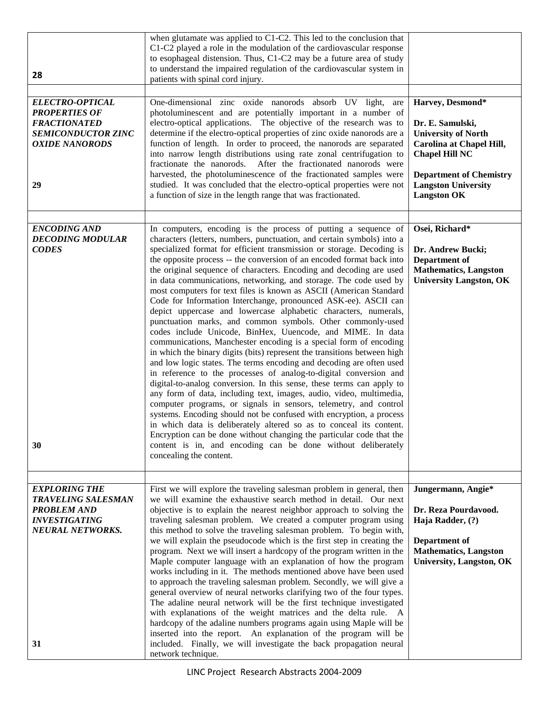| 28                                                                                                                                | when glutamate was applied to C1-C2. This led to the conclusion that<br>C1-C2 played a role in the modulation of the cardiovascular response<br>to esophageal distension. Thus, C1-C2 may be a future area of study<br>to understand the impaired regulation of the cardiovascular system in<br>patients with spinal cord injury.                                                                                                                                                                                                                                                                                                                                                                                                                                                                                                                                                                                                                                                                                                                                                                                                                                                                                                                                                                                                                                                                                                                                                                                                                                                                                 |                                                                                                                                                                                                               |
|-----------------------------------------------------------------------------------------------------------------------------------|-------------------------------------------------------------------------------------------------------------------------------------------------------------------------------------------------------------------------------------------------------------------------------------------------------------------------------------------------------------------------------------------------------------------------------------------------------------------------------------------------------------------------------------------------------------------------------------------------------------------------------------------------------------------------------------------------------------------------------------------------------------------------------------------------------------------------------------------------------------------------------------------------------------------------------------------------------------------------------------------------------------------------------------------------------------------------------------------------------------------------------------------------------------------------------------------------------------------------------------------------------------------------------------------------------------------------------------------------------------------------------------------------------------------------------------------------------------------------------------------------------------------------------------------------------------------------------------------------------------------|---------------------------------------------------------------------------------------------------------------------------------------------------------------------------------------------------------------|
| <b>ELECTRO-OPTICAL</b><br><b>PROPERTIES OF</b><br><b>FRACTIONATED</b><br><b>SEMICONDUCTOR ZINC</b><br><b>OXIDE NANORODS</b><br>29 | One-dimensional zinc oxide nanorods absorb UV light, are<br>photoluminescent and are potentially important in a number of<br>electro-optical applications. The objective of the research was to<br>determine if the electro-optical properties of zinc oxide nanorods are a<br>function of length. In order to proceed, the nanorods are separated<br>into narrow length distributions using rate zonal centrifugation to<br>fractionate the nanorods.<br>After the fractionated nanorods were<br>harvested, the photoluminescence of the fractionated samples were<br>studied. It was concluded that the electro-optical properties were not<br>a function of size in the length range that was fractionated.                                                                                                                                                                                                                                                                                                                                                                                                                                                                                                                                                                                                                                                                                                                                                                                                                                                                                                    | Harvey, Desmond*<br>Dr. E. Samulski,<br><b>University of North</b><br>Carolina at Chapel Hill,<br><b>Chapel Hill NC</b><br><b>Department of Chemistry</b><br><b>Langston University</b><br><b>Langston OK</b> |
| <b>ENCODING AND</b><br><b>DECODING MODULAR</b><br><b>CODES</b><br>30                                                              | In computers, encoding is the process of putting a sequence of<br>characters (letters, numbers, punctuation, and certain symbols) into a<br>specialized format for efficient transmission or storage. Decoding is<br>the opposite process -- the conversion of an encoded format back into<br>the original sequence of characters. Encoding and decoding are used<br>in data communications, networking, and storage. The code used by<br>most computers for text files is known as ASCII (American Standard<br>Code for Information Interchange, pronounced ASK-ee). ASCII can<br>depict uppercase and lowercase alphabetic characters, numerals,<br>punctuation marks, and common symbols. Other commonly-used<br>codes include Unicode, BinHex, Uuencode, and MIME. In data<br>communications, Manchester encoding is a special form of encoding<br>in which the binary digits (bits) represent the transitions between high<br>and low logic states. The terms encoding and decoding are often used<br>in reference to the processes of analog-to-digital conversion and<br>digital-to-analog conversion. In this sense, these terms can apply to<br>any form of data, including text, images, audio, video, multimedia,<br>computer programs, or signals in sensors, telemetry, and control<br>systems. Encoding should not be confused with encryption, a process<br>in which data is deliberately altered so as to conceal its content.<br>Encryption can be done without changing the particular code that the<br>content is in, and encoding can be done without deliberately<br>concealing the content. | Osei, Richard*<br>Dr. Andrew Bucki;<br>Department of<br><b>Mathematics, Langston</b><br><b>University Langston, OK</b>                                                                                        |
| <b>EXPLORING THE</b>                                                                                                              | First we will explore the traveling salesman problem in general, then                                                                                                                                                                                                                                                                                                                                                                                                                                                                                                                                                                                                                                                                                                                                                                                                                                                                                                                                                                                                                                                                                                                                                                                                                                                                                                                                                                                                                                                                                                                                             | Jungermann, Angie*                                                                                                                                                                                            |
| <b>TRAVELING SALESMAN</b><br><b>PROBLEM AND</b><br><b>INVESTIGATING</b><br><b>NEURAL NETWORKS.</b>                                | we will examine the exhaustive search method in detail. Our next<br>objective is to explain the nearest neighbor approach to solving the<br>traveling salesman problem. We created a computer program using<br>this method to solve the traveling salesman problem. To begin with,<br>we will explain the pseudocode which is the first step in creating the<br>program. Next we will insert a hardcopy of the program written in the<br>Maple computer language with an explanation of how the program<br>works including in it. The methods mentioned above have been used<br>to approach the traveling salesman problem. Secondly, we will give a<br>general overview of neural networks clarifying two of the four types.<br>The adaline neural network will be the first technique investigated<br>with explanations of the weight matrices and the delta rule. A                                                                                                                                                                                                                                                                                                                                                                                                                                                                                                                                                                                                                                                                                                                                            | Dr. Reza Pourdavood.<br>Haja Radder, (?)<br>Department of<br><b>Mathematics, Langston</b><br><b>University, Langston, OK</b>                                                                                  |
| 31                                                                                                                                | hardcopy of the adaline numbers programs again using Maple will be<br>inserted into the report. An explanation of the program will be<br>included. Finally, we will investigate the back propagation neural<br>network technique.                                                                                                                                                                                                                                                                                                                                                                                                                                                                                                                                                                                                                                                                                                                                                                                                                                                                                                                                                                                                                                                                                                                                                                                                                                                                                                                                                                                 |                                                                                                                                                                                                               |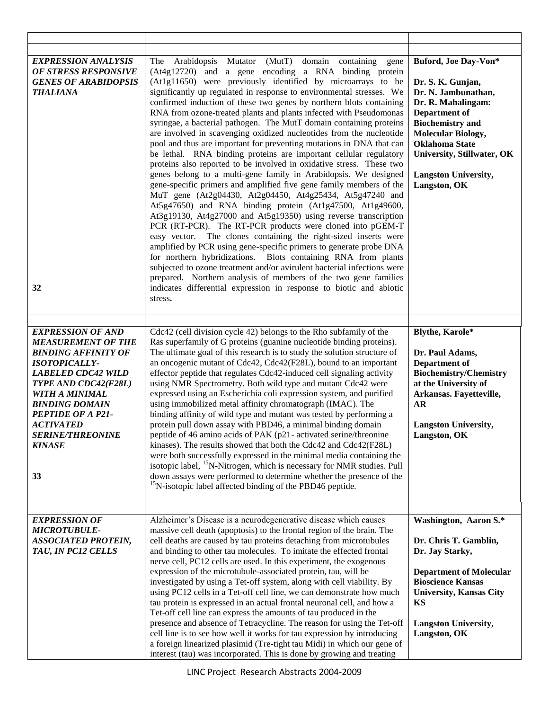| <b>EXPRESSION ANALYSIS</b><br><b>OF STRESS RESPONSIVE</b><br><b>GENES OF ARABIDOPSIS</b><br><b>THALIANA</b><br>32                                                                                                                                                                                             | Mutator (MutT) domain containing<br>Arabidopsis<br>The<br>gene<br>(At4g12720) and a gene encoding a RNA binding protein<br>(At1g11650) were previously identified by microarrays to be<br>significantly up regulated in response to environmental stresses. We<br>confirmed induction of these two genes by northern blots containing<br>RNA from ozone-treated plants and plants infected with Pseudomonas<br>syringae, a bacterial pathogen. The MutT domain containing proteins<br>are involved in scavenging oxidized nucleotides from the nucleotide<br>pool and thus are important for preventing mutations in DNA that can<br>be lethal. RNA binding proteins are important cellular regulatory<br>proteins also reported to be involved in oxidative stress. These two<br>genes belong to a multi-gene family in Arabidopsis. We designed<br>gene-specific primers and amplified five gene family members of the<br>MuT gene (At2g04430, At2g04450, At4g25434, At5g47240 and<br>At5g47650) and RNA binding protein (At1g47500, At1g49600,<br>At3g19130, At4g27000 and At5g19350) using reverse transcription<br>PCR (RT-PCR). The RT-PCR products were cloned into pGEM-T<br>easy vector. The clones containing the right-sized inserts were<br>amplified by PCR using gene-specific primers to generate probe DNA<br>for northern hybridizations. Blots containing RNA from plants<br>subjected to ozone treatment and/or avirulent bacterial infections were<br>prepared. Northern analysis of members of the two gene families<br>indicates differential expression in response to biotic and abiotic<br>stress. | Buford, Joe Day-Von*<br>Dr. S. K. Gunjan,<br>Dr. N. Jambunathan,<br>Dr. R. Mahalingam:<br>Department of<br><b>Biochemistry</b> and<br><b>Molecular Biology,</b><br><b>Oklahoma State</b><br><b>University, Stillwater, OK</b><br><b>Langston University,</b><br>Langston, OK |
|---------------------------------------------------------------------------------------------------------------------------------------------------------------------------------------------------------------------------------------------------------------------------------------------------------------|-----------------------------------------------------------------------------------------------------------------------------------------------------------------------------------------------------------------------------------------------------------------------------------------------------------------------------------------------------------------------------------------------------------------------------------------------------------------------------------------------------------------------------------------------------------------------------------------------------------------------------------------------------------------------------------------------------------------------------------------------------------------------------------------------------------------------------------------------------------------------------------------------------------------------------------------------------------------------------------------------------------------------------------------------------------------------------------------------------------------------------------------------------------------------------------------------------------------------------------------------------------------------------------------------------------------------------------------------------------------------------------------------------------------------------------------------------------------------------------------------------------------------------------------------------------------------------------------------------------------------------|------------------------------------------------------------------------------------------------------------------------------------------------------------------------------------------------------------------------------------------------------------------------------|
| <b>EXPRESSION OF AND</b><br><b>MEASUREMENT OF THE</b><br><b>BINDING AFFINITY OF</b><br><b>ISOTOPICALLY-</b><br><b>LABELED CDC42 WILD</b><br>TYPE AND CDC42(F28L)<br><b>WITH A MINIMAL</b><br><b>BINDING DOMAIN</b><br>PEPTIDE OF A P21-<br><i>ACTIVATED</i><br><b>SERINE/THREONINE</b><br><b>KINASE</b><br>33 | Cdc42 (cell division cycle 42) belongs to the Rho subfamily of the<br>Ras superfamily of G proteins (guanine nucleotide binding proteins).<br>The ultimate goal of this research is to study the solution structure of<br>an oncogenic mutant of Cdc42, Cdc42(F28L), bound to an important<br>effector peptide that regulates Cdc42-induced cell signaling activity<br>using NMR Spectrometry. Both wild type and mutant Cdc42 were<br>expressed using an Escherichia coli expression system, and purified<br>using immobilized metal affinity chromatograph (IMAC). The<br>binding affinity of wild type and mutant was tested by performing a<br>protein pull down assay with PBD46, a minimal binding domain<br>peptide of 46 amino acids of PAK (p21- activated serine/threonine<br>kinases). The results showed that both the Cdc42 and Cdc42(F28L)<br>were both successfully expressed in the minimal media containing the<br>isotopic label, <sup>15</sup> N-Nitrogen, which is necessary for NMR studies. Pull<br>down assays were performed to determine whether the presence of the<br><sup>15</sup> N-isotopic label affected binding of the PBD46 peptide.                                                                                                                                                                                                                                                                                                                                                                                                                                                      | Blythe, Karole*<br>Dr. Paul Adams,<br>Department of<br><b>Biochemistry/Chemistry</b><br>at the University of<br>Arkansas. Fayetteville,<br><b>AR</b><br><b>Langston University,</b><br>Langston, OK                                                                          |
| <b>EXPRESSION OF</b><br><b>MICROTUBULE-</b><br><b>ASSOCIATED PROTEIN,</b><br>TAU, IN PC12 CELLS                                                                                                                                                                                                               | Alzheimer's Disease is a neurodegenerative disease which causes<br>massive cell death (apoptosis) to the frontal region of the brain. The<br>cell deaths are caused by tau proteins detaching from microtubules<br>and binding to other tau molecules. To imitate the effected frontal<br>nerve cell, PC12 cells are used. In this experiment, the exogenous<br>expression of the microtubule-associated protein, tau, will be<br>investigated by using a Tet-off system, along with cell viability. By<br>using PC12 cells in a Tet-off cell line, we can demonstrate how much<br>tau protein is expressed in an actual frontal neuronal cell, and how a<br>Tet-off cell line can express the amounts of tau produced in the<br>presence and absence of Tetracycline. The reason for using the Tet-off<br>cell line is to see how well it works for tau expression by introducing<br>a foreign linearized plasimid (Tre-tight tau Midi) in which our gene of<br>interest (tau) was incorporated. This is done by growing and treating                                                                                                                                                                                                                                                                                                                                                                                                                                                                                                                                                                                      | Washington, Aaron S.*<br>Dr. Chris T. Gamblin,<br>Dr. Jay Starky,<br><b>Department of Molecular</b><br><b>Bioscience Kansas</b><br><b>University, Kansas City</b><br><b>KS</b><br><b>Langston University,</b><br>Langston, OK                                                |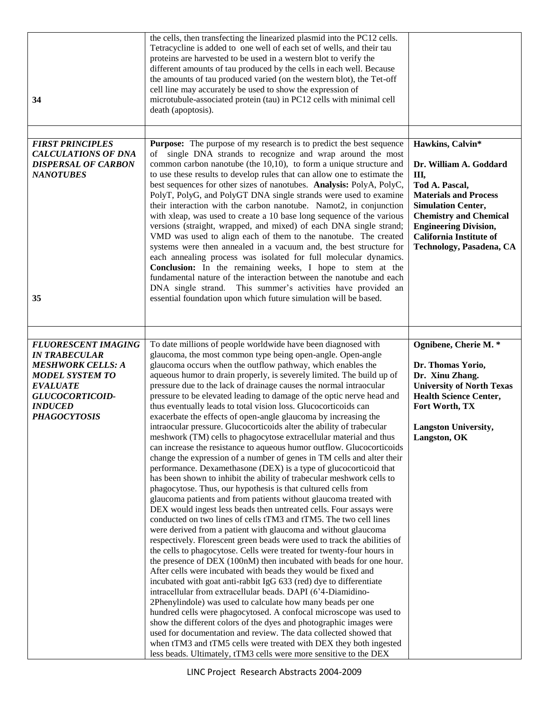| 34                                                                                                                                                                                      | the cells, then transfecting the linearized plasmid into the PC12 cells.<br>Tetracycline is added to one well of each set of wells, and their tau<br>proteins are harvested to be used in a western blot to verify the<br>different amounts of tau produced by the cells in each well. Because<br>the amounts of tau produced varied (on the western blot), the Tet-off<br>cell line may accurately be used to show the expression of<br>microtubule-associated protein (tau) in PC12 cells with minimal cell<br>death (apoptosis).                                                                                                                                                                                                                                                                                                                                                                                                                                                                                                                                                                                                                                                                                                                                                                                                                                                                                                                                                                                                                                                                                                                                                                                                                                                                                                                                                                                                                                                                                                                                                                                                                  |                                                                                                                                                                                                                                                                |
|-----------------------------------------------------------------------------------------------------------------------------------------------------------------------------------------|------------------------------------------------------------------------------------------------------------------------------------------------------------------------------------------------------------------------------------------------------------------------------------------------------------------------------------------------------------------------------------------------------------------------------------------------------------------------------------------------------------------------------------------------------------------------------------------------------------------------------------------------------------------------------------------------------------------------------------------------------------------------------------------------------------------------------------------------------------------------------------------------------------------------------------------------------------------------------------------------------------------------------------------------------------------------------------------------------------------------------------------------------------------------------------------------------------------------------------------------------------------------------------------------------------------------------------------------------------------------------------------------------------------------------------------------------------------------------------------------------------------------------------------------------------------------------------------------------------------------------------------------------------------------------------------------------------------------------------------------------------------------------------------------------------------------------------------------------------------------------------------------------------------------------------------------------------------------------------------------------------------------------------------------------------------------------------------------------------------------------------------------------|----------------------------------------------------------------------------------------------------------------------------------------------------------------------------------------------------------------------------------------------------------------|
| <b>FIRST PRINCIPLES</b><br><b>CALCULATIONS OF DNA</b><br><b>DISPERSAL OF CARBON</b><br><b>NANOTUBES</b><br>35                                                                           | <b>Purpose:</b> The purpose of my research is to predict the best sequence<br>single DNA strands to recognize and wrap around the most<br>of<br>common carbon nanotube (the $10,10$ ), to form a unique structure and<br>to use these results to develop rules that can allow one to estimate the<br>best sequences for other sizes of nanotubes. Analysis: PolyA, PolyC,<br>PolyT, PolyG, and PolyGT DNA single strands were used to examine<br>their interaction with the carbon nanotube. Namot2, in conjunction<br>with xleap, was used to create a 10 base long sequence of the various<br>versions (straight, wrapped, and mixed) of each DNA single strand;<br>VMD was used to align each of them to the nanotube. The created<br>systems were then annealed in a vacuum and, the best structure for<br>each annealing process was isolated for full molecular dynamics.<br>Conclusion: In the remaining weeks, I hope to stem at the<br>fundamental nature of the interaction between the nanotube and each<br>DNA single strand. This summer's activities have provided an<br>essential foundation upon which future simulation will be based.                                                                                                                                                                                                                                                                                                                                                                                                                                                                                                                                                                                                                                                                                                                                                                                                                                                                                                                                                                                              | Hawkins, Calvin*<br>Dr. William A. Goddard<br>Ш,<br>Tod A. Pascal,<br><b>Materials and Process</b><br><b>Simulation Center,</b><br><b>Chemistry and Chemical</b><br><b>Engineering Division,</b><br><b>California Institute of</b><br>Technology, Pasadena, CA |
|                                                                                                                                                                                         |                                                                                                                                                                                                                                                                                                                                                                                                                                                                                                                                                                                                                                                                                                                                                                                                                                                                                                                                                                                                                                                                                                                                                                                                                                                                                                                                                                                                                                                                                                                                                                                                                                                                                                                                                                                                                                                                                                                                                                                                                                                                                                                                                      |                                                                                                                                                                                                                                                                |
| <b>FLUORESCENT IMAGING</b><br><b>IN TRABECULAR</b><br><b>MESHWORK CELLS: A</b><br><b>MODEL SYSTEM TO</b><br><b>EVALUATE</b><br>GLUCOCORTICOID-<br><b>INDUCED</b><br><b>PHAGOCYTOSIS</b> | To date millions of people worldwide have been diagnosed with<br>glaucoma, the most common type being open-angle. Open-angle<br>glaucoma occurs when the outflow pathway, which enables the<br>aqueous humor to drain properly, is severely limited. The build up of<br>pressure due to the lack of drainage causes the normal intraocular<br>pressure to be elevated leading to damage of the optic nerve head and<br>thus eventually leads to total vision loss. Glucocorticoids can<br>exacerbate the effects of open-angle glaucoma by increasing the<br>intraocular pressure. Glucocorticoids alter the ability of trabecular<br>meshwork (TM) cells to phagocytose extracellular material and thus<br>can increase the resistance to aqueous humor outflow. Glucocorticoids<br>change the expression of a number of genes in TM cells and alter their<br>performance. Dexamethasone (DEX) is a type of glucocorticoid that<br>has been shown to inhibit the ability of trabecular meshwork cells to<br>phagocytose. Thus, our hypothesis is that cultured cells from<br>glaucoma patients and from patients without glaucoma treated with<br>DEX would ingest less beads then untreated cells. Four assays were<br>conducted on two lines of cells tTM3 and tTM5. The two cell lines<br>were derived from a patient with glaucoma and without glaucoma<br>respectively. Florescent green beads were used to track the abilities of<br>the cells to phagocytose. Cells were treated for twenty-four hours in<br>the presence of DEX (100nM) then incubated with beads for one hour.<br>After cells were incubated with beads they would be fixed and<br>incubated with goat anti-rabbit IgG 633 (red) dye to differentiate<br>intracellular from extracellular beads. DAPI (6'4-Diamidino-<br>2Phenylindole) was used to calculate how many beads per one<br>hundred cells were phagocytosed. A confocal microscope was used to<br>show the different colors of the dyes and photographic images were<br>used for documentation and review. The data collected showed that<br>when tTM3 and tTM5 cells were treated with DEX they both ingested | Ognibene, Cherie M. *<br>Dr. Thomas Yorio,<br>Dr. Xinu Zhang.<br><b>University of North Texas</b><br><b>Health Science Center,</b><br>Fort Worth, TX<br><b>Langston University,</b><br>Langston, OK                                                            |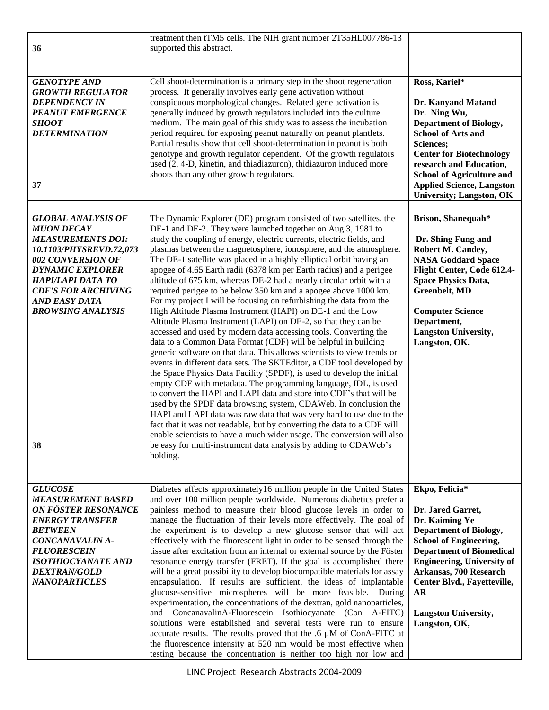| 36                                                                                                                                                                                                                                                                 | treatment then tTM5 cells. The NIH grant number 2T35HL007786-13<br>supported this abstract.                                                                                                                                                                                                                                                                                                                                                                                                                                                                                                                                                                                                                                                                                                                                                                                                                                                                                                                                                                                                                                                                                                                                                                                                                                                                                                                                                                                                                                                                                                                                                                                      |                                                                                                                                                                                                                                                                                                                |
|--------------------------------------------------------------------------------------------------------------------------------------------------------------------------------------------------------------------------------------------------------------------|----------------------------------------------------------------------------------------------------------------------------------------------------------------------------------------------------------------------------------------------------------------------------------------------------------------------------------------------------------------------------------------------------------------------------------------------------------------------------------------------------------------------------------------------------------------------------------------------------------------------------------------------------------------------------------------------------------------------------------------------------------------------------------------------------------------------------------------------------------------------------------------------------------------------------------------------------------------------------------------------------------------------------------------------------------------------------------------------------------------------------------------------------------------------------------------------------------------------------------------------------------------------------------------------------------------------------------------------------------------------------------------------------------------------------------------------------------------------------------------------------------------------------------------------------------------------------------------------------------------------------------------------------------------------------------|----------------------------------------------------------------------------------------------------------------------------------------------------------------------------------------------------------------------------------------------------------------------------------------------------------------|
| <b>GENOTYPE AND</b><br><b>GROWTH REGULATOR</b><br><b>DEPENDENCY IN</b><br><b>PEANUT EMERGENCE</b><br><b>SHOOT</b><br><b>DETERMINATION</b><br>37                                                                                                                    | Cell shoot-determination is a primary step in the shoot regeneration<br>process. It generally involves early gene activation without<br>conspicuous morphological changes. Related gene activation is<br>generally induced by growth regulators included into the culture<br>medium. The main goal of this study was to assess the incubation<br>period required for exposing peanut naturally on peanut plantlets.<br>Partial results show that cell shoot-determination in peanut is both<br>genotype and growth regulator dependent. Of the growth regulators<br>used (2, 4-D, kinetin, and thiadiazuron), thidiazuron induced more<br>shoots than any other growth regulators.                                                                                                                                                                                                                                                                                                                                                                                                                                                                                                                                                                                                                                                                                                                                                                                                                                                                                                                                                                                               | Ross, Kariel*<br>Dr. Kanyand Matand<br>Dr. Ning Wu,<br>Department of Biology,<br><b>School of Arts and</b><br>Sciences;<br><b>Center for Biotechnology</b><br>research and Education,<br><b>School of Agriculture and</b><br><b>Applied Science, Langston</b><br><b>University; Langston, OK</b>               |
| <b>GLOBAL ANALYSIS OF</b><br><b>MUON DECAY</b><br><b>MEASUREMENTS DOI:</b><br>10.1103/PHYSREVD.72,073<br>002 CONVERSION OF<br><b>DYNAMIC EXPLORER</b><br>HAPI/LAPI DATA TO<br><b>CDF'S FOR ARCHIVING</b><br><b>AND EASY DATA</b><br><b>BROWSING ANALYSIS</b><br>38 | The Dynamic Explorer (DE) program consisted of two satellites, the<br>DE-1 and DE-2. They were launched together on Aug 3, 1981 to<br>study the coupling of energy, electric currents, electric fields, and<br>plasmas between the magnetosphere, ionosphere, and the atmosphere.<br>The DE-1 satellite was placed in a highly elliptical orbit having an<br>apogee of 4.65 Earth radii (6378 km per Earth radius) and a perigee<br>altitude of 675 km, whereas DE-2 had a nearly circular orbit with a<br>required perigee to be below 350 km and a apogee above 1000 km.<br>For my project I will be focusing on refurbishing the data from the<br>High Altitude Plasma Instrument (HAPI) on DE-1 and the Low<br>Altitude Plasma Instrument (LAPI) on DE-2, so that they can be<br>accessed and used by modern data accessing tools. Converting the<br>data to a Common Data Format (CDF) will be helpful in building<br>generic software on that data. This allows scientists to view trends or<br>events in different data sets. The SKTEditor, a CDF tool developed by<br>the Space Physics Data Facility (SPDF), is used to develop the initial<br>empty CDF with metadata. The programming language, IDL, is used<br>to convert the HAPI and LAPI data and store into CDF's that will be<br>used by the SPDF data browsing system, CDAWeb. In conclusion the<br>HAPI and LAPI data was raw data that was very hard to use due to the<br>fact that it was not readable, but by converting the data to a CDF will<br>enable scientists to have a much wider usage. The conversion will also<br>be easy for multi-instrument data analysis by adding to CDAWeb's<br>holding. | Brison, Shanequah*<br>Dr. Shing Fung and<br>Robert M. Candey,<br><b>NASA Goddard Space</b><br>Flight Center, Code 612.4-<br><b>Space Physics Data,</b><br><b>Greenbelt</b> , MD<br><b>Computer Science</b><br>Department,<br><b>Langston University,</b><br>Langston, OK,                                      |
| <b>GLUCOSE</b><br><b>MEASUREMENT BASED</b><br>ON FÖSTER RESONANCE<br><b>ENERGY TRANSFER</b><br><b>BETWEEN</b><br>CONCANAVALIN A-<br><b>FLUORESCEIN</b><br><b>ISOTHIOCYANATE AND</b><br><i><b>DEXTRAN/GOLD</b></i><br><b>NANOPARTICLES</b>                          | Diabetes affects approximately16 million people in the United States<br>and over 100 million people worldwide. Numerous diabetics prefer a<br>painless method to measure their blood glucose levels in order to<br>manage the fluctuation of their levels more effectively. The goal of<br>the experiment is to develop a new glucose sensor that will act<br>effectively with the fluorescent light in order to be sensed through the<br>tissue after excitation from an internal or external source by the Föster<br>resonance energy transfer (FRET). If the goal is accomplished there<br>will be a great possibility to develop biocompatible materials for assay<br>encapsulation. If results are sufficient, the ideas of implantable<br>glucose-sensitive microspheres will be more feasible. During<br>experimentation, the concentrations of the dextran, gold nanoparticles,<br>and ConcanavalinA-Fluorescein Isothiocyanate (Con A-FITC)<br>solutions were established and several tests were run to ensure<br>accurate results. The results proved that the .6 $\mu$ M of ConA-FITC at<br>the fluorescence intensity at 520 nm would be most effective when<br>testing because the concentration is neither too high nor low and                                                                                                                                                                                                                                                                                                                                                                                                                                    | Ekpo, Felicia*<br>Dr. Jared Garret,<br>Dr. Kaiming Ye<br><b>Department of Biology,</b><br><b>School of Engineering,</b><br><b>Department of Biomedical</b><br><b>Engineering, University of</b><br>Arkansas, 700 Research<br>Center Blvd., Fayetteville,<br>AR<br><b>Langston University,</b><br>Langston, OK, |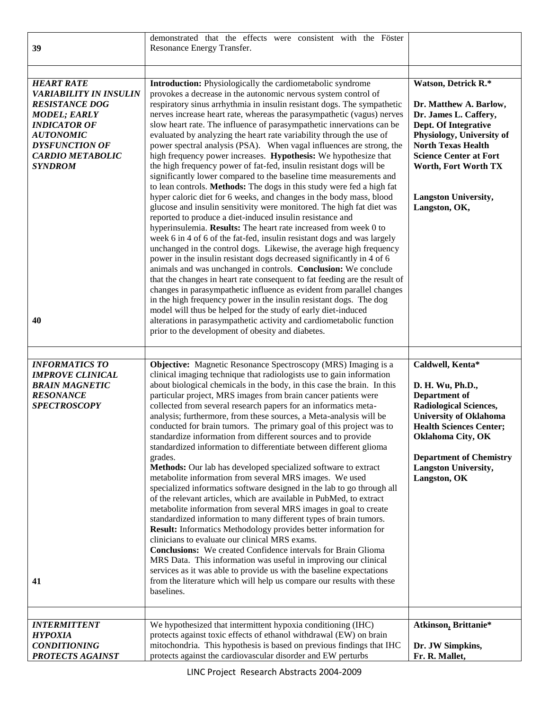| 39                                                                                                                                                                                                                        | demonstrated that the effects were consistent with the Föster<br>Resonance Energy Transfer.                                                                                                                                                                                                                                                                                                                                                                                                                                                                                                                                                                                                                                                                                                                                                                                                                                                                                                                                                                                                                                                                                                                                                                                                                                                                                                                                                                                                                                                                                                                                                                                                                                                                                                                         |                                                                                                                                                                                                                                                                        |
|---------------------------------------------------------------------------------------------------------------------------------------------------------------------------------------------------------------------------|---------------------------------------------------------------------------------------------------------------------------------------------------------------------------------------------------------------------------------------------------------------------------------------------------------------------------------------------------------------------------------------------------------------------------------------------------------------------------------------------------------------------------------------------------------------------------------------------------------------------------------------------------------------------------------------------------------------------------------------------------------------------------------------------------------------------------------------------------------------------------------------------------------------------------------------------------------------------------------------------------------------------------------------------------------------------------------------------------------------------------------------------------------------------------------------------------------------------------------------------------------------------------------------------------------------------------------------------------------------------------------------------------------------------------------------------------------------------------------------------------------------------------------------------------------------------------------------------------------------------------------------------------------------------------------------------------------------------------------------------------------------------------------------------------------------------|------------------------------------------------------------------------------------------------------------------------------------------------------------------------------------------------------------------------------------------------------------------------|
| <b>HEART RATE</b><br><b>VARIABILITY IN INSULIN</b><br><b>RESISTANCE DOG</b><br><b>MODEL; EARLY</b><br><b>INDICATOR OF</b><br><b>AUTONOMIC</b><br><b>DYSFUNCTION OF</b><br><b>CARDIO METABOLIC</b><br><b>SYNDROM</b><br>40 | <b>Introduction:</b> Physiologically the cardiometabolic syndrome<br>provokes a decrease in the autonomic nervous system control of<br>respiratory sinus arrhythmia in insulin resistant dogs. The sympathetic<br>nerves increase heart rate, whereas the parasympathetic (vagus) nerves<br>slow heart rate. The influence of parasympathetic innervations can be<br>evaluated by analyzing the heart rate variability through the use of<br>power spectral analysis (PSA). When vagal influences are strong, the<br>high frequency power increases. Hypothesis: We hypothesize that<br>the high frequency power of fat-fed, insulin resistant dogs will be<br>significantly lower compared to the baseline time measurements and<br>to lean controls. Methods: The dogs in this study were fed a high fat<br>hyper caloric diet for 6 weeks, and changes in the body mass, blood<br>glucose and insulin sensitivity were monitored. The high fat diet was<br>reported to produce a diet-induced insulin resistance and<br>hyperinsulemia. Results: The heart rate increased from week 0 to<br>week 6 in 4 of 6 of the fat-fed, insulin resistant dogs and was largely<br>unchanged in the control dogs. Likewise, the average high frequency<br>power in the insulin resistant dogs decreased significantly in 4 of 6<br>animals and was unchanged in controls. Conclusion: We conclude<br>that the changes in heart rate consequent to fat feeding are the result of<br>changes in parasympathetic influence as evident from parallel changes<br>in the high frequency power in the insulin resistant dogs. The dog<br>model will thus be helped for the study of early diet-induced<br>alterations in parasympathetic activity and cardiometabolic function<br>prior to the development of obesity and diabetes. | Watson, Detrick R.*<br>Dr. Matthew A. Barlow,<br>Dr. James L. Caffery,<br>Dept. Of Integrative<br>Physiology, University of<br><b>North Texas Health</b><br><b>Science Center at Fort</b><br>Worth, Fort Worth TX<br><b>Langston University,</b><br>Langston, OK,      |
| <b>INFORMATICS TO</b><br><b>IMPROVE CLINICAL</b><br><b>BRAIN MAGNETIC</b><br><b>RESONANCE</b><br><b>SPECTROSCOPY</b><br>41                                                                                                | <b>Objective:</b> Magnetic Resonance Spectroscopy (MRS) Imaging is a<br>clinical imaging technique that radiologists use to gain information<br>about biological chemicals in the body, in this case the brain. In this<br>particular project, MRS images from brain cancer patients were<br>collected from several research papers for an informatics meta-<br>analysis; furthermore, from these sources, a Meta-analysis will be<br>conducted for brain tumors. The primary goal of this project was to<br>standardize information from different sources and to provide<br>standardized information to differentiate between different glioma<br>grades.<br>Methods: Our lab has developed specialized software to extract<br>metabolite information from several MRS images. We used<br>specialized informatics software designed in the lab to go through all<br>of the relevant articles, which are available in PubMed, to extract<br>metabolite information from several MRS images in goal to create<br>standardized information to many different types of brain tumors.<br><b>Result:</b> Informatics Methodology provides better information for<br>clinicians to evaluate our clinical MRS exams.<br><b>Conclusions:</b> We created Confidence intervals for Brain Glioma<br>MRS Data. This information was useful in improving our clinical<br>services as it was able to provide us with the baseline expectations<br>from the literature which will help us compare our results with these<br>baselines.                                                                                                                                                                                                                                                                                            | Caldwell, Kenta*<br>D. H. Wu, Ph.D.,<br><b>Department of</b><br><b>Radiological Sciences,</b><br><b>University of Oklahoma</b><br><b>Health Sciences Center;</b><br>Oklahoma City, OK<br><b>Department of Chemistry</b><br><b>Langston University,</b><br>Langston, OK |
| <b>INTERMITTENT</b><br><b>HYPOXIA</b><br><b>CONDITIONING</b><br>PROTECTS AGAINST                                                                                                                                          | We hypothesized that intermittent hypoxia conditioning (IHC)<br>protects against toxic effects of ethanol withdrawal (EW) on brain<br>mitochondria. This hypothesis is based on previous findings that IHC<br>protects against the cardiovascular disorder and EW perturbs                                                                                                                                                                                                                                                                                                                                                                                                                                                                                                                                                                                                                                                                                                                                                                                                                                                                                                                                                                                                                                                                                                                                                                                                                                                                                                                                                                                                                                                                                                                                          | Atkinson, Brittanie*<br>Dr. JW Simpkins,<br>Fr. R. Mallet,                                                                                                                                                                                                             |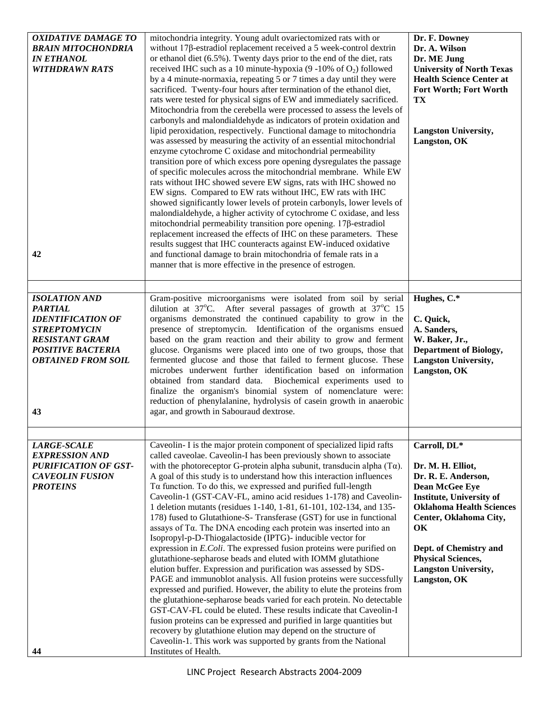| <b>OXIDATIVE DAMAGE TO</b><br><b>BRAIN MITOCHONDRIA</b><br><b>IN ETHANOL</b><br><b>WITHDRAWN RATS</b><br>42                                                                       | mitochondria integrity. Young adult ovariectomized rats with or<br>without 17β-estradiol replacement received a 5 week-control dextrin<br>or ethanol diet (6.5%). Twenty days prior to the end of the diet, rats<br>received IHC such as a 10 minute-hypoxia (9 -10% of O <sub>2</sub> ) followed<br>by a 4 minute-normaxia, repeating 5 or 7 times a day until they were<br>sacrificed. Twenty-four hours after termination of the ethanol diet,<br>rats were tested for physical signs of EW and immediately sacrificed.<br>Mitochondria from the cerebella were processed to assess the levels of<br>carbonyls and malondialdehyde as indicators of protein oxidation and<br>lipid peroxidation, respectively. Functional damage to mitochondria<br>was assessed by measuring the activity of an essential mitochondrial<br>enzyme cytochrome C oxidase and mitochondrial permeability<br>transition pore of which excess pore opening dysregulates the passage<br>of specific molecules across the mitochondrial membrane. While EW<br>rats without IHC showed severe EW signs, rats with IHC showed no<br>EW signs. Compared to EW rats without IHC, EW rats with IHC<br>showed significantly lower levels of protein carbonyls, lower levels of<br>malondialdehyde, a higher activity of cytochrome C oxidase, and less<br>mitochondrial permeability transition pore opening. $17\beta$ -estradiol<br>replacement increased the effects of IHC on these parameters. These<br>results suggest that IHC counteracts against EW-induced oxidative<br>and functional damage to brain mitochondria of female rats in a<br>manner that is more effective in the presence of estrogen. | Dr. F. Downey<br>Dr. A. Wilson<br>Dr. ME Jung<br><b>University of North Texas</b><br><b>Health Science Center at</b><br><b>Fort Worth; Fort Worth</b><br>TX<br><b>Langston University,</b><br>Langston, OK                                                                             |
|-----------------------------------------------------------------------------------------------------------------------------------------------------------------------------------|----------------------------------------------------------------------------------------------------------------------------------------------------------------------------------------------------------------------------------------------------------------------------------------------------------------------------------------------------------------------------------------------------------------------------------------------------------------------------------------------------------------------------------------------------------------------------------------------------------------------------------------------------------------------------------------------------------------------------------------------------------------------------------------------------------------------------------------------------------------------------------------------------------------------------------------------------------------------------------------------------------------------------------------------------------------------------------------------------------------------------------------------------------------------------------------------------------------------------------------------------------------------------------------------------------------------------------------------------------------------------------------------------------------------------------------------------------------------------------------------------------------------------------------------------------------------------------------------------------------------------------------------------------------------------------------|----------------------------------------------------------------------------------------------------------------------------------------------------------------------------------------------------------------------------------------------------------------------------------------|
| <b>ISOLATION AND</b><br><b>PARTIAL</b><br><b>IDENTIFICATION OF</b><br><b>STREPTOMYCIN</b><br><b>RESISTANT GRAM</b><br><b>POSITIVE BACTERIA</b><br><b>OBTAINED FROM SOIL</b><br>43 | Gram-positive microorganisms were isolated from soil by serial<br>dilution at $37^{\circ}$ C. After several passages of growth at $37^{\circ}$ C 15<br>organisms demonstrated the continued capability to grow in the<br>presence of streptomycin. Identification of the organisms ensued<br>based on the gram reaction and their ability to grow and ferment<br>glucose. Organisms were placed into one of two groups, those that<br>fermented glucose and those that failed to ferment glucose. These<br>microbes underwent further identification based on information<br>obtained from standard data. Biochemical experiments used to<br>finalize the organism's binomial system of nomenclature were:<br>reduction of phenylalanine, hydrolysis of casein growth in anaerobic<br>agar, and growth in Sabouraud dextrose.                                                                                                                                                                                                                                                                                                                                                                                                                                                                                                                                                                                                                                                                                                                                                                                                                                                          | Hughes, C.*<br>C. Quick,<br>A. Sanders,<br>W. Baker, Jr.,<br><b>Department of Biology,</b><br><b>Langston University,</b><br>Langston, OK                                                                                                                                              |
| <b>LARGE-SCALE</b><br><b>EXPRESSION AND</b><br><b>PURIFICATION OF GST-</b><br><b>CAVEOLIN FUSION</b><br><b>PROTEINS</b><br>44                                                     | Caveolin- I is the major protein component of specialized lipid rafts<br>called caveolae. Caveolin-I has been previously shown to associate<br>with the photoreceptor G-protein alpha subunit, transducin alpha $(T\alpha)$ .<br>A goal of this study is to understand how this interaction influences<br>Ta function. To do this, we expressed and purified full-length<br>Caveolin-1 (GST-CAV-FL, amino acid residues 1-178) and Caveolin-<br>1 deletion mutants (residues 1-140, 1-81, 61-101, 102-134, and 135-<br>178) fused to Glutathione-S- Transferase (GST) for use in functional<br>assays of Τα. The DNA encoding each protein was inserted into an<br>Isopropyl-p-D-Thiogalactoside (IPTG)- inducible vector for<br>expression in E.Coli. The expressed fusion proteins were purified on<br>glutathione-sepharose beads and eluted with IOMM glutathione<br>elution buffer. Expression and purification was assessed by SDS-<br>PAGE and immunoblot analysis. All fusion proteins were successfully<br>expressed and purified. However, the ability to elute the proteins from<br>the glutathione-sepharose beads varied for each protein. No detectable<br>GST-CAV-FL could be eluted. These results indicate that Caveolin-I<br>fusion proteins can be expressed and purified in large quantities but<br>recovery by glutathione elution may depend on the structure of<br>Caveolin-1. This work was supported by grants from the National<br>Institutes of Health.                                                                                                                                                                                                     | Carroll, DL*<br>Dr. M. H. Elliot,<br>Dr. R. E. Anderson,<br>Dean McGee Eye<br><b>Institute, University of</b><br><b>Oklahoma Health Sciences</b><br>Center, Oklahoma City,<br>OK<br>Dept. of Chemistry and<br><b>Physical Sciences,</b><br><b>Langston University,</b><br>Langston, OK |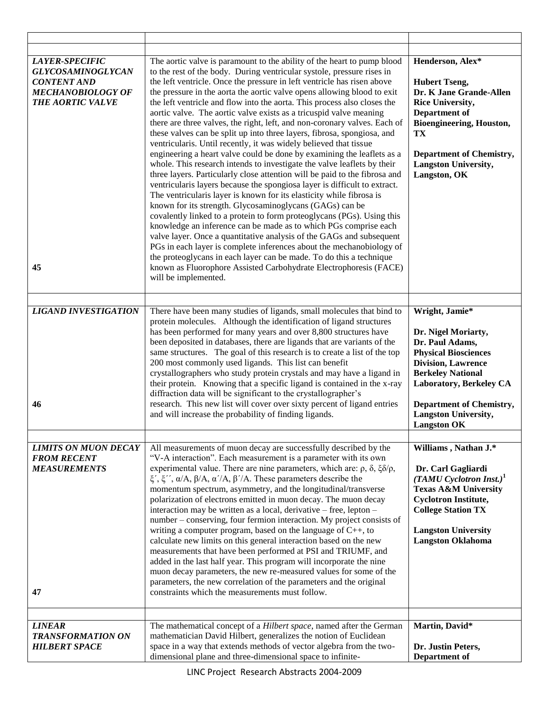| LAYER-SPECIFIC<br><b>GLYCOSAMINOGLYCAN</b><br><b>CONTENT AND</b><br><b>MECHANOBIOLOGY OF</b><br><b>THE AORTIC VALVE</b><br>45 | The aortic valve is paramount to the ability of the heart to pump blood<br>to the rest of the body. During ventricular systole, pressure rises in<br>the left ventricle. Once the pressure in left ventricle has risen above<br>the pressure in the aorta the aortic valve opens allowing blood to exit<br>the left ventricle and flow into the aorta. This process also closes the<br>aortic valve. The aortic valve exists as a tricuspid valve meaning<br>there are three valves, the right, left, and non-coronary valves. Each of<br>these valves can be split up into three layers, fibrosa, spongiosa, and<br>ventricularis. Until recently, it was widely believed that tissue<br>engineering a heart valve could be done by examining the leaflets as a<br>whole. This research intends to investigate the valve leaflets by their<br>three layers. Particularly close attention will be paid to the fibrosa and<br>ventricularis layers because the spongiosa layer is difficult to extract.<br>The ventricularis layer is known for its elasticity while fibrosa is<br>known for its strength. Glycosaminoglycans (GAGs) can be<br>covalently linked to a protein to form proteoglycans (PGs). Using this<br>knowledge an inference can be made as to which PGs comprise each<br>valve layer. Once a quantitative analysis of the GAGs and subsequent<br>PGs in each layer is complete inferences about the mechanobiology of<br>the proteoglycans in each layer can be made. To do this a technique<br>known as Fluorophore Assisted Carbohydrate Electrophoresis (FACE)<br>will be implemented. | Henderson, Alex*<br><b>Hubert Tseng,</b><br>Dr. K Jane Grande-Allen<br><b>Rice University,</b><br>Department of<br>Bioengineering, Houston,<br>TX<br><b>Department of Chemistry,</b><br><b>Langston University,</b><br>Langston, OK                                 |
|-------------------------------------------------------------------------------------------------------------------------------|--------------------------------------------------------------------------------------------------------------------------------------------------------------------------------------------------------------------------------------------------------------------------------------------------------------------------------------------------------------------------------------------------------------------------------------------------------------------------------------------------------------------------------------------------------------------------------------------------------------------------------------------------------------------------------------------------------------------------------------------------------------------------------------------------------------------------------------------------------------------------------------------------------------------------------------------------------------------------------------------------------------------------------------------------------------------------------------------------------------------------------------------------------------------------------------------------------------------------------------------------------------------------------------------------------------------------------------------------------------------------------------------------------------------------------------------------------------------------------------------------------------------------------------------------------------------------------------------------------------|---------------------------------------------------------------------------------------------------------------------------------------------------------------------------------------------------------------------------------------------------------------------|
| <b>LIGAND INVESTIGATION</b><br>46                                                                                             | There have been many studies of ligands, small molecules that bind to<br>protein molecules. Although the identification of ligand structures<br>has been performed for many years and over 8,800 structures have<br>been deposited in databases, there are ligands that are variants of the<br>same structures. The goal of this research is to create a list of the top<br>200 most commonly used ligands. This list can benefit<br>crystallographers who study protein crystals and may have a ligand in<br>their protein. Knowing that a specific ligand is contained in the x-ray<br>diffraction data will be significant to the crystallographer's<br>research. This new list will cover over sixty percent of ligand entries<br>and will increase the probability of finding ligands.                                                                                                                                                                                                                                                                                                                                                                                                                                                                                                                                                                                                                                                                                                                                                                                                                  | Wright, Jamie*<br>Dr. Nigel Moriarty,<br>Dr. Paul Adams,<br><b>Physical Biosciences</b><br><b>Division, Lawrence</b><br><b>Berkeley National</b><br>Laboratory, Berkeley CA<br><b>Department of Chemistry,</b><br><b>Langston University,</b><br><b>Langston OK</b> |
| <b>LIMITS ON MUON DECAY</b><br><b>FROM RECENT</b><br><b>MEASUREMENTS</b><br>47                                                | All measurements of muon decay are successfully described by the<br>"V-A interaction". Each measurement is a parameter with its own<br>experimental value. There are nine parameters, which are: $\rho$ , $\delta$ , $\xi \delta / \rho$ ,<br>ξ', ξ'', α/A, β/A, α'/A, β'/A. These parameters describe the<br>momentum spectrum, asymmetry, and the longitudinal/transverse<br>polarization of electrons emitted in muon decay. The muon decay<br>interaction may be written as a local, derivative - free, lepton -<br>number - conserving, four fermion interaction. My project consists of<br>writing a computer program, based on the language of $C_{++}$ , to<br>calculate new limits on this general interaction based on the new<br>measurements that have been performed at PSI and TRIUMF, and<br>added in the last half year. This program will incorporate the nine<br>muon decay parameters, the new re-measured values for some of the<br>parameters, the new correlation of the parameters and the original<br>constraints which the measurements must follow.                                                                                                                                                                                                                                                                                                                                                                                                                                                                                                                                | Williams, Nathan J.*<br>Dr. Carl Gagliardi<br>$(TAMU$ Cyclotron Inst.) <sup>1</sup><br><b>Texas A&amp;M University</b><br><b>Cyclotron Institute,</b><br><b>College Station TX</b><br><b>Langston University</b><br><b>Langston Oklahoma</b>                        |
| <b>LINEAR</b><br><b>TRANSFORMATION ON</b><br><b>HILBERT SPACE</b>                                                             | The mathematical concept of a Hilbert space, named after the German<br>mathematician David Hilbert, generalizes the notion of Euclidean<br>space in a way that extends methods of vector algebra from the two-<br>dimensional plane and three-dimensional space to infinite-                                                                                                                                                                                                                                                                                                                                                                                                                                                                                                                                                                                                                                                                                                                                                                                                                                                                                                                                                                                                                                                                                                                                                                                                                                                                                                                                 | Martin, David*<br>Dr. Justin Peters,<br>Department of                                                                                                                                                                                                               |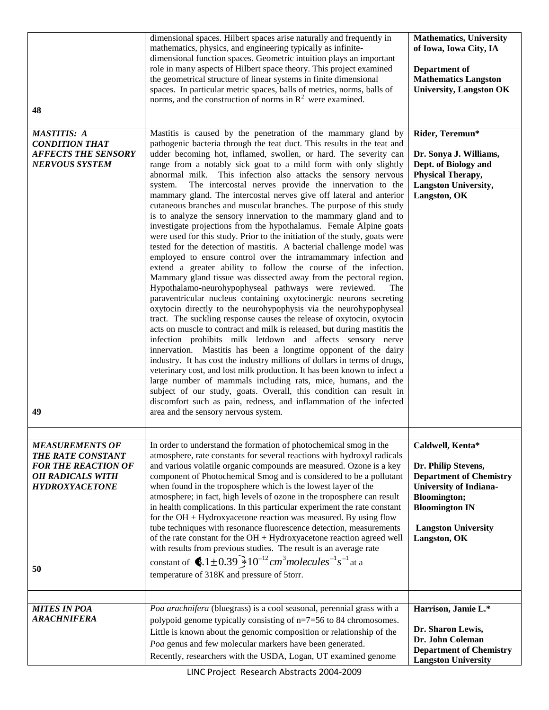| 48                                                                                                                                         | dimensional spaces. Hilbert spaces arise naturally and frequently in<br>mathematics, physics, and engineering typically as infinite-<br>dimensional function spaces. Geometric intuition plays an important<br>role in many aspects of Hilbert space theory. This project examined<br>the geometrical structure of linear systems in finite dimensional<br>spaces. In particular metric spaces, balls of metrics, norms, balls of<br>norms, and the construction of norms in $\mathbb{R}^2$ were examined.                                                                                                                                                                                                                                                                                                                                                                                                                                                                                                                                                                                                                                                                                                                                                                                                                                                                                                                                                                                                                                                                                                                                                                                                                                                                                                                                                                                                                                                                                     | <b>Mathematics</b> , University<br>of Iowa, Iowa City, IA<br>Department of<br><b>Mathematics Langston</b><br><b>University, Langston OK</b>                                                              |
|--------------------------------------------------------------------------------------------------------------------------------------------|------------------------------------------------------------------------------------------------------------------------------------------------------------------------------------------------------------------------------------------------------------------------------------------------------------------------------------------------------------------------------------------------------------------------------------------------------------------------------------------------------------------------------------------------------------------------------------------------------------------------------------------------------------------------------------------------------------------------------------------------------------------------------------------------------------------------------------------------------------------------------------------------------------------------------------------------------------------------------------------------------------------------------------------------------------------------------------------------------------------------------------------------------------------------------------------------------------------------------------------------------------------------------------------------------------------------------------------------------------------------------------------------------------------------------------------------------------------------------------------------------------------------------------------------------------------------------------------------------------------------------------------------------------------------------------------------------------------------------------------------------------------------------------------------------------------------------------------------------------------------------------------------------------------------------------------------------------------------------------------------|----------------------------------------------------------------------------------------------------------------------------------------------------------------------------------------------------------|
| <b>MASTITIS: A</b><br><b>CONDITION THAT</b><br><b>AFFECTS THE SENSORY</b><br><b>NERVOUS SYSTEM</b><br>49                                   | Mastitis is caused by the penetration of the mammary gland by<br>pathogenic bacteria through the teat duct. This results in the teat and<br>udder becoming hot, inflamed, swollen, or hard. The severity can<br>range from a notably sick goat to a mild form with only slightly<br>abnormal milk. This infection also attacks the sensory nervous<br>The intercostal nerves provide the innervation to the<br>system.<br>mammary gland. The intercostal nerves give off lateral and anterior<br>cutaneous branches and muscular branches. The purpose of this study<br>is to analyze the sensory innervation to the mammary gland and to<br>investigate projections from the hypothalamus. Female Alpine goats<br>were used for this study. Prior to the initiation of the study, goats were<br>tested for the detection of mastitis. A bacterial challenge model was<br>employed to ensure control over the intramammary infection and<br>extend a greater ability to follow the course of the infection.<br>Mammary gland tissue was dissected away from the pectoral region.<br>Hypothalamo-neurohypophyseal pathways were reviewed.<br>The<br>paraventricular nucleus containing oxytocinergic neurons secreting<br>oxytocin directly to the neurohypophysis via the neurohypophyseal<br>tract. The suckling response causes the release of oxytocin, oxytocin<br>acts on muscle to contract and milk is released, but during mastitis the<br>infection prohibits milk letdown and affects sensory nerve<br>innervation. Mastitis has been a longtime opponent of the dairy<br>industry. It has cost the industry millions of dollars in terms of drugs,<br>veterinary cost, and lost milk production. It has been known to infect a<br>large number of mammals including rats, mice, humans, and the<br>subject of our study, goats. Overall, this condition can result in<br>discomfort such as pain, redness, and inflammation of the infected<br>area and the sensory nervous system. | Rider, Teremun*<br>Dr. Sonya J. Williams,<br>Dept. of Biology and<br>Physical Therapy,<br><b>Langston University,</b><br>Langston, OK                                                                    |
| <b>MEASUREMENTS OF</b><br><b>THE RATE CONSTANT</b><br><b>FOR THE REACTION OF</b><br><b>OH RADICALS WITH</b><br><b>HYDROXYACETONE</b><br>50 | In order to understand the formation of photochemical smog in the<br>atmosphere, rate constants for several reactions with hydroxyl radicals<br>and various volatile organic compounds are measured. Ozone is a key<br>component of Photochemical Smog and is considered to be a pollutant<br>when found in the troposphere which is the lowest layer of the<br>atmosphere; in fact, high levels of ozone in the troposphere can result<br>in health complications. In this particular experiment the rate constant<br>for the $OH + Hyd$ roxyacetone reaction was measured. By using flow<br>tube techniques with resonance fluorescence detection, measurements<br>of the rate constant for the OH + Hydroxyacetone reaction agreed well<br>with results from previous studies. The result is an average rate<br>constant of $\bullet$ 1±0.39 $\frac{1}{2}10^{-12}$ cm <sup>3</sup> molecules <sup>-1</sup> s <sup>-1</sup> at a<br>temperature of 318K and pressure of 5torr.                                                                                                                                                                                                                                                                                                                                                                                                                                                                                                                                                                                                                                                                                                                                                                                                                                                                                                                                                                                                               | Caldwell, Kenta*<br>Dr. Philip Stevens,<br><b>Department of Chemistry</b><br><b>University of Indiana-</b><br><b>Bloomington;</b><br><b>Bloomington IN</b><br><b>Langston University</b><br>Langston, OK |
| <b>MITES IN POA</b><br><b>ARACHNIFERA</b>                                                                                                  | Poa arachnifera (bluegrass) is a cool seasonal, perennial grass with a<br>polypoid genome typically consisting of $n=7=56$ to 84 chromosomes.<br>Little is known about the genomic composition or relationship of the<br>Poa genus and few molecular markers have been generated.<br>Recently, researchers with the USDA, Logan, UT examined genome                                                                                                                                                                                                                                                                                                                                                                                                                                                                                                                                                                                                                                                                                                                                                                                                                                                                                                                                                                                                                                                                                                                                                                                                                                                                                                                                                                                                                                                                                                                                                                                                                                            | Harrison, Jamie L.*<br>Dr. Sharon Lewis,<br>Dr. John Coleman<br><b>Department of Chemistry</b><br><b>Langston University</b>                                                                             |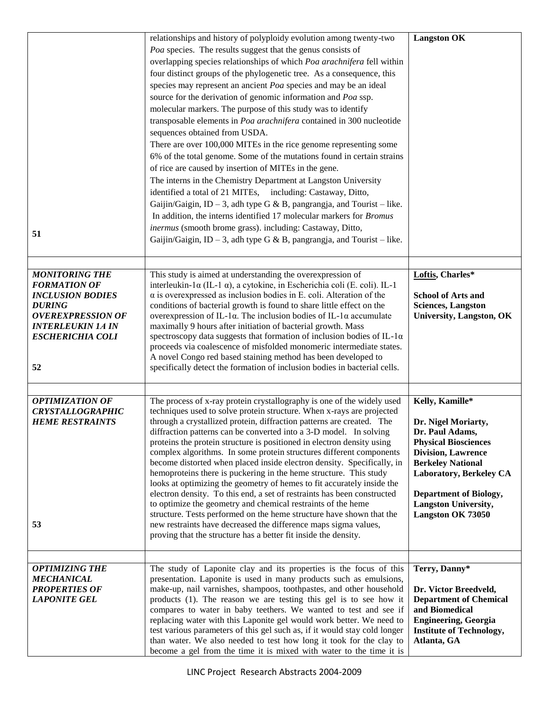|                                                                                                                                                                                   | relationships and history of polyploidy evolution among twenty-two<br>Poa species. The results suggest that the genus consists of<br>overlapping species relationships of which Poa arachnifera fell within<br>four distinct groups of the phylogenetic tree. As a consequence, this<br>species may represent an ancient Poa species and may be an ideal<br>source for the derivation of genomic information and Poa ssp.<br>molecular markers. The purpose of this study was to identify<br>transposable elements in Poa arachnifera contained in 300 nucleotide<br>sequences obtained from USDA.<br>There are over 100,000 MITEs in the rice genome representing some<br>6% of the total genome. Some of the mutations found in certain strains<br>of rice are caused by insertion of MITEs in the gene.<br>The interns in the Chemistry Department at Langston University<br>identified a total of 21 MITEs, including: Castaway, Ditto,<br>Gaijin/Gaigin, ID - 3, adh type G & B, pangrangja, and Tourist - like.<br>In addition, the interns identified 17 molecular markers for Bromus | <b>Langston OK</b>                                                                                                                                                                                                                                                |
|-----------------------------------------------------------------------------------------------------------------------------------------------------------------------------------|----------------------------------------------------------------------------------------------------------------------------------------------------------------------------------------------------------------------------------------------------------------------------------------------------------------------------------------------------------------------------------------------------------------------------------------------------------------------------------------------------------------------------------------------------------------------------------------------------------------------------------------------------------------------------------------------------------------------------------------------------------------------------------------------------------------------------------------------------------------------------------------------------------------------------------------------------------------------------------------------------------------------------------------------------------------------------------------------|-------------------------------------------------------------------------------------------------------------------------------------------------------------------------------------------------------------------------------------------------------------------|
| 51                                                                                                                                                                                | inermus (smooth brome grass). including: Castaway, Ditto,<br>Gaijin/Gaigin, ID – 3, adh type G & B, pangrangja, and Tourist – like.                                                                                                                                                                                                                                                                                                                                                                                                                                                                                                                                                                                                                                                                                                                                                                                                                                                                                                                                                          |                                                                                                                                                                                                                                                                   |
| <b>MONITORING THE</b><br><b>FORMATION OF</b><br><b>INCLUSION BODIES</b><br><b>DURING</b><br><b>OVEREXPRESSION OF</b><br><b>INTERLEUKIN 1A IN</b><br><b>ESCHERICHIA COLI</b><br>52 | This study is aimed at understanding the overexpression of<br>interleukin-1 $\alpha$ (IL-1 $\alpha$ ), a cytokine, in Escherichia coli (E. coli). IL-1<br>$\alpha$ is overexpressed as inclusion bodies in E. coli. Alteration of the<br>conditions of bacterial growth is found to share little effect on the<br>overexpression of IL-1 $\alpha$ . The inclusion bodies of IL-1 $\alpha$ accumulate<br>maximally 9 hours after initiation of bacterial growth. Mass<br>spectroscopy data suggests that formation of inclusion bodies of IL-1 $\alpha$<br>proceeds via coalescence of misfolded monomeric intermediate states.<br>A novel Congo red based staining method has been developed to<br>specifically detect the formation of inclusion bodies in bacterial cells.                                                                                                                                                                                                                                                                                                                 | Loftis, Charles*<br><b>School of Arts and</b><br><b>Sciences, Langston</b><br><b>University, Langston, OK</b>                                                                                                                                                     |
| <b>OPTIMIZATION OF</b><br><b>CRYSTALLOGRAPHIC</b><br><b>HEME RESTRAINTS</b><br>53                                                                                                 | The process of x-ray protein crystallography is one of the widely used<br>techniques used to solve protein structure. When x-rays are projected<br>through a crystallized protein, diffraction patterns are created. The<br>diffraction patterns can be converted into a 3-D model. In solving<br>proteins the protein structure is positioned in electron density using<br>complex algorithms. In some protein structures different components<br>become distorted when placed inside electron density. Specifically, in<br>hemoproteins there is puckering in the heme structure. This study<br>looks at optimizing the geometry of hemes to fit accurately inside the<br>electron density. To this end, a set of restraints has been constructed<br>to optimize the geometry and chemical restraints of the heme<br>structure. Tests performed on the heme structure have shown that the<br>new restraints have decreased the difference maps sigma values,<br>proving that the structure has a better fit inside the density.                                                            | Kelly, Kamille*<br>Dr. Nigel Moriarty,<br>Dr. Paul Adams.<br><b>Physical Biosciences</b><br><b>Division, Lawrence</b><br><b>Berkeley National</b><br>Laboratory, Berkeley CA<br><b>Department of Biology,</b><br><b>Langston University,</b><br>Langston OK 73050 |
| <b>OPTIMIZING THE</b><br><b>MECHANICAL</b><br><b>PROPERTIES OF</b><br><b>LAPONITE GEL</b>                                                                                         | The study of Laponite clay and its properties is the focus of this<br>presentation. Laponite is used in many products such as emulsions,<br>make-up, nail varnishes, shampoos, toothpastes, and other household<br>products (1). The reason we are testing this gel is to see how it<br>compares to water in baby teethers. We wanted to test and see if<br>replacing water with this Laponite gel would work better. We need to<br>test various parameters of this gel such as, if it would stay cold longer<br>than water. We also needed to test how long it took for the clay to<br>become a gel from the time it is mixed with water to the time it is                                                                                                                                                                                                                                                                                                                                                                                                                                  | Terry, Danny*<br>Dr. Victor Breedveld,<br><b>Department of Chemical</b><br>and Biomedical<br><b>Engineering, Georgia</b><br><b>Institute of Technology,</b><br>Atlanta, GA                                                                                        |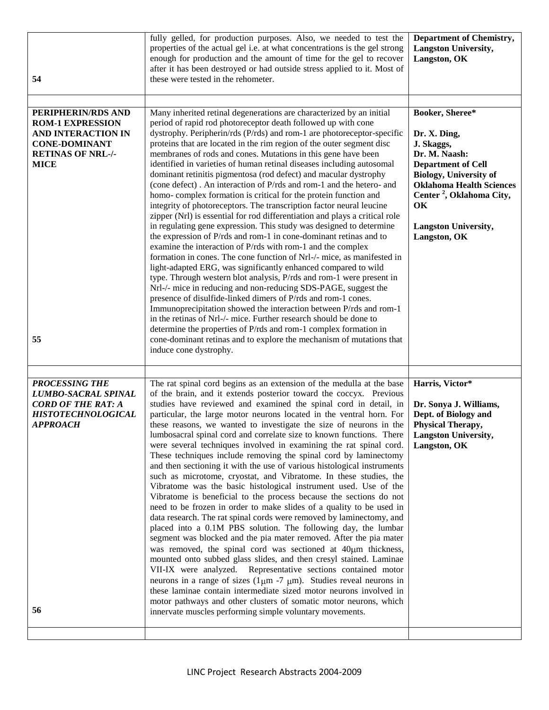| 54                                                                                                                                                  | fully gelled, for production purposes. Also, we needed to test the<br>properties of the actual gel i.e. at what concentrations is the gel strong<br>enough for production and the amount of time for the gel to recover<br>after it has been destroyed or had outside stress applied to it. Most of<br>these were tested in the rehometer.                                                                                                                                                                                                                                                                                                                                                                                                                                                                                                                                                                                                                                                                                                                                                                                                                                                                                                                                                                                                                                                                                                                                                                                                                                                                                                                                                  | <b>Department of Chemistry,</b><br><b>Langston University,</b><br>Langston, OK                                                                                                                                                                               |
|-----------------------------------------------------------------------------------------------------------------------------------------------------|---------------------------------------------------------------------------------------------------------------------------------------------------------------------------------------------------------------------------------------------------------------------------------------------------------------------------------------------------------------------------------------------------------------------------------------------------------------------------------------------------------------------------------------------------------------------------------------------------------------------------------------------------------------------------------------------------------------------------------------------------------------------------------------------------------------------------------------------------------------------------------------------------------------------------------------------------------------------------------------------------------------------------------------------------------------------------------------------------------------------------------------------------------------------------------------------------------------------------------------------------------------------------------------------------------------------------------------------------------------------------------------------------------------------------------------------------------------------------------------------------------------------------------------------------------------------------------------------------------------------------------------------------------------------------------------------|--------------------------------------------------------------------------------------------------------------------------------------------------------------------------------------------------------------------------------------------------------------|
| PERIPHERIN/RDS AND<br><b>ROM-1 EXPRESSION</b><br><b>AND INTERACTION IN</b><br><b>CONE-DOMINANT</b><br><b>RETINAS OF NRL-/-</b><br><b>MICE</b><br>55 | Many inherited retinal degenerations are characterized by an initial<br>period of rapid rod photoreceptor death followed up with cone<br>dystrophy. Peripherin/rds (P/rds) and rom-1 are photoreceptor-specific<br>proteins that are located in the rim region of the outer segment disc<br>membranes of rods and cones. Mutations in this gene have been<br>identified in varieties of human retinal diseases including autosomal<br>dominant retinitis pigmentosa (rod defect) and macular dystrophy<br>(cone defect). An interaction of P/rds and rom-1 and the hetero- and<br>homo-complex formation is critical for the protein function and<br>integrity of photoreceptors. The transcription factor neural leucine<br>zipper (Nrl) is essential for rod differentiation and plays a critical role<br>in regulating gene expression. This study was designed to determine<br>the expression of P/rds and rom-1 in cone-dominant retinas and to<br>examine the interaction of P/rds with rom-1 and the complex<br>formation in cones. The cone function of Nrl-/- mice, as manifested in<br>light-adapted ERG, was significantly enhanced compared to wild<br>type. Through western blot analysis, P/rds and rom-1 were present in<br>Nrl-/- mice in reducing and non-reducing SDS-PAGE, suggest the<br>presence of disulfide-linked dimers of P/rds and rom-1 cones.<br>Immunoprecipitation showed the interaction between P/rds and rom-1<br>in the retinas of Nrl-/- mice. Further research should be done to<br>determine the properties of P/rds and rom-1 complex formation in<br>cone-dominant retinas and to explore the mechanism of mutations that<br>induce cone dystrophy. | Booker, Sheree*<br>Dr. X. Ding,<br>J. Skaggs,<br>Dr. M. Naash:<br><b>Department of Cell</b><br><b>Biology, University of</b><br><b>Oklahoma Health Sciences</b><br>Center <sup>2</sup> , Oklahoma City,<br>OK<br><b>Langston University,</b><br>Langston, OK |
| <b>PROCESSING THE</b><br><b>LUMBO-SACRAL SPINAL</b><br><b>CORD OF THE RAT: A</b><br><b>HISTOTECHNOLOGICAL</b><br><b>APPROACH</b><br>56              | The rat spinal cord begins as an extension of the medulla at the base<br>of the brain, and it extends posterior toward the coccyx. Previous<br>studies have reviewed and examined the spinal cord in detail, in<br>particular, the large motor neurons located in the ventral horn. For<br>these reasons, we wanted to investigate the size of neurons in the<br>lumbosacral spinal cord and correlate size to known functions. There<br>were several techniques involved in examining the rat spinal cord.<br>These techniques include removing the spinal cord by laminectomy<br>and then sectioning it with the use of various histological instruments<br>such as microtome, cryostat, and Vibratome. In these studies, the<br>Vibratome was the basic histological instrument used. Use of the<br>Vibratome is beneficial to the process because the sections do not<br>need to be frozen in order to make slides of a quality to be used in<br>data research. The rat spinal cords were removed by laminectomy, and<br>placed into a 0.1M PBS solution. The following day, the lumbar<br>segment was blocked and the pia mater removed. After the pia mater<br>was removed, the spinal cord was sectioned at 40um thickness,<br>mounted onto subbed glass slides, and then cresyl stained. Laminae<br>VII-IX were analyzed. Representative sections contained motor<br>neurons in a range of sizes (1 $\mu$ m -7 $\mu$ m). Studies reveal neurons in<br>these laminae contain intermediate sized motor neurons involved in<br>motor pathways and other clusters of somatic motor neurons, which<br>innervate muscles performing simple voluntary movements.                           | Harris, Victor*<br>Dr. Sonya J. Williams,<br>Dept. of Biology and<br>Physical Therapy,<br>Langston University,<br>Langston, OK                                                                                                                               |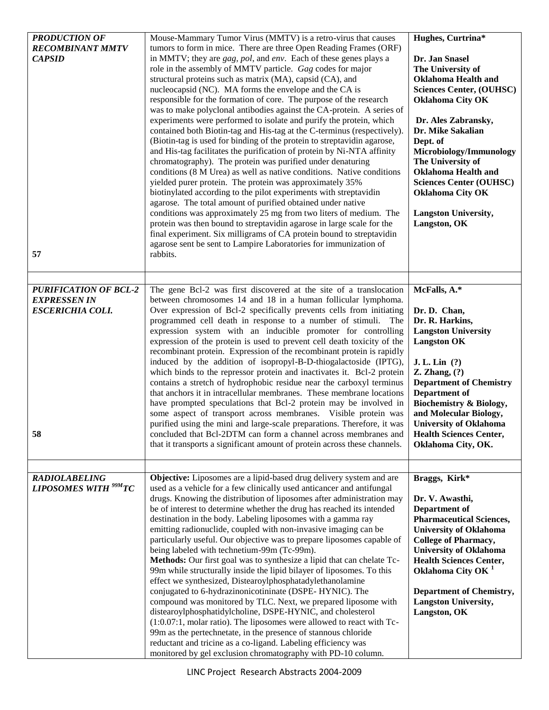| <b>PRODUCTION OF</b>                   | Mouse-Mammary Tumor Virus (MMTV) is a retro-virus that causes             | Hughes, Curtrina*               |
|----------------------------------------|---------------------------------------------------------------------------|---------------------------------|
| <b>RECOMBINANT MMTV</b>                | tumors to form in mice. There are three Open Reading Frames (ORF)         |                                 |
| <b>CAPSID</b>                          | in MMTV; they are gag, pol, and env. Each of these genes plays a          | Dr. Jan Snasel                  |
|                                        | role in the assembly of MMTV particle. Gag codes for major                | The University of               |
|                                        | structural proteins such as matrix (MA), capsid (CA), and                 | <b>Oklahoma Health and</b>      |
|                                        | nucleocapsid (NC). MA forms the envelope and the CA is                    | <b>Sciences Center, (OUHSC)</b> |
|                                        | responsible for the formation of core. The purpose of the research        | <b>Oklahoma City OK</b>         |
|                                        | was to make polyclonal antibodies against the CA-protein. A series of     |                                 |
|                                        | experiments were performed to isolate and purify the protein, which       | Dr. Ales Zabransky,             |
|                                        | contained both Biotin-tag and His-tag at the C-terminus (respectively).   | Dr. Mike Sakalian               |
|                                        | (Biotin-tag is used for binding of the protein to streptavidin agarose,   | Dept. of                        |
|                                        | and His-tag facilitates the purification of protein by Ni-NTA affinity    | Microbiology/Immunology         |
|                                        | chromatography). The protein was purified under denaturing                | The University of               |
|                                        | conditions (8 M Urea) as well as native conditions. Native conditions     | <b>Oklahoma Health and</b>      |
|                                        | yielded purer protein. The protein was approximately 35%                  | <b>Sciences Center (OUHSC)</b>  |
|                                        | biotinylated according to the pilot experiments with streptavidin         | <b>Oklahoma City OK</b>         |
|                                        | agarose. The total amount of purified obtained under native               |                                 |
|                                        | conditions was approximately 25 mg from two liters of medium. The         | <b>Langston University,</b>     |
|                                        | protein was then bound to streptavidin agarose in large scale for the     | Langston, OK                    |
|                                        | final experiment. Six milligrams of CA protein bound to streptavidin      |                                 |
|                                        | agarose sent be sent to Lampire Laboratories for immunization of          |                                 |
| 57                                     | rabbits.                                                                  |                                 |
|                                        |                                                                           |                                 |
|                                        |                                                                           |                                 |
| <b>PURIFICATION OF BCL-2</b>           | The gene Bcl-2 was first discovered at the site of a translocation        | McFalls, A.*                    |
| <b>EXPRESSEN IN</b>                    | between chromosomes 14 and 18 in a human follicular lymphoma.             |                                 |
| <b>ESCERICHIA COLI.</b>                | Over expression of Bcl-2 specifically prevents cells from initiating      | Dr. D. Chan,                    |
|                                        | programmed cell death in response to a number of stimuli.<br>The          | Dr. R. Harkins,                 |
|                                        | expression system with an inducible promoter for controlling              | <b>Langston University</b>      |
|                                        | expression of the protein is used to prevent cell death toxicity of the   | <b>Langston OK</b>              |
|                                        | recombinant protein. Expression of the recombinant protein is rapidly     |                                 |
|                                        | induced by the addition of isopropyl-B-D-thiogalactoside (IPTG),          | J. L. Lin $(?)$                 |
|                                        | which binds to the repressor protein and inactivates it. Bcl-2 protein    | Z. Zhang, (?)                   |
|                                        | contains a stretch of hydrophobic residue near the carboxyl terminus      | <b>Department of Chemistry</b>  |
|                                        | that anchors it in intracellular membranes. These membrane locations      | Department of                   |
|                                        | have prompted speculations that Bcl-2 protein may be involved in          | Biochemistry & Biology,         |
|                                        | some aspect of transport across membranes. Visible protein was            | and Molecular Biology,          |
|                                        | purified using the mini and large-scale preparations. Therefore, it was   | <b>University of Oklahoma</b>   |
| 58                                     | concluded that Bcl-2DTM can form a channel across membranes and           | <b>Health Sciences Center,</b>  |
|                                        | that it transports a significant amount of protein across these channels. | Oklahoma City, OK.              |
|                                        |                                                                           |                                 |
|                                        |                                                                           |                                 |
| <b>RADIOLABELING</b>                   | Objective: Liposomes are a lipid-based drug delivery system and are       | Braggs, Kirk*                   |
| <b>LIPOSOMES WITH <sup>99M</sup>TC</b> | used as a vehicle for a few clinically used anticancer and antifungal     |                                 |
|                                        | drugs. Knowing the distribution of liposomes after administration may     | Dr. V. Awasthi,                 |
|                                        | be of interest to determine whether the drug has reached its intended     | Department of                   |
|                                        | destination in the body. Labeling liposomes with a gamma ray              | <b>Pharmaceutical Sciences,</b> |
|                                        | emitting radionuclide, coupled with non-invasive imaging can be           | <b>University of Oklahoma</b>   |
|                                        | particularly useful. Our objective was to prepare liposomes capable of    | <b>College of Pharmacy,</b>     |
|                                        | being labeled with technetium-99m (Tc-99m).                               | <b>University of Oklahoma</b>   |
|                                        | Methods: Our first goal was to synthesize a lipid that can chelate Tc-    | <b>Health Sciences Center,</b>  |
|                                        | 99m while structurally inside the lipid bilayer of liposomes. To this     | Oklahoma City OK <sup>1</sup>   |
|                                        | effect we synthesized, Distearoylphosphatadylethanolamine                 |                                 |
|                                        | conjugated to 6-hydrazinonicotininate (DSPE- HYNIC). The                  | <b>Department of Chemistry,</b> |
|                                        | compound was monitored by TLC. Next, we prepared liposome with            | <b>Langston University,</b>     |
|                                        | distearoylphosphatidylcholine, DSPE-HYNIC, and cholesterol                | Langston, OK                    |
|                                        | (1:0.07:1, molar ratio). The liposomes were allowed to react with Tc-     |                                 |
|                                        | 99m as the pertechnetate, in the presence of stannous chloride            |                                 |
|                                        | reductant and tricine as a co-ligand. Labeling efficiency was             |                                 |
|                                        | monitored by gel exclusion chromatography with PD-10 column.              |                                 |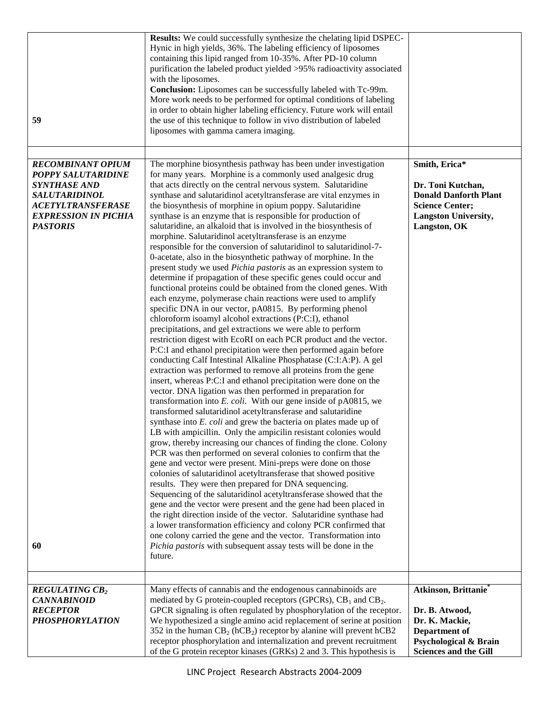| <b>REGULATING CB2</b><br><b>CANNABINOID</b><br><b>RECEPTOR</b><br><b>PHOSPHORYLATION</b>                                                                                                       | Many effects of cannabis and the endogenous cannabinoids are<br>mediated by G protein-coupled receptors (GPCRs), CB <sub>1</sub> and CB <sub>2</sub> .<br>GPCR signaling is often regulated by phosphorylation of the receptor.<br>We hypothesized a single amino acid replacement of serine at position<br>352 in the human $CB_2$ (hCB <sub>2</sub> ) receptor by alanine will prevent hCB2<br>receptor phosphorylation and internalization and prevent recruitment<br>of the G protein receptor kinases (GRKs) 2 and 3. This hypothesis is                                                                                                                                                                                                                                                                                                                                                                                                                                                                                                                                                                                                                                                                                                                                                                                                                                                                                                                                                                                                                                                                                                                                                                                                                                                                                                                                                                                                                                                                                                                                                                                                                                                                                                                                                                                                                                                                                                                                                                                                                                                                                                                                                                                | Atkinson, Brittanie®<br>Dr. B. Atwood,<br>Dr. K. Mackie,<br><b>Department of</b><br><b>Psychological &amp; Brain</b><br><b>Sciences and the Gill</b> |
|------------------------------------------------------------------------------------------------------------------------------------------------------------------------------------------------|------------------------------------------------------------------------------------------------------------------------------------------------------------------------------------------------------------------------------------------------------------------------------------------------------------------------------------------------------------------------------------------------------------------------------------------------------------------------------------------------------------------------------------------------------------------------------------------------------------------------------------------------------------------------------------------------------------------------------------------------------------------------------------------------------------------------------------------------------------------------------------------------------------------------------------------------------------------------------------------------------------------------------------------------------------------------------------------------------------------------------------------------------------------------------------------------------------------------------------------------------------------------------------------------------------------------------------------------------------------------------------------------------------------------------------------------------------------------------------------------------------------------------------------------------------------------------------------------------------------------------------------------------------------------------------------------------------------------------------------------------------------------------------------------------------------------------------------------------------------------------------------------------------------------------------------------------------------------------------------------------------------------------------------------------------------------------------------------------------------------------------------------------------------------------------------------------------------------------------------------------------------------------------------------------------------------------------------------------------------------------------------------------------------------------------------------------------------------------------------------------------------------------------------------------------------------------------------------------------------------------------------------------------------------------------------------------------------------------|------------------------------------------------------------------------------------------------------------------------------------------------------|
| 59<br><b>RECOMBINANT OPIUM</b><br><b>POPPY SALUTARIDINE</b><br><b>SYNTHASE AND</b><br><b>SALUTARIDINOL</b><br><b>ACETYLTRANSFERASE</b><br><b>EXPRESSION IN PICHIA</b><br><b>PASTORIS</b><br>60 | the use of this technique to follow in vivo distribution of labeled<br>liposomes with gamma camera imaging.<br>The morphine biosynthesis pathway has been under investigation<br>for many years. Morphine is a commonly used analgesic drug<br>that acts directly on the central nervous system. Salutaridine<br>synthase and salutaridinol acetyltransferase are vital enzymes in<br>the biosynthesis of morphine in opium poppy. Salutaridine<br>synthase is an enzyme that is responsible for production of<br>salutaridine, an alkaloid that is involved in the biosynthesis of<br>morphine. Salutaridinol acetyltransferase is an enzyme<br>responsible for the conversion of salutaridinol to salutaridinol-7-<br>0-acetate, also in the biosynthetic pathway of morphine. In the<br>present study we used Pichia pastoris as an expression system to<br>determine if propagation of these specific genes could occur and<br>functional proteins could be obtained from the cloned genes. With<br>each enzyme, polymerase chain reactions were used to amplify<br>specific DNA in our vector, pA0815. By performing phenol<br>chloroform isoamyl alcohol extractions (P:C:I), ethanol<br>precipitations, and gel extractions we were able to perform<br>restriction digest with EcoRI on each PCR product and the vector.<br>P:C:I and ethanol precipitation were then performed again before<br>conducting Calf Intestinal Alkaline Phosphatase (C:I:A:P). A gel<br>extraction was performed to remove all proteins from the gene<br>insert, whereas P:C:I and ethanol precipitation were done on the<br>vector. DNA ligation was then performed in preparation for<br>transformation into $E.$ coli. With our gene inside of pA0815, we<br>transformed salutaridinol acetyltransferase and salutaridine<br>synthase into E. coli and grew the bacteria on plates made up of<br>LB with ampicillin. Only the ampicilin resistant colonies would<br>grow, thereby increasing our chances of finding the clone. Colony<br>PCR was then performed on several colonies to confirm that the<br>gene and vector were present. Mini-preps were done on those<br>colonies of salutaridinol acetyltransferase that showed positive<br>results. They were then prepared for DNA sequencing.<br>Sequencing of the salutaridinol acetyltransferase showed that the<br>gene and the vector were present and the gene had been placed in<br>the right direction inside of the vector. Salutaridine synthase had<br>a lower transformation efficiency and colony PCR confirmed that<br>one colony carried the gene and the vector. Transformation into<br>Pichia pastoris with subsequent assay tests will be done in the<br>future. | Smith, Erica*<br>Dr. Toni Kutchan,<br><b>Donald Danforth Plant</b><br><b>Science Center;</b><br>Langston University,<br>Langston, OK                 |
|                                                                                                                                                                                                | Results: We could successfully synthesize the chelating lipid DSPEC-<br>Hynic in high yields, 36%. The labeling efficiency of liposomes<br>containing this lipid ranged from 10-35%. After PD-10 column<br>purification the labeled product yielded >95% radioactivity associated<br>with the liposomes.<br>Conclusion: Liposomes can be successfully labeled with Tc-99m.<br>More work needs to be performed for optimal conditions of labeling<br>in order to obtain higher labeling efficiency. Future work will entail                                                                                                                                                                                                                                                                                                                                                                                                                                                                                                                                                                                                                                                                                                                                                                                                                                                                                                                                                                                                                                                                                                                                                                                                                                                                                                                                                                                                                                                                                                                                                                                                                                                                                                                                                                                                                                                                                                                                                                                                                                                                                                                                                                                                   |                                                                                                                                                      |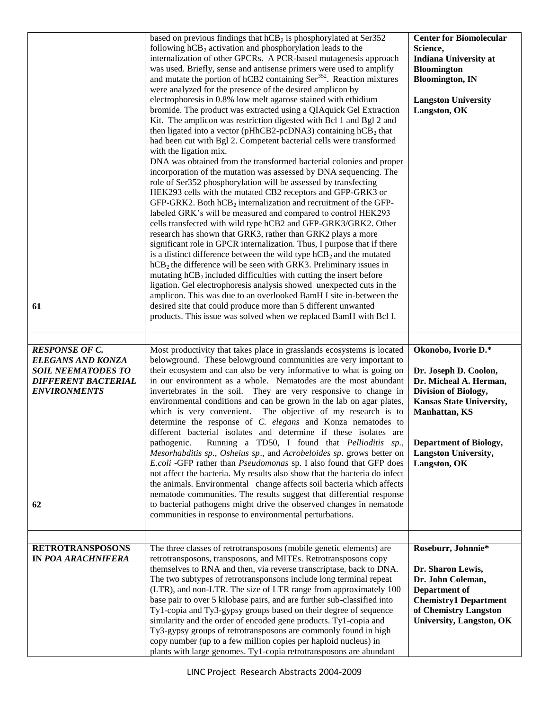| 61                                                                                                                                        | based on previous findings that $hCB_2$ is phosphorylated at Ser352<br>following $hCB_2$ activation and phosphorylation leads to the<br>internalization of other GPCRs. A PCR-based mutagenesis approach<br>was used. Briefly, sense and antisense primers were used to amplify<br>and mutate the portion of hCB2 containing Ser <sup>352</sup> . Reaction mixtures<br>were analyzed for the presence of the desired amplicon by<br>electrophoresis in 0.8% low melt agarose stained with ethidium<br>bromide. The product was extracted using a QIAquick Gel Extraction<br>Kit. The amplicon was restriction digested with Bcl 1 and Bgl 2 and<br>then ligated into a vector (pHhCB2-pcDNA3) containing $hCB2$ that<br>had been cut with Bgl 2. Competent bacterial cells were transformed<br>with the ligation mix.<br>DNA was obtained from the transformed bacterial colonies and proper<br>incorporation of the mutation was assessed by DNA sequencing. The<br>role of Ser352 phosphorylation will be assessed by transfecting<br>HEK293 cells with the mutated CB2 receptors and GFP-GRK3 or<br>GFP-GRK2. Both $hCB_2$ internalization and recruitment of the GFP-<br>labeled GRK's will be measured and compared to control HEK293<br>cells transfected with wild type hCB2 and GFP-GRK3/GRK2. Other<br>research has shown that GRK3, rather than GRK2 plays a more<br>significant role in GPCR internalization. Thus, I purpose that if there<br>is a distinct difference between the wild type $hCB2$ and the mutated<br>$hCB2$ the difference will be seen with GRK3. Preliminary issues in<br>mutating hCB <sub>2</sub> included difficulties with cutting the insert before<br>ligation. Gel electrophoresis analysis showed unexpected cuts in the<br>amplicon. This was due to an overlooked BamH I site in-between the<br>desired site that could produce more than 5 different unwanted<br>products. This issue was solved when we replaced BamH with Bcl I. | <b>Center for Biomolecular</b><br>Science,<br><b>Indiana University at</b><br><b>Bloomington</b><br><b>Bloomington, IN</b><br><b>Langston University</b><br>Langston, OK                                                                  |
|-------------------------------------------------------------------------------------------------------------------------------------------|-------------------------------------------------------------------------------------------------------------------------------------------------------------------------------------------------------------------------------------------------------------------------------------------------------------------------------------------------------------------------------------------------------------------------------------------------------------------------------------------------------------------------------------------------------------------------------------------------------------------------------------------------------------------------------------------------------------------------------------------------------------------------------------------------------------------------------------------------------------------------------------------------------------------------------------------------------------------------------------------------------------------------------------------------------------------------------------------------------------------------------------------------------------------------------------------------------------------------------------------------------------------------------------------------------------------------------------------------------------------------------------------------------------------------------------------------------------------------------------------------------------------------------------------------------------------------------------------------------------------------------------------------------------------------------------------------------------------------------------------------------------------------------------------------------------------------------------------------------------------------------------------------------------------------------------------------------------------------------|-------------------------------------------------------------------------------------------------------------------------------------------------------------------------------------------------------------------------------------------|
| <b>RESPONSE OF C.</b><br><b>ELEGANS AND KONZA</b><br><b>SOIL NEEMATODES TO</b><br><b>DIFFERENT BACTERIAL</b><br><b>ENVIRONMENTS</b><br>62 | Most productivity that takes place in grasslands ecosystems is located<br>belowground. These belowground communities are very important to<br>their ecosystem and can also be very informative to what is going on<br>in our environment as a whole. Nematodes are the most abundant<br>invertebrates in the soil. They are very responsive to change in<br>environmental conditions and can be grown in the lab on agar plates,<br>which is very convenient. The objective of my research is to<br>determine the response of C. elegans and Konza nematodes to<br>different bacterial isolates and determine if these isolates are<br>Running a TD50, I found that Pellioditis sp.,<br>pathogenic.<br>Mesorhabditis sp., Osheius sp., and Acrobeloides sp. grows better on<br>E.coli -GFP rather than Pseudomonas sp. I also found that GFP does<br>not affect the bacteria. My results also show that the bacteria do infect<br>the animals. Environmental change affects soil bacteria which affects<br>nematode communities. The results suggest that differential response<br>to bacterial pathogens might drive the observed changes in nematode<br>communities in response to environmental perturbations.                                                                                                                                                                                                                                                                                                                                                                                                                                                                                                                                                                                                                                                                                                                                                             | Okonobo, Ivorie D.*<br>Dr. Joseph D. Coolon,<br>Dr. Micheal A. Herman,<br>Division of Biology,<br><b>Kansas State University,</b><br><b>Manhattan, KS</b><br><b>Department of Biology,</b><br><b>Langston University,</b><br>Langston, OK |
|                                                                                                                                           |                                                                                                                                                                                                                                                                                                                                                                                                                                                                                                                                                                                                                                                                                                                                                                                                                                                                                                                                                                                                                                                                                                                                                                                                                                                                                                                                                                                                                                                                                                                                                                                                                                                                                                                                                                                                                                                                                                                                                                               |                                                                                                                                                                                                                                           |
| <b>RETROTRANSPOSONS</b><br><b>IN POA ARACHNIFERA</b>                                                                                      | The three classes of retrotransposons (mobile genetic elements) are<br>retrotransposons, transposons, and MITEs. Retrotransposons copy<br>themselves to RNA and then, via reverse transcriptase, back to DNA.<br>The two subtypes of retrotransponsons include long terminal repeat<br>(LTR), and non-LTR. The size of LTR range from approximately 100<br>base pair to over 5 kilobase pairs, and are further sub-classified into<br>Ty1-copia and Ty3-gypsy groups based on their degree of sequence<br>similarity and the order of encoded gene products. Ty1-copia and<br>Ty3-gypsy groups of retrotransposons are commonly found in high<br>copy number (up to a few million copies per haploid nucleus) in<br>plants with large genomes. Ty1-copia retrotransposons are abundant                                                                                                                                                                                                                                                                                                                                                                                                                                                                                                                                                                                                                                                                                                                                                                                                                                                                                                                                                                                                                                                                                                                                                                                        | Roseburr, Johnnie*<br>Dr. Sharon Lewis,<br>Dr. John Coleman,<br>Department of<br><b>Chemistry1 Department</b><br>of Chemistry Langston<br><b>University, Langston, OK</b>                                                                 |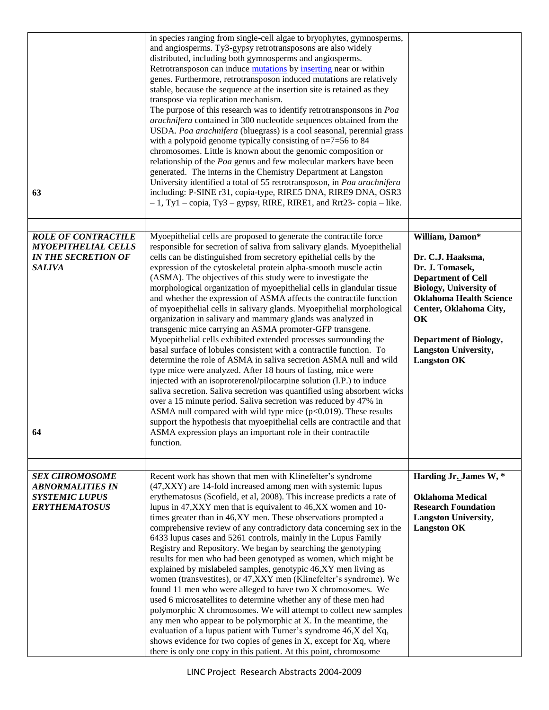| 63                                                                                                            | in species ranging from single-cell algae to bryophytes, gymnosperms,<br>and angiosperms. Ty3-gypsy retrotransposons are also widely<br>distributed, including both gymnosperms and angiosperms.<br>Retrotransposon can induce mutations by inserting near or within<br>genes. Furthermore, retrotransposon induced mutations are relatively<br>stable, because the sequence at the insertion site is retained as they<br>transpose via replication mechanism.<br>The purpose of this research was to identify retrotransponsons in Poa<br>arachnifera contained in 300 nucleotide sequences obtained from the<br>USDA. Poa arachnifera (bluegrass) is a cool seasonal, perennial grass<br>with a polypoid genome typically consisting of $n=7=56$ to 84<br>chromosomes. Little is known about the genomic composition or<br>relationship of the Poa genus and few molecular markers have been<br>generated. The interns in the Chemistry Department at Langston<br>University identified a total of 55 retrotransposon, in Poa arachnifera<br>including: P-SINE r31, copia-type, RIRE5 DNA, RIRE9 DNA, OSR3<br>$-1$ , Ty1 – copia, Ty3 – gypsy, RIRE, RIRE1, and Rrt23- copia – like.                                                                                                                                                                                                                                                            |                                                                                                                                                                                                                                                                               |
|---------------------------------------------------------------------------------------------------------------|---------------------------------------------------------------------------------------------------------------------------------------------------------------------------------------------------------------------------------------------------------------------------------------------------------------------------------------------------------------------------------------------------------------------------------------------------------------------------------------------------------------------------------------------------------------------------------------------------------------------------------------------------------------------------------------------------------------------------------------------------------------------------------------------------------------------------------------------------------------------------------------------------------------------------------------------------------------------------------------------------------------------------------------------------------------------------------------------------------------------------------------------------------------------------------------------------------------------------------------------------------------------------------------------------------------------------------------------------------------------------------------------------------------------------------------------------|-------------------------------------------------------------------------------------------------------------------------------------------------------------------------------------------------------------------------------------------------------------------------------|
|                                                                                                               |                                                                                                                                                                                                                                                                                                                                                                                                                                                                                                                                                                                                                                                                                                                                                                                                                                                                                                                                                                                                                                                                                                                                                                                                                                                                                                                                                                                                                                                   |                                                                                                                                                                                                                                                                               |
| <b>ROLE OF CONTRACTILE</b><br><b>MYOEPITHELIAL CELLS</b><br><b>IN THE SECRETION OF</b><br><b>SALIVA</b><br>64 | Myoepithelial cells are proposed to generate the contractile force<br>responsible for secretion of saliva from salivary glands. Myoepithelial<br>cells can be distinguished from secretory epithelial cells by the<br>expression of the cytoskeletal protein alpha-smooth muscle actin<br>(ASMA). The objectives of this study were to investigate the<br>morphological organization of myoepithelial cells in glandular tissue<br>and whether the expression of ASMA affects the contractile function<br>of myoepithelial cells in salivary glands. Myoepithelial morphological<br>organization in salivary and mammary glands was analyzed in<br>transgenic mice carrying an ASMA promoter-GFP transgene.<br>Myoepithelial cells exhibited extended processes surrounding the<br>basal surface of lobules consistent with a contractile function. To<br>determine the role of ASMA in saliva secretion ASMA null and wild<br>type mice were analyzed. After 18 hours of fasting, mice were<br>injected with an isoproterenol/pilocarpine solution (I.P.) to induce<br>saliva secretion. Saliva secretion was quantified using absorbent wicks<br>over a 15 minute period. Saliva secretion was reduced by 47% in<br>ASMA null compared with wild type mice $(p<0.019)$ . These results<br>support the hypothesis that myoepithelial cells are contractile and that<br>ASMA expression plays an important role in their contractile<br>function. | William, Damon*<br>Dr. C.J. Haaksma,<br>Dr. J. Tomasek,<br><b>Department of Cell</b><br><b>Biology, University of</b><br><b>Oklahoma Health Science</b><br>Center, Oklahoma City,<br>OK<br><b>Department of Biology,</b><br><b>Langston University,</b><br><b>Langston OK</b> |
|                                                                                                               |                                                                                                                                                                                                                                                                                                                                                                                                                                                                                                                                                                                                                                                                                                                                                                                                                                                                                                                                                                                                                                                                                                                                                                                                                                                                                                                                                                                                                                                   |                                                                                                                                                                                                                                                                               |
| <b>SEX CHROMOSOME</b><br><b>ABNORMALITIES IN</b>                                                              | Recent work has shown that men with Klinefelter's syndrome<br>(47,XXY) are 14-fold increased among men with systemic lupus                                                                                                                                                                                                                                                                                                                                                                                                                                                                                                                                                                                                                                                                                                                                                                                                                                                                                                                                                                                                                                                                                                                                                                                                                                                                                                                        | Harding Jr. James W, *                                                                                                                                                                                                                                                        |
| <b>SYSTEMIC LUPUS</b><br><b>ERYTHEMATOSUS</b>                                                                 | erythematosus (Scofield, et al, 2008). This increase predicts a rate of<br>lupus in 47, XXY men that is equivalent to 46, XX women and 10-<br>times greater than in 46,XY men. These observations prompted a<br>comprehensive review of any contradictory data concerning sex in the<br>6433 lupus cases and 5261 controls, mainly in the Lupus Family<br>Registry and Repository. We began by searching the genotyping<br>results for men who had been genotyped as women, which might be<br>explained by mislabeled samples, genotypic 46,XY men living as<br>women (transvestites), or 47, XXY men (Klinefelter's syndrome). We<br>found 11 men who were alleged to have two X chromosomes. We<br>used 6 microsatellites to determine whether any of these men had<br>polymorphic X chromosomes. We will attempt to collect new samples<br>any men who appear to be polymorphic at X. In the meantime, the<br>evaluation of a lupus patient with Turner's syndrome 46,X del Xq,<br>shows evidence for two copies of genes in X, except for Xq, where<br>there is only one copy in this patient. At this point, chromosome                                                                                                                                                                                                                                                                                                                      | <b>Oklahoma Medical</b><br><b>Research Foundation</b><br><b>Langston University,</b><br><b>Langston OK</b>                                                                                                                                                                    |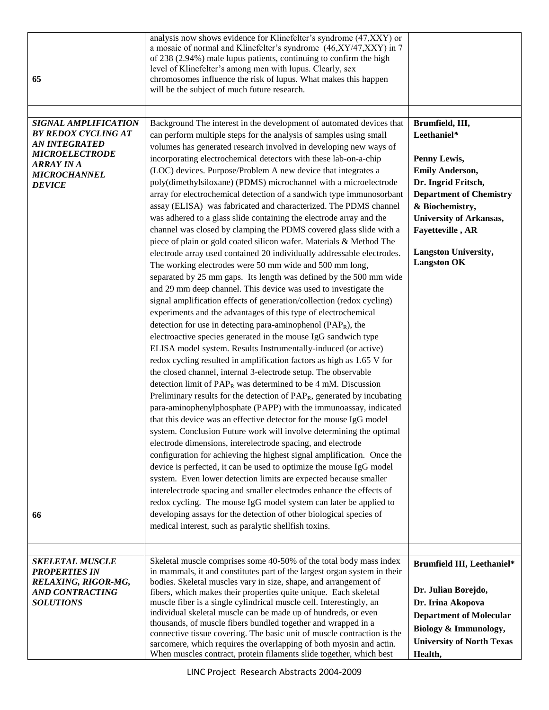| 65                                                                                                                                                                            | analysis now shows evidence for Klinefelter's syndrome (47, XXY) or<br>a mosaic of normal and Klinefelter's syndrome (46,XY/47,XXY) in 7<br>of 238 (2.94%) male lupus patients, continuing to confirm the high<br>level of Klinefelter's among men with lupus. Clearly, sex<br>chromosomes influence the risk of lupus. What makes this happen<br>will be the subject of much future research.                                                                                                                                                                                                                                                                                                                                                                                                                                                                                                                                                                                                                                                                                                                                                                                                                                                                                                                                                                                                                                                                                                                                                                                                                                                                                                                                                                                                                                                                                                                                                                                                                                                                                                                                                                                                                                                                                                                                                                                                                                                                                                          |                                                                                                                                                                                                                                                                 |
|-------------------------------------------------------------------------------------------------------------------------------------------------------------------------------|---------------------------------------------------------------------------------------------------------------------------------------------------------------------------------------------------------------------------------------------------------------------------------------------------------------------------------------------------------------------------------------------------------------------------------------------------------------------------------------------------------------------------------------------------------------------------------------------------------------------------------------------------------------------------------------------------------------------------------------------------------------------------------------------------------------------------------------------------------------------------------------------------------------------------------------------------------------------------------------------------------------------------------------------------------------------------------------------------------------------------------------------------------------------------------------------------------------------------------------------------------------------------------------------------------------------------------------------------------------------------------------------------------------------------------------------------------------------------------------------------------------------------------------------------------------------------------------------------------------------------------------------------------------------------------------------------------------------------------------------------------------------------------------------------------------------------------------------------------------------------------------------------------------------------------------------------------------------------------------------------------------------------------------------------------------------------------------------------------------------------------------------------------------------------------------------------------------------------------------------------------------------------------------------------------------------------------------------------------------------------------------------------------------------------------------------------------------------------------------------------------|-----------------------------------------------------------------------------------------------------------------------------------------------------------------------------------------------------------------------------------------------------------------|
| <b>SIGNAL AMPLIFICATION</b><br><b>BY REDOX CYCLING AT</b><br><b>AN INTEGRATED</b><br><b>MICROELECTRODE</b><br><b>ARRAY IN A</b><br><b>MICROCHANNEL</b><br><b>DEVICE</b><br>66 | Background The interest in the development of automated devices that<br>can perform multiple steps for the analysis of samples using small<br>volumes has generated research involved in developing new ways of<br>incorporating electrochemical detectors with these lab-on-a-chip<br>(LOC) devices. Purpose/Problem A new device that integrates a<br>poly(dimethylsiloxane) (PDMS) microchannel with a microelectrode<br>array for electrochemical detection of a sandwich type immunosorbant<br>assay (ELISA) was fabricated and characterized. The PDMS channel<br>was adhered to a glass slide containing the electrode array and the<br>channel was closed by clamping the PDMS covered glass slide with a<br>piece of plain or gold coated silicon wafer. Materials & Method The<br>electrode array used contained 20 individually addressable electrodes.<br>The working electrodes were 50 mm wide and 500 mm long,<br>separated by 25 mm gaps. Its length was defined by the 500 mm wide<br>and 29 mm deep channel. This device was used to investigate the<br>signal amplification effects of generation/collection (redox cycling)<br>experiments and the advantages of this type of electrochemical<br>detection for use in detecting para-aminophenol ( $PAP_R$ ), the<br>electroactive species generated in the mouse IgG sandwich type<br>ELISA model system. Results Instrumentally-induced (or active)<br>redox cycling resulted in amplification factors as high as 1.65 V for<br>the closed channel, internal 3-electrode setup. The observable<br>detection limit of $PAP_R$ was determined to be 4 mM. Discussion<br>Preliminary results for the detection of $PAP_R$ , generated by incubating<br>para-aminophenylphosphate (PAPP) with the immunoassay, indicated<br>that this device was an effective detector for the mouse IgG model<br>system. Conclusion Future work will involve determining the optimal<br>electrode dimensions, interelectrode spacing, and electrode<br>configuration for achieving the highest signal amplification. Once the<br>device is perfected, it can be used to optimize the mouse IgG model<br>system. Even lower detection limits are expected because smaller<br>interelectrode spacing and smaller electrodes enhance the effects of<br>redox cycling. The mouse IgG model system can later be applied to<br>developing assays for the detection of other biological species of<br>medical interest, such as paralytic shellfish toxins. | Brumfield, III,<br>Leethaniel*<br>Penny Lewis,<br><b>Emily Anderson,</b><br>Dr. Ingrid Fritsch,<br><b>Department of Chemistry</b><br>& Biochemistry,<br><b>University of Arkansas,</b><br>Fayetteville, AR<br><b>Langston University,</b><br><b>Langston OK</b> |
| <b>SKELETAL MUSCLE</b><br><b>PROPERTIES IN</b><br>RELAXING, RIGOR-MG,<br><b>AND CONTRACTING</b><br><b>SOLUTIONS</b>                                                           | Skeletal muscle comprises some 40-50% of the total body mass index<br>in mammals, it and constitutes part of the largest organ system in their<br>bodies. Skeletal muscles vary in size, shape, and arrangement of<br>fibers, which makes their properties quite unique. Each skeletal<br>muscle fiber is a single cylindrical muscle cell. Interestingly, an<br>individual skeletal muscle can be made up of hundreds, or even<br>thousands, of muscle fibers bundled together and wrapped in a<br>connective tissue covering. The basic unit of muscle contraction is the<br>sarcomere, which requires the overlapping of both myosin and actin.<br>When muscles contract, protein filaments slide together, which best                                                                                                                                                                                                                                                                                                                                                                                                                                                                                                                                                                                                                                                                                                                                                                                                                                                                                                                                                                                                                                                                                                                                                                                                                                                                                                                                                                                                                                                                                                                                                                                                                                                                                                                                                                               | Brumfield III, Leethaniel*<br>Dr. Julian Borejdo,<br>Dr. Irina Akopova<br><b>Department of Molecular</b><br>Biology & Immunology,<br><b>University of North Texas</b><br>Health,                                                                                |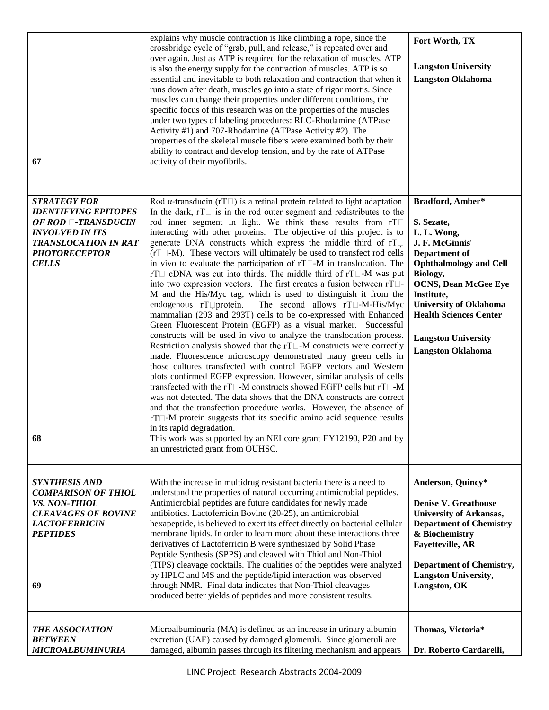|                                                                                                                                                                                 | explains why muscle contraction is like climbing a rope, since the<br>crossbridge cycle of "grab, pull, and release," is repeated over and                                                                                                                                                                                                                                                                                                                                                                                                                                                                                                                                                                                                                                                                                                                                                                                                                                                                                                                                                                                                                                                                                                                                                                                                                                                                                                                                                                                                                                                                                                                                                                                                                                                                        | Fort Worth, TX                                                                                                                                                                                                                                                                                          |
|---------------------------------------------------------------------------------------------------------------------------------------------------------------------------------|-------------------------------------------------------------------------------------------------------------------------------------------------------------------------------------------------------------------------------------------------------------------------------------------------------------------------------------------------------------------------------------------------------------------------------------------------------------------------------------------------------------------------------------------------------------------------------------------------------------------------------------------------------------------------------------------------------------------------------------------------------------------------------------------------------------------------------------------------------------------------------------------------------------------------------------------------------------------------------------------------------------------------------------------------------------------------------------------------------------------------------------------------------------------------------------------------------------------------------------------------------------------------------------------------------------------------------------------------------------------------------------------------------------------------------------------------------------------------------------------------------------------------------------------------------------------------------------------------------------------------------------------------------------------------------------------------------------------------------------------------------------------------------------------------------------------|---------------------------------------------------------------------------------------------------------------------------------------------------------------------------------------------------------------------------------------------------------------------------------------------------------|
| 67                                                                                                                                                                              | over again. Just as ATP is required for the relaxation of muscles, ATP<br>is also the energy supply for the contraction of muscles. ATP is so<br>essential and inevitable to both relaxation and contraction that when it<br>runs down after death, muscles go into a state of rigor mortis. Since<br>muscles can change their properties under different conditions, the<br>specific focus of this research was on the properties of the muscles<br>under two types of labeling procedures: RLC-Rhodamine (ATPase<br>Activity #1) and 707-Rhodamine (ATPase Activity #2). The<br>properties of the skeletal muscle fibers were examined both by their<br>ability to contract and develop tension, and by the rate of ATPase<br>activity of their myofibrils.                                                                                                                                                                                                                                                                                                                                                                                                                                                                                                                                                                                                                                                                                                                                                                                                                                                                                                                                                                                                                                                     | <b>Langston University</b><br><b>Langston Oklahoma</b>                                                                                                                                                                                                                                                  |
|                                                                                                                                                                                 |                                                                                                                                                                                                                                                                                                                                                                                                                                                                                                                                                                                                                                                                                                                                                                                                                                                                                                                                                                                                                                                                                                                                                                                                                                                                                                                                                                                                                                                                                                                                                                                                                                                                                                                                                                                                                   |                                                                                                                                                                                                                                                                                                         |
| <b>STRATEGY FOR</b><br><b>IDENTIFYING EPITOPES</b><br>OF ROD <b>-TRANSDUCIN</b><br><b>INVOLVED IN ITS</b><br>TRANSLOCATION IN RAT<br><b>PHOTORECEPTOR</b><br><b>CELLS</b><br>68 | Rod $\alpha$ -transducin (rT $\Box$ ) is a retinal protein related to light adaptation.<br>In the dark, $rT\Box$ is in the rod outer segment and redistributes to the<br>rod inner segment in light. We think these results from rTI<br>interacting with other proteins. The objective of this project is to<br>generate DNA constructs which express the middle third of rT<br>$(rT \Box - M)$ . These vectors will ultimately be used to transfect rod cells<br>in vivo to evaluate the participation of $rT \Box$ -M in translocation. The<br>rT□ cDNA was cut into thirds. The middle third of rT□-M was put<br>into two expression vectors. The first creates a fusion between rT $\square$ -<br>M and the His/Myc tag, which is used to distinguish it from the<br>endogenous rToprotein.<br>The second allows $rT\square$ -M-His/Myc<br>mammalian (293 and 293T) cells to be co-expressed with Enhanced<br>Green Fluorescent Protein (EGFP) as a visual marker. Successful<br>constructs will be used in vivo to analyze the translocation process.<br>Restriction analysis showed that the $rT \Box M$ constructs were correctly<br>made. Fluorescence microscopy demonstrated many green cells in<br>those cultures transfected with control EGFP vectors and Western<br>blots confirmed EGFP expression. However, similar analysis of cells<br>transfected with the rT $\square$ -M constructs showed EGFP cells but rT $\square$ -M<br>was not detected. The data shows that the DNA constructs are correct<br>and that the transfection procedure works. However, the absence of<br>rT $\Box$ -M protein suggests that its specific amino acid sequence results<br>in its rapid degradation.<br>This work was supported by an NEI core grant EY12190, P20 and by<br>an unrestricted grant from OUHSC. | Bradford, Amber*<br>S. Sezate,<br>L. L. Wong,<br>J. F. McGinnis'<br>Department of<br><b>Ophthalmology and Cell</b><br>Biology,<br><b>OCNS, Dean McGee Eye</b><br>Institute,<br><b>University of Oklahoma</b><br><b>Health Sciences Center</b><br><b>Langston University</b><br><b>Langston Oklahoma</b> |
| <b>SYNTHESIS AND</b>                                                                                                                                                            | With the increase in multidrug resistant bacteria there is a need to                                                                                                                                                                                                                                                                                                                                                                                                                                                                                                                                                                                                                                                                                                                                                                                                                                                                                                                                                                                                                                                                                                                                                                                                                                                                                                                                                                                                                                                                                                                                                                                                                                                                                                                                              | Anderson, Quincy*                                                                                                                                                                                                                                                                                       |
| <b>COMPARISON OF THIOL</b><br>VS. NON-THIOL<br><b>CLEAVAGES OF BOVINE</b><br><b>LACTOFERRICIN</b><br><b>PEPTIDES</b><br>69                                                      | understand the properties of natural occurring antimicrobial peptides.<br>Antimicrobial peptides are future candidates for newly made<br>antibiotics. Lactoferricin Bovine (20-25), an antimicrobial<br>hexapeptide, is believed to exert its effect directly on bacterial cellular<br>membrane lipids. In order to learn more about these interactions three<br>derivatives of Lactoferricin B were synthesized by Solid Phase<br>Peptide Synthesis (SPPS) and cleaved with Thiol and Non-Thiol<br>(TIPS) cleavage cocktails. The qualities of the peptides were analyzed<br>by HPLC and MS and the peptide/lipid interaction was observed<br>through NMR. Final data indicates that Non-Thiol cleavages<br>produced better yields of peptides and more consistent results.                                                                                                                                                                                                                                                                                                                                                                                                                                                                                                                                                                                                                                                                                                                                                                                                                                                                                                                                                                                                                                      | <b>Denise V. Greathouse</b><br><b>University of Arkansas,</b><br><b>Department of Chemistry</b><br>& Biochemistry<br><b>Fayetteville, AR</b><br><b>Department of Chemistry,</b><br><b>Langston University,</b><br>Langston, OK                                                                          |
| <b>THE ASSOCIATION</b>                                                                                                                                                          | Microalbuminuria (MA) is defined as an increase in urinary albumin                                                                                                                                                                                                                                                                                                                                                                                                                                                                                                                                                                                                                                                                                                                                                                                                                                                                                                                                                                                                                                                                                                                                                                                                                                                                                                                                                                                                                                                                                                                                                                                                                                                                                                                                                | Thomas, Victoria*                                                                                                                                                                                                                                                                                       |
| <b>BETWEEN</b>                                                                                                                                                                  | excretion (UAE) caused by damaged glomeruli. Since glomeruli are                                                                                                                                                                                                                                                                                                                                                                                                                                                                                                                                                                                                                                                                                                                                                                                                                                                                                                                                                                                                                                                                                                                                                                                                                                                                                                                                                                                                                                                                                                                                                                                                                                                                                                                                                  |                                                                                                                                                                                                                                                                                                         |
| MICROALBUMINURIA                                                                                                                                                                | damaged, albumin passes through its filtering mechanism and appears                                                                                                                                                                                                                                                                                                                                                                                                                                                                                                                                                                                                                                                                                                                                                                                                                                                                                                                                                                                                                                                                                                                                                                                                                                                                                                                                                                                                                                                                                                                                                                                                                                                                                                                                               | Dr. Roberto Cardarelli,                                                                                                                                                                                                                                                                                 |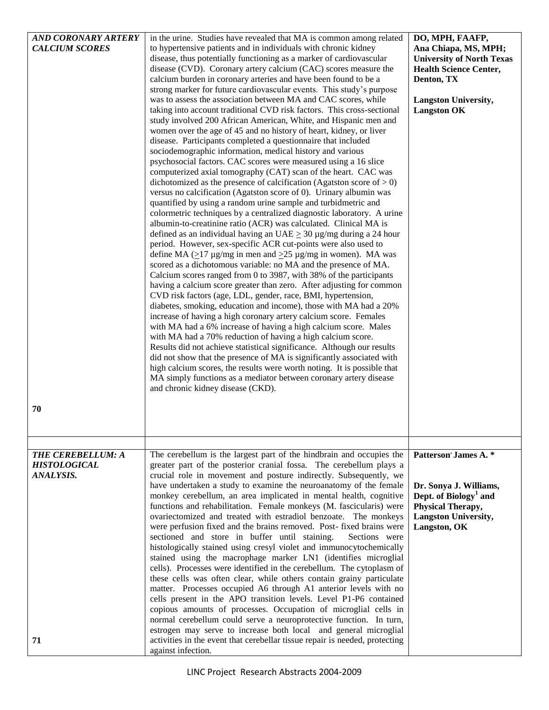| <b>AND CORONARY ARTERY</b> | in the urine. Studies have revealed that MA is common among related         | DO, MPH, FAAFP,                   |
|----------------------------|-----------------------------------------------------------------------------|-----------------------------------|
| <b>CALCIUM SCORES</b>      | to hypertensive patients and in individuals with chronic kidney             | Ana Chiapa, MS, MPH;              |
|                            | disease, thus potentially functioning as a marker of cardiovascular         | <b>University of North Texas</b>  |
|                            | disease (CVD). Coronary artery calcium (CAC) scores measure the             | <b>Health Science Center,</b>     |
|                            | calcium burden in coronary arteries and have been found to be a             | Denton, TX                        |
|                            | strong marker for future cardiovascular events. This study's purpose        |                                   |
|                            | was to assess the association between MA and CAC scores, while              | <b>Langston University,</b>       |
|                            | taking into account traditional CVD risk factors. This cross-sectional      | <b>Langston OK</b>                |
|                            | study involved 200 African American, White, and Hispanic men and            |                                   |
|                            | women over the age of 45 and no history of heart, kidney, or liver          |                                   |
|                            | disease. Participants completed a questionnaire that included               |                                   |
|                            | sociodemographic information, medical history and various                   |                                   |
|                            | psychosocial factors. CAC scores were measured using a 16 slice             |                                   |
|                            | computerized axial tomography (CAT) scan of the heart. CAC was              |                                   |
|                            | dichotomized as the presence of calcification (Agatston score of $> 0$ )    |                                   |
|                            |                                                                             |                                   |
|                            | versus no calcification (Agatston score of 0). Urinary albumin was          |                                   |
|                            | quantified by using a random urine sample and turbidmetric and              |                                   |
|                            | colormetric techniques by a centralized diagnostic laboratory. A urine      |                                   |
|                            | albumin-to-creatinine ratio (ACR) was calculated. Clinical MA is            |                                   |
|                            | defined as an individual having an UAE $\geq$ 30 µg/mg during a 24 hour     |                                   |
|                            | period. However, sex-specific ACR cut-points were also used to              |                                   |
|                            | define MA ( $\geq$ 17 µg/mg in men and $\geq$ 25 µg/mg in women). MA was    |                                   |
|                            | scored as a dichotomous variable: no MA and the presence of MA.             |                                   |
|                            | Calcium scores ranged from 0 to 3987, with 38% of the participants          |                                   |
|                            | having a calcium score greater than zero. After adjusting for common        |                                   |
|                            | CVD risk factors (age, LDL, gender, race, BMI, hypertension,                |                                   |
|                            | diabetes, smoking, education and income), those with MA had a 20%           |                                   |
|                            | increase of having a high coronary artery calcium score. Females            |                                   |
|                            | with MA had a 6% increase of having a high calcium score. Males             |                                   |
|                            | with MA had a 70% reduction of having a high calcium score.                 |                                   |
|                            | Results did not achieve statistical significance. Although our results      |                                   |
|                            | did not show that the presence of MA is significantly associated with       |                                   |
|                            | high calcium scores, the results were worth noting. It is possible that     |                                   |
|                            | MA simply functions as a mediator between coronary artery disease           |                                   |
|                            | and chronic kidney disease (CKD).                                           |                                   |
|                            |                                                                             |                                   |
|                            |                                                                             |                                   |
| 70                         |                                                                             |                                   |
|                            |                                                                             |                                   |
|                            |                                                                             |                                   |
|                            |                                                                             |                                   |
| THE CEREBELLUM: A          | The cerebellum is the largest part of the hindbrain and occupies the        | Patterson' James A. *             |
| <b>HISTOLOGICAL</b>        | greater part of the posterior cranial fossa. The cerebellum plays a         |                                   |
| ANALYSIS.                  | crucial role in movement and posture indirectly. Subsequently, we           |                                   |
|                            | have undertaken a study to examine the neuroanatomy of the female           | Dr. Sonya J. Williams,            |
|                            | monkey cerebellum, an area implicated in mental health, cognitive           | Dept. of Biology <sup>1</sup> and |
|                            | functions and rehabilitation. Female monkeys (M. fascicularis) were         | Physical Therapy,                 |
|                            | ovariectomized and treated with estradiol benzoate. The monkeys             | <b>Langston University,</b>       |
|                            | were perfusion fixed and the brains removed. Post-fixed brains were         | Langston, OK                      |
|                            |                                                                             |                                   |
|                            | sectioned and store in buffer until staining.<br>Sections were              |                                   |
|                            | histologically stained using cresyl violet and immunocytochemically         |                                   |
|                            | stained using the macrophage marker LN1 (identifies microglial              |                                   |
|                            | cells). Processes were identified in the cerebellum. The cytoplasm of       |                                   |
|                            | these cells was often clear, while others contain grainy particulate        |                                   |
|                            | matter. Processes occupied A6 through A1 anterior levels with no            |                                   |
|                            | cells present in the APO transition levels. Level P1-P6 contained           |                                   |
|                            | copious amounts of processes. Occupation of microglial cells in             |                                   |
|                            | normal cerebellum could serve a neuroprotective function. In turn,          |                                   |
|                            | estrogen may serve to increase both local and general microglial            |                                   |
| 71                         | activities in the event that cerebellar tissue repair is needed, protecting |                                   |
|                            | against infection.                                                          |                                   |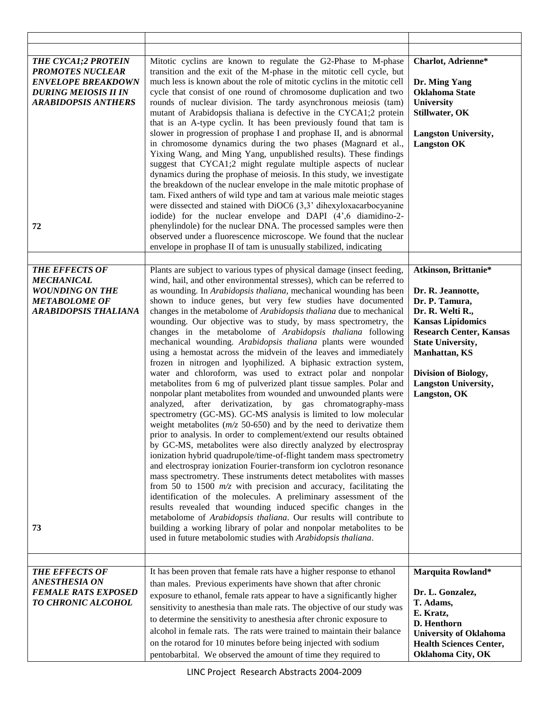| <b>THE CYCA1;2 PROTEIN</b><br><b>PROMOTES NUCLEAR</b><br><b>ENVELOPE BREAKDOWN</b><br><b>DURING MEIOSIS II IN</b><br><b>ARABIDOPSIS ANTHERS</b><br>72 | Mitotic cyclins are known to regulate the G2-Phase to M-phase<br>transition and the exit of the M-phase in the mitotic cell cycle, but<br>much less is known about the role of mitotic cyclins in the mitotic cell<br>cycle that consist of one round of chromosome duplication and two<br>rounds of nuclear division. The tardy asynchronous meiosis (tam)<br>mutant of Arabidopsis thaliana is defective in the CYCA1;2 protein<br>that is an A-type cyclin. It has been previously found that tam is<br>slower in progression of prophase I and prophase II, and is abnormal<br>in chromosome dynamics during the two phases (Magnard et al.,<br>Yixing Wang, and Ming Yang, unpublished results). These findings<br>suggest that CYCA1;2 might regulate multiple aspects of nuclear<br>dynamics during the prophase of meiosis. In this study, we investigate<br>the breakdown of the nuclear envelope in the male mitotic prophase of<br>tam. Fixed anthers of wild type and tam at various male meiotic stages<br>were dissected and stained with DiOC6 (3,3' dihexyloxacarbocyanine<br>iodide) for the nuclear envelope and DAPI (4',6 diamidino-2-<br>phenylindole) for the nuclear DNA. The processed samples were then<br>observed under a fluorescence microscope. We found that the nuclear<br>envelope in prophase II of tam is unusually stabilized, indicating                                                                                                                                                                                                                                                                                                                                                                                                                                                                                                                                                     | Charlot, Adrienne*<br>Dr. Ming Yang<br><b>Oklahoma State</b><br>University<br>Stillwater, OK<br><b>Langston University,</b><br><b>Langston OK</b>                                                                                                                  |
|-------------------------------------------------------------------------------------------------------------------------------------------------------|-----------------------------------------------------------------------------------------------------------------------------------------------------------------------------------------------------------------------------------------------------------------------------------------------------------------------------------------------------------------------------------------------------------------------------------------------------------------------------------------------------------------------------------------------------------------------------------------------------------------------------------------------------------------------------------------------------------------------------------------------------------------------------------------------------------------------------------------------------------------------------------------------------------------------------------------------------------------------------------------------------------------------------------------------------------------------------------------------------------------------------------------------------------------------------------------------------------------------------------------------------------------------------------------------------------------------------------------------------------------------------------------------------------------------------------------------------------------------------------------------------------------------------------------------------------------------------------------------------------------------------------------------------------------------------------------------------------------------------------------------------------------------------------------------------------------------------------------------------------------------------------------------------------------------------------|--------------------------------------------------------------------------------------------------------------------------------------------------------------------------------------------------------------------------------------------------------------------|
| <b>THE EFFECTS OF</b><br><b>MECHANICAL</b><br><b>WOUNDING ON THE</b><br><b>METABOLOME OF</b><br><b>ARABIDOPSIS THALIANA</b><br>73                     | Plants are subject to various types of physical damage (insect feeding,<br>wind, hail, and other environmental stresses), which can be referred to<br>as wounding. In Arabidopsis thaliana, mechanical wounding has been<br>shown to induce genes, but very few studies have documented<br>changes in the metabolome of Arabidopsis thaliana due to mechanical<br>wounding. Our objective was to study, by mass spectrometry, the<br>changes in the metabolome of Arabidopsis thaliana following<br>mechanical wounding. Arabidopsis thaliana plants were wounded<br>using a hemostat across the midvein of the leaves and immediately<br>frozen in nitrogen and lyophilized. A biphasic extraction system,<br>water and chloroform, was used to extract polar and nonpolar<br>metabolites from 6 mg of pulverized plant tissue samples. Polar and<br>nonpolar plant metabolites from wounded and unwounded plants were<br>analyzed, after derivatization, by gas chromatography-mass<br>spectrometry (GC-MS). GC-MS analysis is limited to low molecular<br>weight metabolites $(m/z 50-650)$ and by the need to derivatize them<br>prior to analysis. In order to complement/extend our results obtained<br>by GC-MS, metabolites were also directly analyzed by electrospray<br>ionization hybrid quadrupole/time-of-flight tandem mass spectrometry<br>and electrospray ionization Fourier-transform ion cyclotron resonance<br>mass spectrometry. These instruments detect metabolites with masses<br>from 50 to 1500 $m/z$ with precision and accuracy, facilitating the<br>identification of the molecules. A preliminary assessment of the<br>results revealed that wounding induced specific changes in the<br>metabolome of Arabidopsis thaliana. Our results will contribute to<br>building a working library of polar and nonpolar metabolites to be<br>used in future metabolomic studies with Arabidopsis thaliana. | Atkinson, Brittanie*<br>Dr. R. Jeannotte,<br>Dr. P. Tamura,<br>Dr. R. Welti R.,<br><b>Kansas Lipidomics</b><br><b>Research Center, Kansas</b><br><b>State University,</b><br><b>Manhattan</b> , KS<br>Division of Biology,<br>Langston University,<br>Langston, OK |
| <b>THE EFFECTS OF</b><br><b>ANESTHESIA ON</b><br><b>FEMALE RATS EXPOSED</b><br>TO CHRONIC ALCOHOL                                                     | It has been proven that female rats have a higher response to ethanol<br>than males. Previous experiments have shown that after chronic<br>exposure to ethanol, female rats appear to have a significantly higher<br>sensitivity to anesthesia than male rats. The objective of our study was<br>to determine the sensitivity to anesthesia after chronic exposure to<br>alcohol in female rats. The rats were trained to maintain their balance<br>on the rotarod for 10 minutes before being injected with sodium<br>pentobarbital. We observed the amount of time they required to                                                                                                                                                                                                                                                                                                                                                                                                                                                                                                                                                                                                                                                                                                                                                                                                                                                                                                                                                                                                                                                                                                                                                                                                                                                                                                                                             | Marquita Rowland*<br>Dr. L. Gonzalez,<br>T. Adams,<br>E. Kratz,<br>D. Henthorn<br><b>University of Oklahoma</b><br><b>Health Sciences Center,</b><br>Oklahoma City, OK                                                                                             |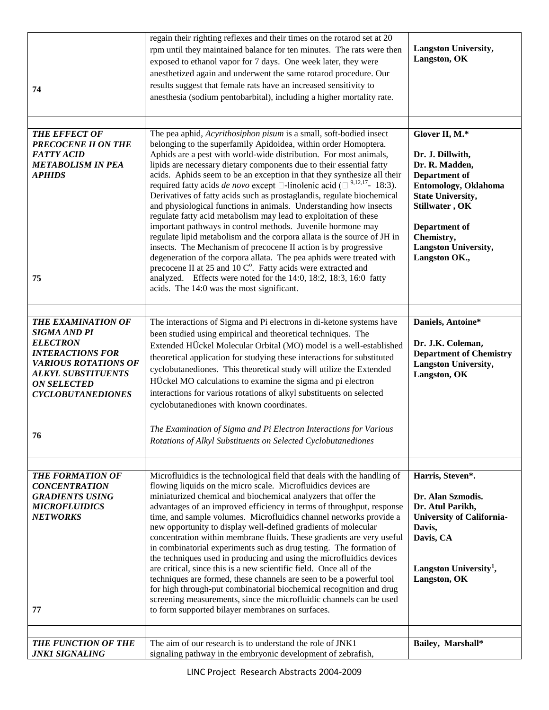| 74                                                                                                                                                                                                           | regain their righting reflexes and their times on the rotarod set at 20<br>rpm until they maintained balance for ten minutes. The rats were then<br>exposed to ethanol vapor for 7 days. One week later, they were<br>anesthetized again and underwent the same rotarod procedure. Our<br>results suggest that female rats have an increased sensitivity to<br>anesthesia (sodium pentobarbital), including a higher mortality rate.                                                                                                                                                                                                                                                                                                                                                                                                                                                                                                                                                                                                                                                                                                                                    | <b>Langston University,</b><br>Langston, OK                                                                                                                                                                                |
|--------------------------------------------------------------------------------------------------------------------------------------------------------------------------------------------------------------|-------------------------------------------------------------------------------------------------------------------------------------------------------------------------------------------------------------------------------------------------------------------------------------------------------------------------------------------------------------------------------------------------------------------------------------------------------------------------------------------------------------------------------------------------------------------------------------------------------------------------------------------------------------------------------------------------------------------------------------------------------------------------------------------------------------------------------------------------------------------------------------------------------------------------------------------------------------------------------------------------------------------------------------------------------------------------------------------------------------------------------------------------------------------------|----------------------------------------------------------------------------------------------------------------------------------------------------------------------------------------------------------------------------|
| <b>THE EFFECT OF</b><br><b>PRECOCENE II ON THE</b><br><b>FATTY ACID</b><br><b>METABOLISM IN PEA</b><br><b>APHIDS</b><br>75                                                                                   | The pea aphid, Acyrithosiphon pisum is a small, soft-bodied insect<br>belonging to the superfamily Apidoidea, within order Homoptera.<br>Aphids are a pest with world-wide distribution. For most animals,<br>lipids are necessary dietary components due to their essential fatty<br>acids. Aphids seem to be an exception in that they synthesize all their<br>required fatty acids <i>de novo</i> except $\square$ -linolenic acid ( $\square$ <sup>9,12,17</sup> - 18:3).<br>Derivatives of fatty acids such as prostaglandis, regulate biochemical<br>and physiological functions in animals. Understanding how insects<br>regulate fatty acid metabolism may lead to exploitation of these<br>important pathways in control methods. Juvenile hormone may<br>regulate lipid metabolism and the corpora allata is the source of JH in<br>insects. The Mechanism of precocene II action is by progressive<br>degeneration of the corpora allata. The pea aphids were treated with<br>precocene II at 25 and 10 C°. Fatty acids were extracted and<br>analyzed. Effects were noted for the 14:0, 18:2, 18:3, 16:0 fatty<br>acids. The 14:0 was the most significant. | Glover II, M.*<br>Dr. J. Dillwith,<br>Dr. R. Madden,<br>Department of<br>Entomology, Oklahoma<br><b>State University,</b><br>Stillwater, OK<br>Department of<br>Chemistry,<br><b>Langston University,</b><br>Langston OK., |
| <b>THE EXAMINATION OF</b><br><b>SIGMA AND PI</b><br><b>ELECTRON</b><br><b>INTERACTIONS FOR</b><br><b>VARIOUS ROTATIONS OF</b><br><b>ALKYL SUBSTITUENTS</b><br><b>ON SELECTED</b><br><b>CYCLOBUTANEDIONES</b> | The interactions of Sigma and Pi electrons in di-ketone systems have<br>been studied using empirical and theoretical techniques. The<br>Extended HÜckel Molecular Orbital (MO) model is a well-established<br>theoretical application for studying these interactions for substituted<br>cyclobutanediones. This theoretical study will utilize the Extended<br>HÜckel MO calculations to examine the sigma and pi electron<br>interactions for various rotations of alkyl substituents on selected<br>cyclobutanediones with known coordinates.<br>The Examination of Sigma and Pi Electron Interactions for Various                                                                                                                                                                                                                                                                                                                                                                                                                                                                                                                                                   | Daniels, Antoine*<br>Dr. J.K. Coleman,<br><b>Department of Chemistry</b><br><b>Langston University,</b><br>Langston, OK                                                                                                    |
| 76                                                                                                                                                                                                           | Rotations of Alkyl Substituents on Selected Cyclobutanediones                                                                                                                                                                                                                                                                                                                                                                                                                                                                                                                                                                                                                                                                                                                                                                                                                                                                                                                                                                                                                                                                                                           |                                                                                                                                                                                                                            |
| <b>THE FORMATION OF</b><br><b>CONCENTRATION</b><br><b>GRADIENTS USING</b><br><b>MICROFLUIDICS</b><br><b>NETWORKS</b><br>77                                                                                   | Microfluidics is the technological field that deals with the handling of<br>flowing liquids on the micro scale. Microfluidics devices are<br>miniaturized chemical and biochemical analyzers that offer the<br>advantages of an improved efficiency in terms of throughput, response<br>time, and sample volumes. Microfluidics channel networks provide a<br>new opportunity to display well-defined gradients of molecular<br>concentration within membrane fluids. These gradients are very useful<br>in combinatorial experiments such as drug testing. The formation of<br>the techniques used in producing and using the microfluidics devices<br>are critical, since this is a new scientific field. Once all of the<br>techniques are formed, these channels are seen to be a powerful tool<br>for high through-put combinatorial biochemical recognition and drug<br>screening measurements, since the microfluidic channels can be used<br>to form supported bilayer membranes on surfaces.                                                                                                                                                                   | Harris, Steven*.<br>Dr. Alan Szmodis.<br>Dr. Atul Parikh,<br><b>University of California-</b><br>Davis,<br>Davis, CA<br>Langston University <sup>1</sup> ,<br>Langston, OK                                                 |
| THE FUNCTION OF THE<br><b>JNK1 SIGNALING</b>                                                                                                                                                                 | The aim of our research is to understand the role of JNK1<br>signaling pathway in the embryonic development of zebrafish,                                                                                                                                                                                                                                                                                                                                                                                                                                                                                                                                                                                                                                                                                                                                                                                                                                                                                                                                                                                                                                               | Bailey, Marshall*                                                                                                                                                                                                          |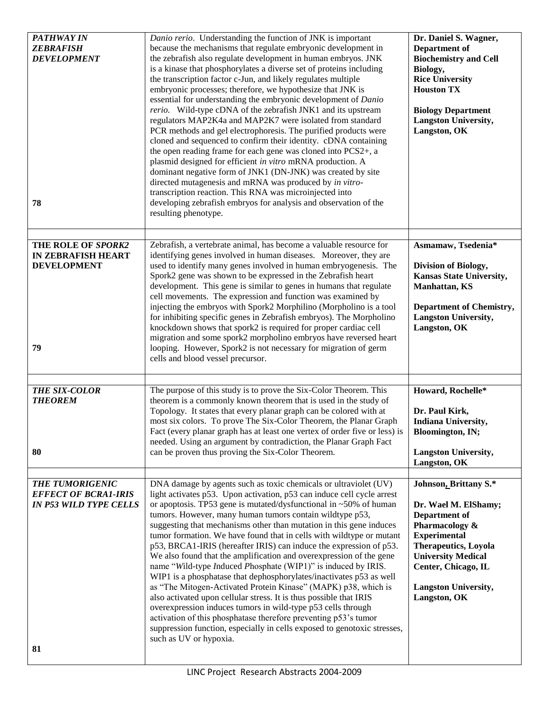| <b>PATHWAY IN</b><br><b>ZEBRAFISH</b><br><b>DEVELOPMENT</b><br>78                            | Danio rerio. Understanding the function of JNK is important<br>because the mechanisms that regulate embryonic development in<br>the zebrafish also regulate development in human embryos. JNK<br>is a kinase that phosphorylates a diverse set of proteins including<br>the transcription factor c-Jun, and likely regulates multiple<br>embryonic processes; therefore, we hypothesize that JNK is<br>essential for understanding the embryonic development of Danio<br>rerio. Wild-type cDNA of the zebrafish JNK1 and its upstream<br>regulators MAP2K4a and MAP2K7 were isolated from standard<br>PCR methods and gel electrophoresis. The purified products were<br>cloned and sequenced to confirm their identity. cDNA containing<br>the open reading frame for each gene was cloned into PCS2+, a<br>plasmid designed for efficient in vitro mRNA production. A<br>dominant negative form of JNK1 (DN-JNK) was created by site<br>directed mutagenesis and mRNA was produced by in vitro-<br>transcription reaction. This RNA was microinjected into<br>developing zebrafish embryos for analysis and observation of the<br>resulting phenotype. | Dr. Daniel S. Wagner,<br>Department of<br><b>Biochemistry and Cell</b><br>Biology,<br><b>Rice University</b><br><b>Houston TX</b><br><b>Biology Department</b><br><b>Langston University,</b><br>Langston, OK                             |
|----------------------------------------------------------------------------------------------|----------------------------------------------------------------------------------------------------------------------------------------------------------------------------------------------------------------------------------------------------------------------------------------------------------------------------------------------------------------------------------------------------------------------------------------------------------------------------------------------------------------------------------------------------------------------------------------------------------------------------------------------------------------------------------------------------------------------------------------------------------------------------------------------------------------------------------------------------------------------------------------------------------------------------------------------------------------------------------------------------------------------------------------------------------------------------------------------------------------------------------------------------------|-------------------------------------------------------------------------------------------------------------------------------------------------------------------------------------------------------------------------------------------|
| THE ROLE OF SPORK2<br><b>IN ZEBRAFISH HEART</b><br><b>DEVELOPMENT</b><br>79                  | Zebrafish, a vertebrate animal, has become a valuable resource for<br>identifying genes involved in human diseases. Moreover, they are<br>used to identify many genes involved in human embryogenesis. The<br>Spork2 gene was shown to be expressed in the Zebrafish heart<br>development. This gene is similar to genes in humans that regulate<br>cell movements. The expression and function was examined by<br>injecting the embryos with Spork2 Morphilino (Morpholino is a tool<br>for inhibiting specific genes in Zebrafish embryos). The Morpholino<br>knockdown shows that spork2 is required for proper cardiac cell<br>migration and some spork2 morpholino embryos have reversed heart<br>looping. However, Spork2 is not necessary for migration of germ<br>cells and blood vessel precursor.                                                                                                                                                                                                                                                                                                                                              | Asmamaw, Tsedenia*<br>Division of Biology,<br>Kansas State University,<br><b>Manhattan, KS</b><br><b>Department of Chemistry,</b><br><b>Langston University,</b><br>Langston, OK                                                          |
| THE SIX-COLOR<br><b>THEOREM</b><br>80                                                        | The purpose of this study is to prove the Six-Color Theorem. This<br>theorem is a commonly known theorem that is used in the study of<br>Topology. It states that every planar graph can be colored with at<br>most six colors. To prove The Six-Color Theorem, the Planar Graph<br>Fact (every planar graph has at least one vertex of order five or less) is<br>needed. Using an argument by contradiction, the Planar Graph Fact<br>can be proven thus proving the Six-Color Theorem.                                                                                                                                                                                                                                                                                                                                                                                                                                                                                                                                                                                                                                                                 | Howard, Rochelle*<br>Dr. Paul Kirk,<br>Indiana University,<br>Bloomington, IN;<br><b>Langston University,</b><br>Langston, OK                                                                                                             |
| <b>THE TUMORIGENIC</b><br><b>EFFECT OF BCRA1-IRIS</b><br><b>IN P53 WILD TYPE CELLS</b><br>81 | DNA damage by agents such as toxic chemicals or ultraviolet (UV)<br>light activates p53. Upon activation, p53 can induce cell cycle arrest<br>or apoptosis. TP53 gene is mutated/dysfunctional in $~50\%$ of human<br>tumors. However, many human tumors contain wildtype p53,<br>suggesting that mechanisms other than mutation in this gene induces<br>tumor formation. We have found that in cells with wildtype or mutant<br>p53, BRCA1-IRIS (hereafter IRIS) can induce the expression of p53.<br>We also found that the amplification and overexpression of the gene<br>name "Wild-type Induced Phosphate (WIP1)" is induced by IRIS.<br>WIP1 is a phosphatase that dephosphorylates/inactivates p53 as well<br>as "The Mitogen-Activated Protein Kinase" (MAPK) p38, which is<br>also activated upon cellular stress. It is thus possible that IRIS<br>overexpression induces tumors in wild-type p53 cells through<br>activation of this phosphatase therefore preventing p53's tumor<br>suppression function, especially in cells exposed to genotoxic stresses,<br>such as UV or hypoxia.                                                      | Johnson, Brittany S.*<br>Dr. Wael M. ElShamy;<br>Department of<br>Pharmacology &<br><b>Experimental</b><br><b>Therapeutics, Loyola</b><br><b>University Medical</b><br>Center, Chicago, IL<br><b>Langston University,</b><br>Langston, OK |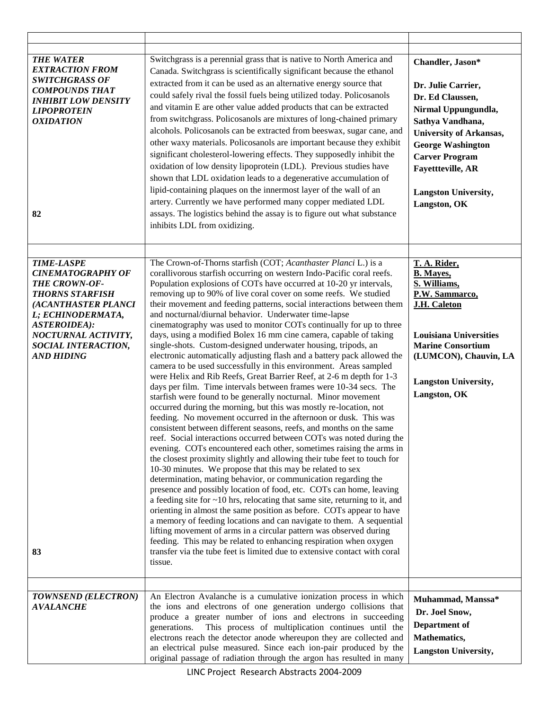| <b>THE WATER</b><br><b>EXTRACTION FROM</b><br><b>SWITCHGRASS OF</b><br><b>COMPOUNDS THAT</b><br><b>INHIBIT LOW DENSITY</b><br><b>LIPOPROTEIN</b><br><b>OXIDATION</b><br>82                                                           | Switchgrass is a perennial grass that is native to North America and<br>Canada. Switchgrass is scientifically significant because the ethanol<br>extracted from it can be used as an alternative energy source that<br>could safely rival the fossil fuels being utilized today. Policosanols<br>and vitamin E are other value added products that can be extracted<br>from switchgrass. Policosanols are mixtures of long-chained primary<br>alcohols. Policosanols can be extracted from beeswax, sugar cane, and<br>other waxy materials. Policosanols are important because they exhibit<br>significant cholesterol-lowering effects. They supposedly inhibit the<br>oxidation of low density lipoprotein (LDL). Previous studies have<br>shown that LDL oxidation leads to a degenerative accumulation of<br>lipid-containing plaques on the innermost layer of the wall of an<br>artery. Currently we have performed many copper mediated LDL<br>assays. The logistics behind the assay is to figure out what substance<br>inhibits LDL from oxidizing.                                                                                                                                                                                                                                                                                                                                                                                                                                                                                                                                                                                                                                                                                                                                                                                                                                                                                                                                                                                                                                                           | Chandler, Jason*<br>Dr. Julie Carrier,<br>Dr. Ed Claussen,<br>Nirmal Uppungundla,<br>Sathya Vandhana,<br><b>University of Arkansas,</b><br><b>George Washington</b><br><b>Carver Program</b><br><b>Fayettteville, AR</b><br><b>Langston University,</b><br>Langston, OK |
|--------------------------------------------------------------------------------------------------------------------------------------------------------------------------------------------------------------------------------------|-------------------------------------------------------------------------------------------------------------------------------------------------------------------------------------------------------------------------------------------------------------------------------------------------------------------------------------------------------------------------------------------------------------------------------------------------------------------------------------------------------------------------------------------------------------------------------------------------------------------------------------------------------------------------------------------------------------------------------------------------------------------------------------------------------------------------------------------------------------------------------------------------------------------------------------------------------------------------------------------------------------------------------------------------------------------------------------------------------------------------------------------------------------------------------------------------------------------------------------------------------------------------------------------------------------------------------------------------------------------------------------------------------------------------------------------------------------------------------------------------------------------------------------------------------------------------------------------------------------------------------------------------------------------------------------------------------------------------------------------------------------------------------------------------------------------------------------------------------------------------------------------------------------------------------------------------------------------------------------------------------------------------------------------------------------------------------------------------------------------------|-------------------------------------------------------------------------------------------------------------------------------------------------------------------------------------------------------------------------------------------------------------------------|
| <b>TIME-LASPE</b><br><b>CINEMATOGRAPHY OF</b><br>THE CROWN-OF-<br><b>THORNS STARFISH</b><br>(ACANTHASTER PLANCI<br>L; ECHINODERMATA,<br><b>ASTEROIDEA):</b><br>NOCTURNAL ACTIVITY,<br>SOCIAL INTERACTION,<br><b>AND HIDING</b><br>83 | The Crown-of-Thorns starfish (COT; Acanthaster Planci L.) is a<br>corallivorous starfish occurring on western Indo-Pacific coral reefs.<br>Population explosions of COTs have occurred at 10-20 yr intervals,<br>removing up to 90% of live coral cover on some reefs. We studied<br>their movement and feeding patterns, social interactions between them<br>and nocturnal/diurnal behavior. Underwater time-lapse<br>cinematography was used to monitor COTs continually for up to three<br>days, using a modified Bolex 16 mm cine camera, capable of taking<br>single-shots. Custom-designed underwater housing, tripods, an<br>electronic automatically adjusting flash and a battery pack allowed the<br>camera to be used successfully in this environment. Areas sampled<br>were Helix and Rib Reefs, Great Barrier Reef, at 2-6 m depth for 1-3<br>days per film. Time intervals between frames were 10-34 secs. The<br>starfish were found to be generally nocturnal. Minor movement<br>occurred during the morning, but this was mostly re-location, not<br>feeding. No movement occurred in the afternoon or dusk. This was<br>consistent between different seasons, reefs, and months on the same<br>reef. Social interactions occurred between COTs was noted during the<br>evening. COTs encountered each other, sometimes raising the arms in<br>the closest proximity slightly and allowing their tube feet to touch for<br>10-30 minutes. We propose that this may be related to sex<br>determination, mating behavior, or communication regarding the<br>presence and possibly location of food, etc. COTs can home, leaving<br>a feeding site for $\sim$ 10 hrs, relocating that same site, returning to it, and<br>orienting in almost the same position as before. COTs appear to have<br>a memory of feeding locations and can navigate to them. A sequential<br>lifting movement of arms in a circular pattern was observed during<br>feeding. This may be related to enhancing respiration when oxygen<br>transfer via the tube feet is limited due to extensive contact with coral<br>tissue. | T. A. Rider,<br><b>B.</b> Mayes,<br>S. Williams,<br>P.W. Sammarco,<br><b>J.H. Caleton</b><br><b>Louisiana Universities</b><br><b>Marine Consortium</b><br>(LUMCON), Chauvin, LA<br><b>Langston University,</b><br>Langston, OK                                          |
| TOWNSEND (ELECTRON)<br><b>AVALANCHE</b>                                                                                                                                                                                              | An Electron Avalanche is a cumulative ionization process in which<br>the ions and electrons of one generation undergo collisions that<br>produce a greater number of ions and electrons in succeeding<br>This process of multiplication continues until the<br>generations.<br>electrons reach the detector anode whereupon they are collected and<br>an electrical pulse measured. Since each ion-pair produced by the<br>original passage of radiation through the argon has resulted in many                                                                                                                                                                                                                                                                                                                                                                                                                                                                                                                                                                                                                                                                                                                                                                                                                                                                                                                                                                                                                                                                                                                                                                                                                                                                                                                                                                                                                                                                                                                                                                                                                         | Muhammad, Manssa*<br>Dr. Joel Snow,<br>Department of<br>Mathematics,<br><b>Langston University,</b>                                                                                                                                                                     |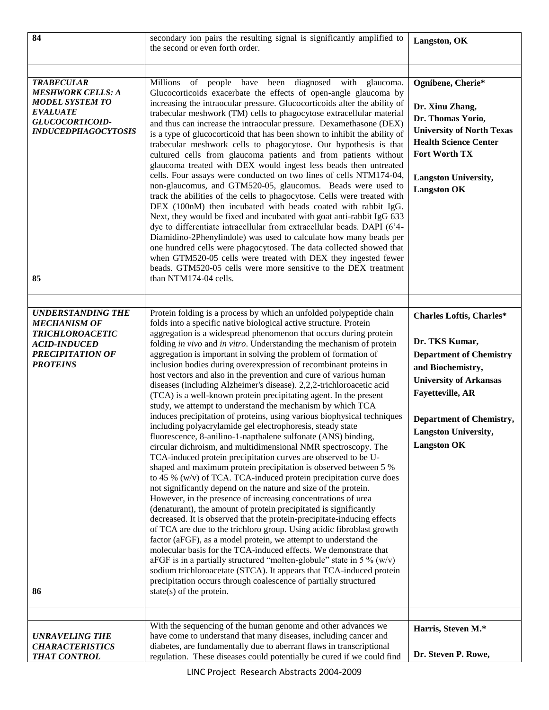| 84                                                                                                                                                   | secondary ion pairs the resulting signal is significantly amplified to<br>the second or even forth order.                                                                                                                                                                                                                                                                                                                                                                                                                                                                                                                                                                                                                                                                                                                                                                                                                                                                                                                                                                                                                                                                                                                                                                                                                                                                                                                                                                                                                                                                                                                                                                                                                                                                                                                                                                                                                                                     | Langston, OK                                                                                                                                                                                                                                          |
|------------------------------------------------------------------------------------------------------------------------------------------------------|---------------------------------------------------------------------------------------------------------------------------------------------------------------------------------------------------------------------------------------------------------------------------------------------------------------------------------------------------------------------------------------------------------------------------------------------------------------------------------------------------------------------------------------------------------------------------------------------------------------------------------------------------------------------------------------------------------------------------------------------------------------------------------------------------------------------------------------------------------------------------------------------------------------------------------------------------------------------------------------------------------------------------------------------------------------------------------------------------------------------------------------------------------------------------------------------------------------------------------------------------------------------------------------------------------------------------------------------------------------------------------------------------------------------------------------------------------------------------------------------------------------------------------------------------------------------------------------------------------------------------------------------------------------------------------------------------------------------------------------------------------------------------------------------------------------------------------------------------------------------------------------------------------------------------------------------------------------|-------------------------------------------------------------------------------------------------------------------------------------------------------------------------------------------------------------------------------------------------------|
|                                                                                                                                                      |                                                                                                                                                                                                                                                                                                                                                                                                                                                                                                                                                                                                                                                                                                                                                                                                                                                                                                                                                                                                                                                                                                                                                                                                                                                                                                                                                                                                                                                                                                                                                                                                                                                                                                                                                                                                                                                                                                                                                               |                                                                                                                                                                                                                                                       |
| <b>TRABECULAR</b><br><b>MESHWORK CELLS: A</b><br><b>MODEL SYSTEM TO</b><br><b>EVALUATE</b><br>GLUCOCORTICOID-<br><b>INDUCEDPHAGOCYTOSIS</b><br>85    | of people have been diagnosed with glaucoma.<br>Millions<br>Glucocorticoids exacerbate the effects of open-angle glaucoma by<br>increasing the intraocular pressure. Glucocorticoids alter the ability of<br>trabecular meshwork (TM) cells to phagocytose extracellular material<br>and thus can increase the intraocular pressure. Dexamethasone (DEX)<br>is a type of glucocorticoid that has been shown to inhibit the ability of<br>trabecular meshwork cells to phagocytose. Our hypothesis is that<br>cultured cells from glaucoma patients and from patients without<br>glaucoma treated with DEX would ingest less beads then untreated<br>cells. Four assays were conducted on two lines of cells NTM174-04,<br>non-glaucomus, and GTM520-05, glaucomus. Beads were used to<br>track the abilities of the cells to phagocytose. Cells were treated with<br>DEX (100nM) then incubated with beads coated with rabbit IgG.<br>Next, they would be fixed and incubated with goat anti-rabbit IgG 633<br>dye to differentiate intracellular from extracellular beads. DAPI (6'4-<br>Diamidino-2Phenylindole) was used to calculate how many beads per<br>one hundred cells were phagocytosed. The data collected showed that<br>when GTM520-05 cells were treated with DEX they ingested fewer<br>beads. GTM520-05 cells were more sensitive to the DEX treatment<br>than NTM174-04 cells.                                                                                                                                                                                                                                                                                                                                                                                                                                                                                                                                                              | Ognibene, Cherie*<br>Dr. Xinu Zhang,<br>Dr. Thomas Yorio,<br><b>University of North Texas</b><br><b>Health Science Center</b><br>Fort Worth TX<br><b>Langston University,</b><br><b>Langston OK</b>                                                   |
| <b>UNDERSTANDING THE</b><br><b>MECHANISM OF</b><br><b>TRICHLOROACETIC</b><br><b>ACID-INDUCED</b><br><b>PRECIPITATION OF</b><br><b>PROTEINS</b><br>86 | Protein folding is a process by which an unfolded polypeptide chain<br>folds into a specific native biological active structure. Protein<br>aggregation is a widespread phenomenon that occurs during protein<br>folding in vivo and in vitro. Understanding the mechanism of protein<br>aggregation is important in solving the problem of formation of<br>inclusion bodies during overexpression of recombinant proteins in<br>host vectors and also in the prevention and cure of various human<br>diseases (including Alzheimer's disease). 2,2,2-trichloroacetic acid<br>(TCA) is a well-known protein precipitating agent. In the present<br>study, we attempt to understand the mechanism by which TCA<br>induces precipitation of proteins, using various biophysical techniques<br>including polyacrylamide gel electrophoresis, steady state<br>fluorescence, 8-anilino-1-napthalene sulfonate (ANS) binding,<br>circular dichroism, and multidimensional NMR spectroscopy. The<br>TCA-induced protein precipitation curves are observed to be U-<br>shaped and maximum protein precipitation is observed between 5 %<br>to 45 % (w/v) of TCA. TCA-induced protein precipitation curve does<br>not significantly depend on the nature and size of the protein.<br>However, in the presence of increasing concentrations of urea<br>(denaturant), the amount of protein precipitated is significantly<br>decreased. It is observed that the protein-precipitate-inducing effects<br>of TCA are due to the trichloro group. Using acidic fibroblast growth<br>factor (aFGF), as a model protein, we attempt to understand the<br>molecular basis for the TCA-induced effects. We demonstrate that<br>aFGF is in a partially structured "molten-globule" state in 5 % ( $w/v$ )<br>sodium trichloroacetate (STCA). It appears that TCA-induced protein<br>precipitation occurs through coalescence of partially structured<br>state(s) of the protein. | <b>Charles Loftis, Charles*</b><br>Dr. TKS Kumar,<br><b>Department of Chemistry</b><br>and Biochemistry,<br><b>University of Arkansas</b><br><b>Fayetteville, AR</b><br><b>Department of Chemistry,</b><br>Langston University,<br><b>Langston OK</b> |
| <b>UNRAVELING THE</b><br><b>CHARACTERISTICS</b><br><b>THAT CONTROL</b>                                                                               | With the sequencing of the human genome and other advances we<br>have come to understand that many diseases, including cancer and<br>diabetes, are fundamentally due to aberrant flaws in transcriptional<br>regulation. These diseases could potentially be cured if we could find                                                                                                                                                                                                                                                                                                                                                                                                                                                                                                                                                                                                                                                                                                                                                                                                                                                                                                                                                                                                                                                                                                                                                                                                                                                                                                                                                                                                                                                                                                                                                                                                                                                                           | Harris, Steven M.*<br>Dr. Steven P. Rowe,                                                                                                                                                                                                             |